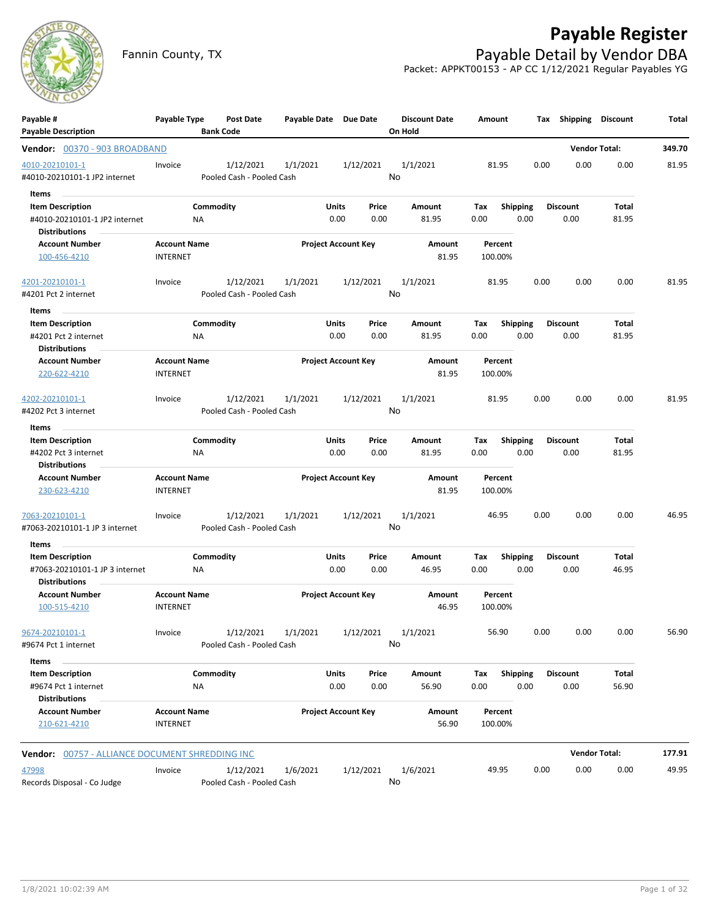

# **Payable Register**

Fannin County, TX **Payable Detail by Vendor DBA** Packet: APPKT00153 - AP CC 1/12/2021 Regular Payables YG

| Payable #                                              | Payable Type        | Post Date                 | Payable Date Due Date |                            |           | <b>Discount Date</b> | Amount  |                 |      | Tax Shipping    | <b>Discount</b>      | Total  |
|--------------------------------------------------------|---------------------|---------------------------|-----------------------|----------------------------|-----------|----------------------|---------|-----------------|------|-----------------|----------------------|--------|
| <b>Payable Description</b>                             |                     | <b>Bank Code</b>          |                       |                            |           | On Hold              |         |                 |      |                 |                      |        |
| Vendor: 00370 - 903 BROADBAND                          |                     |                           |                       |                            |           |                      |         |                 |      |                 | <b>Vendor Total:</b> | 349.70 |
| 4010-20210101-1                                        | Invoice             | 1/12/2021                 | 1/1/2021              |                            | 1/12/2021 | 1/1/2021             | 81.95   |                 | 0.00 | 0.00            | 0.00                 | 81.95  |
| #4010-20210101-1 JP2 internet                          |                     | Pooled Cash - Pooled Cash |                       |                            |           | No                   |         |                 |      |                 |                      |        |
| Items                                                  |                     |                           |                       |                            |           |                      |         |                 |      |                 |                      |        |
| <b>Item Description</b>                                |                     | Commodity                 |                       | Units                      | Price     | Amount               | Tax     | Shipping        |      | <b>Discount</b> | Total                |        |
| #4010-20210101-1 JP2 internet<br><b>Distributions</b>  | ΝA                  |                           |                       | 0.00                       | 0.00      | 81.95                | 0.00    | 0.00            |      | 0.00            | 81.95                |        |
| <b>Account Number</b>                                  | <b>Account Name</b> |                           |                       | <b>Project Account Key</b> |           | Amount               | Percent |                 |      |                 |                      |        |
| 100-456-4210                                           | <b>INTERNET</b>     |                           |                       |                            |           | 81.95                | 100.00% |                 |      |                 |                      |        |
| 4201-20210101-1                                        | Invoice             | 1/12/2021                 | 1/1/2021              |                            | 1/12/2021 | 1/1/2021             | 81.95   |                 | 0.00 | 0.00            | 0.00                 | 81.95  |
| #4201 Pct 2 internet                                   |                     | Pooled Cash - Pooled Cash |                       |                            |           | No                   |         |                 |      |                 |                      |        |
| Items                                                  |                     |                           |                       |                            |           |                      |         |                 |      |                 |                      |        |
| <b>Item Description</b>                                |                     | Commodity                 |                       | Units                      | Price     | Amount               | Tax     | <b>Shipping</b> |      | <b>Discount</b> | Total                |        |
| #4201 Pct 2 internet                                   | ΝA                  |                           |                       | 0.00                       | 0.00      | 81.95                | 0.00    | 0.00            |      | 0.00            | 81.95                |        |
| <b>Distributions</b>                                   |                     |                           |                       |                            |           |                      |         |                 |      |                 |                      |        |
| <b>Account Number</b>                                  | <b>Account Name</b> |                           |                       | <b>Project Account Key</b> |           | Amount               | Percent |                 |      |                 |                      |        |
| 220-622-4210                                           | <b>INTERNET</b>     |                           |                       |                            |           | 81.95                | 100.00% |                 |      |                 |                      |        |
| 4202-20210101-1                                        | Invoice             | 1/12/2021                 | 1/1/2021              |                            | 1/12/2021 | 1/1/2021             | 81.95   |                 | 0.00 | 0.00            | 0.00                 | 81.95  |
| #4202 Pct 3 internet                                   |                     | Pooled Cash - Pooled Cash |                       |                            |           | No                   |         |                 |      |                 |                      |        |
| Items                                                  |                     |                           |                       |                            |           |                      |         |                 |      |                 |                      |        |
| <b>Item Description</b>                                |                     | Commodity                 |                       | Units                      | Price     | Amount               | Tax     | <b>Shipping</b> |      | <b>Discount</b> | Total                |        |
| #4202 Pct 3 internet                                   | NA                  |                           |                       | 0.00                       | 0.00      | 81.95                | 0.00    | 0.00            |      | 0.00            | 81.95                |        |
| <b>Distributions</b>                                   |                     |                           |                       |                            |           |                      |         |                 |      |                 |                      |        |
| <b>Account Number</b>                                  | <b>Account Name</b> |                           |                       | <b>Project Account Key</b> |           | Amount               | Percent |                 |      |                 |                      |        |
| 230-623-4210                                           | <b>INTERNET</b>     |                           |                       |                            |           | 81.95                | 100.00% |                 |      |                 |                      |        |
| 7063-20210101-1                                        | Invoice             | 1/12/2021                 | 1/1/2021              |                            | 1/12/2021 | 1/1/2021             | 46.95   |                 | 0.00 | 0.00            | 0.00                 | 46.95  |
| #7063-20210101-1 JP 3 internet                         |                     | Pooled Cash - Pooled Cash |                       |                            |           | No                   |         |                 |      |                 |                      |        |
| Items                                                  |                     |                           |                       |                            |           |                      |         |                 |      |                 |                      |        |
| <b>Item Description</b>                                |                     | Commodity                 |                       | <b>Units</b>               | Price     | Amount               | Tax     | <b>Shipping</b> |      | <b>Discount</b> | Total                |        |
| #7063-20210101-1 JP 3 internet<br><b>Distributions</b> | ΝA                  |                           |                       | 0.00                       | 0.00      | 46.95                | 0.00    | 0.00            |      | 0.00            | 46.95                |        |
| <b>Account Number</b>                                  | <b>Account Name</b> |                           |                       | <b>Project Account Key</b> |           | Amount               | Percent |                 |      |                 |                      |        |
| 100-515-4210                                           | <b>INTERNET</b>     |                           |                       |                            |           | 46.95                | 100.00% |                 |      |                 |                      |        |
| 9674-20210101-1                                        | Invoice             |                           | 1/12/2021 1/1/2021    |                            | 1/12/2021 | 1/1/2021             | 56.90   |                 | 0.00 | 0.00            | 0.00                 | 56.90  |
| #9674 Pct 1 internet                                   |                     | Pooled Cash - Pooled Cash |                       |                            |           | No                   |         |                 |      |                 |                      |        |
| Items                                                  |                     |                           |                       |                            |           |                      |         |                 |      |                 |                      |        |
| <b>Item Description</b>                                |                     | Commodity                 |                       | <b>Units</b>               | Price     | Amount               | Tax     | Shipping        |      | <b>Discount</b> | Total                |        |
| #9674 Pct 1 internet                                   | NA                  |                           |                       | 0.00                       | 0.00      | 56.90                | 0.00    | 0.00            |      | 0.00            | 56.90                |        |
| <b>Distributions</b>                                   |                     |                           |                       |                            |           |                      |         |                 |      |                 |                      |        |
| <b>Account Number</b>                                  | <b>Account Name</b> |                           |                       | <b>Project Account Key</b> |           | Amount               | Percent |                 |      |                 |                      |        |
| 210-621-4210                                           | <b>INTERNET</b>     |                           |                       |                            |           | 56.90                | 100.00% |                 |      |                 |                      |        |
| Vendor: 00757 - ALLIANCE DOCUMENT SHREDDING INC        |                     |                           |                       |                            |           |                      |         |                 |      |                 | <b>Vendor Total:</b> | 177.91 |
| 47998                                                  | Invoice             | 1/12/2021                 | 1/6/2021              |                            | 1/12/2021 | 1/6/2021             | 49.95   |                 | 0.00 | 0.00            | 0.00                 | 49.95  |
| Records Disposal - Co Judge                            |                     | Pooled Cash - Pooled Cash |                       |                            |           | No                   |         |                 |      |                 |                      |        |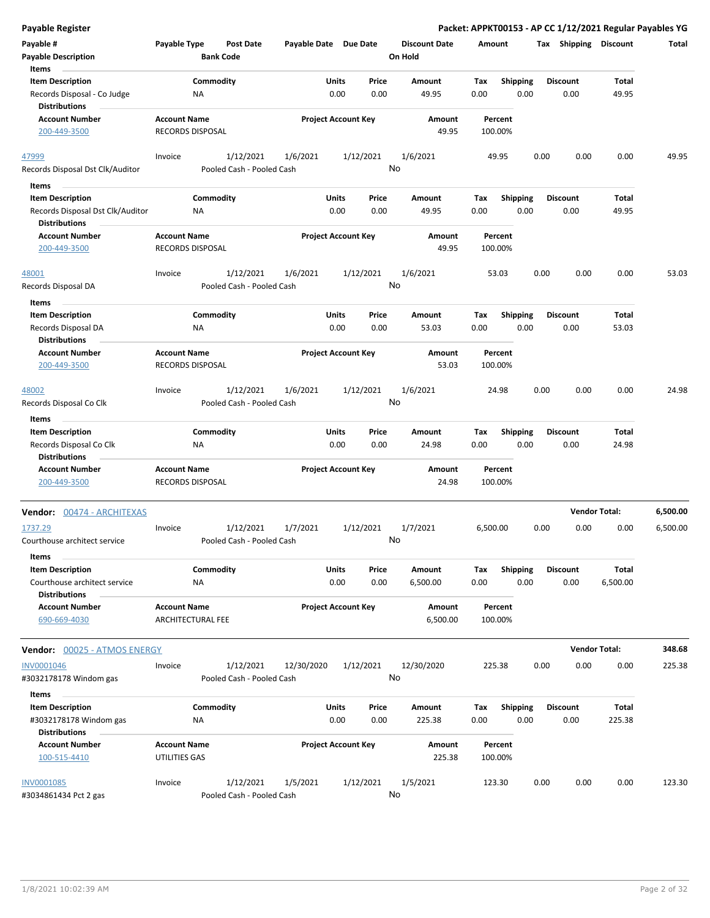| <b>Payable Register</b>                                  |                                                 |                           |                            |               |               |                        |             |                         |      |                         | Packet: APPKT00153 - AP CC 1/12/2021 Regular Payables YG |                  |
|----------------------------------------------------------|-------------------------------------------------|---------------------------|----------------------------|---------------|---------------|------------------------|-------------|-------------------------|------|-------------------------|----------------------------------------------------------|------------------|
| Payable #                                                | Payable Type                                    | <b>Post Date</b>          | Payable Date Due Date      |               |               | <b>Discount Date</b>   | Amount      |                         |      | Tax Shipping Discount   |                                                          | Total            |
| <b>Payable Description</b>                               |                                                 | <b>Bank Code</b>          |                            |               |               | On Hold                |             |                         |      |                         |                                                          |                  |
| Items                                                    |                                                 |                           |                            |               |               |                        |             |                         |      |                         |                                                          |                  |
| <b>Item Description</b>                                  |                                                 | Commodity                 |                            | Units         | Price         | Amount                 | Tax         | Shipping                |      | <b>Discount</b>         | Total                                                    |                  |
| Records Disposal - Co Judge<br><b>Distributions</b>      | NA                                              |                           |                            | 0.00          | 0.00          | 49.95                  | 0.00        | 0.00                    |      | 0.00                    | 49.95                                                    |                  |
| <b>Account Number</b>                                    | <b>Account Name</b>                             |                           | <b>Project Account Key</b> |               |               | Amount                 |             | Percent                 |      |                         |                                                          |                  |
| 200-449-3500                                             | RECORDS DISPOSAL                                |                           |                            |               |               | 49.95                  | 100.00%     |                         |      |                         |                                                          |                  |
| 47999                                                    | Invoice                                         | 1/12/2021                 | 1/6/2021                   |               | 1/12/2021     | 1/6/2021               |             | 49.95                   | 0.00 | 0.00                    | 0.00                                                     | 49.95            |
| Records Disposal Dst Clk/Auditor                         |                                                 | Pooled Cash - Pooled Cash |                            |               |               | No                     |             |                         |      |                         |                                                          |                  |
| Items                                                    |                                                 |                           |                            |               |               |                        |             |                         |      |                         |                                                          |                  |
| <b>Item Description</b>                                  |                                                 | Commodity                 |                            | Units         | Price         | Amount                 | Tax         | <b>Shipping</b>         |      | <b>Discount</b>         | Total                                                    |                  |
| Records Disposal Dst Clk/Auditor<br><b>Distributions</b> | ΝA                                              |                           |                            | 0.00          | 0.00          | 49.95                  | 0.00        | 0.00                    |      | 0.00                    | 49.95                                                    |                  |
| <b>Account Number</b>                                    | <b>Account Name</b>                             |                           | <b>Project Account Key</b> |               |               | Amount                 |             | Percent                 |      |                         |                                                          |                  |
| 200-449-3500                                             | RECORDS DISPOSAL                                |                           |                            |               |               | 49.95                  | 100.00%     |                         |      |                         |                                                          |                  |
| 48001                                                    | Invoice                                         | 1/12/2021                 | 1/6/2021                   |               | 1/12/2021     | 1/6/2021               |             | 53.03                   | 0.00 | 0.00                    | 0.00                                                     | 53.03            |
| Records Disposal DA                                      |                                                 | Pooled Cash - Pooled Cash |                            |               |               | No                     |             |                         |      |                         |                                                          |                  |
| Items                                                    |                                                 |                           |                            |               |               |                        |             |                         |      |                         |                                                          |                  |
| <b>Item Description</b>                                  |                                                 | Commodity                 |                            | Units         | Price         | Amount                 | Tax         | <b>Shipping</b>         |      | <b>Discount</b>         | Total                                                    |                  |
| Records Disposal DA<br><b>Distributions</b>              | ΝA                                              |                           |                            | 0.00          | 0.00          | 53.03                  | 0.00        | 0.00                    |      | 0.00                    | 53.03                                                    |                  |
| <b>Account Number</b>                                    | <b>Account Name</b>                             |                           | <b>Project Account Key</b> |               |               | Amount                 |             | Percent                 |      |                         |                                                          |                  |
| 200-449-3500                                             | <b>RECORDS DISPOSAL</b>                         |                           |                            |               |               | 53.03                  | 100.00%     |                         |      |                         |                                                          |                  |
| 48002                                                    | Invoice                                         | 1/12/2021                 | 1/6/2021                   |               | 1/12/2021     | 1/6/2021               |             | 24.98                   | 0.00 | 0.00                    | 0.00                                                     | 24.98            |
| Records Disposal Co Clk<br>Items                         |                                                 | Pooled Cash - Pooled Cash |                            |               |               | No                     |             |                         |      |                         |                                                          |                  |
| <b>Item Description</b>                                  |                                                 | Commodity                 |                            | Units         | Price         | Amount                 | Tax         | <b>Shipping</b>         |      | <b>Discount</b>         | Total                                                    |                  |
| Records Disposal Co Clk                                  | NA                                              |                           |                            | 0.00          | 0.00          | 24.98                  | 0.00        | 0.00                    |      | 0.00                    | 24.98                                                    |                  |
| <b>Distributions</b>                                     |                                                 |                           |                            |               |               |                        |             |                         |      |                         |                                                          |                  |
| <b>Account Number</b><br>200-449-3500                    | <b>Account Name</b><br><b>RECORDS DISPOSAL</b>  |                           | <b>Project Account Key</b> |               |               | <b>Amount</b><br>24.98 | 100.00%     | Percent                 |      |                         |                                                          |                  |
|                                                          |                                                 |                           |                            |               |               |                        |             |                         |      |                         |                                                          |                  |
| Vendor: 00474 - ARCHITEXAS                               |                                                 |                           |                            |               |               |                        |             |                         |      |                         | <b>Vendor Total:</b>                                     | 6,500.00         |
| 1737.29                                                  | Invoice                                         | 1/12/2021                 | 1/7/2021                   |               | 1/12/2021     | 1/7/2021               | 6,500.00    |                         | 0.00 | 0.00                    | 0.00                                                     | 6,500.00         |
| Courthouse architect service                             |                                                 | Pooled Cash - Pooled Cash |                            |               |               | No                     |             |                         |      |                         |                                                          |                  |
| Items                                                    |                                                 |                           |                            |               |               |                        |             |                         |      |                         |                                                          |                  |
| <b>Item Description</b>                                  |                                                 | Commodity                 |                            | Units         | Price         | Amount                 | Tax         | <b>Shipping</b>         |      | <b>Discount</b>         | Total                                                    |                  |
| Courthouse architect service<br><b>Distributions</b>     | ΝA                                              |                           |                            | 0.00          | 0.00          | 6,500.00               | 0.00        | 0.00                    |      | 0.00                    | 6,500.00                                                 |                  |
| <b>Account Number</b><br>690-669-4030                    | <b>Account Name</b><br><b>ARCHITECTURAL FEE</b> |                           | <b>Project Account Key</b> |               |               | Amount<br>6,500.00     | 100.00%     | Percent                 |      |                         |                                                          |                  |
|                                                          |                                                 |                           |                            |               |               |                        |             |                         |      |                         |                                                          |                  |
| <b>Vendor: 00025 - ATMOS ENERGY</b><br><b>INV0001046</b> | Invoice                                         | 1/12/2021                 | 12/30/2020                 |               | 1/12/2021     | 12/30/2020             | 225.38      |                         | 0.00 | 0.00                    | <b>Vendor Total:</b><br>0.00                             | 348.68<br>225.38 |
| #3032178178 Windom gas                                   |                                                 | Pooled Cash - Pooled Cash |                            |               |               | No                     |             |                         |      |                         |                                                          |                  |
| Items                                                    |                                                 |                           |                            |               |               |                        |             |                         |      |                         |                                                          |                  |
| <b>Item Description</b><br>#3032178178 Windom gas        | ΝA                                              | Commodity                 |                            | Units<br>0.00 | Price<br>0.00 | Amount<br>225.38       | Tax<br>0.00 | <b>Shipping</b><br>0.00 |      | <b>Discount</b><br>0.00 | Total<br>225.38                                          |                  |
| <b>Distributions</b>                                     |                                                 |                           |                            |               |               |                        |             |                         |      |                         |                                                          |                  |
| <b>Account Number</b><br>100-515-4410                    | <b>Account Name</b><br>UTILITIES GAS            |                           | <b>Project Account Key</b> |               |               | Amount<br>225.38       | 100.00%     | Percent                 |      |                         |                                                          |                  |
| <b>INV0001085</b>                                        | Invoice                                         | 1/12/2021                 | 1/5/2021                   |               | 1/12/2021     | 1/5/2021               | 123.30      |                         | 0.00 | 0.00                    | 0.00                                                     | 123.30           |
| #3034861434 Pct 2 gas                                    |                                                 | Pooled Cash - Pooled Cash |                            |               |               | No                     |             |                         |      |                         |                                                          |                  |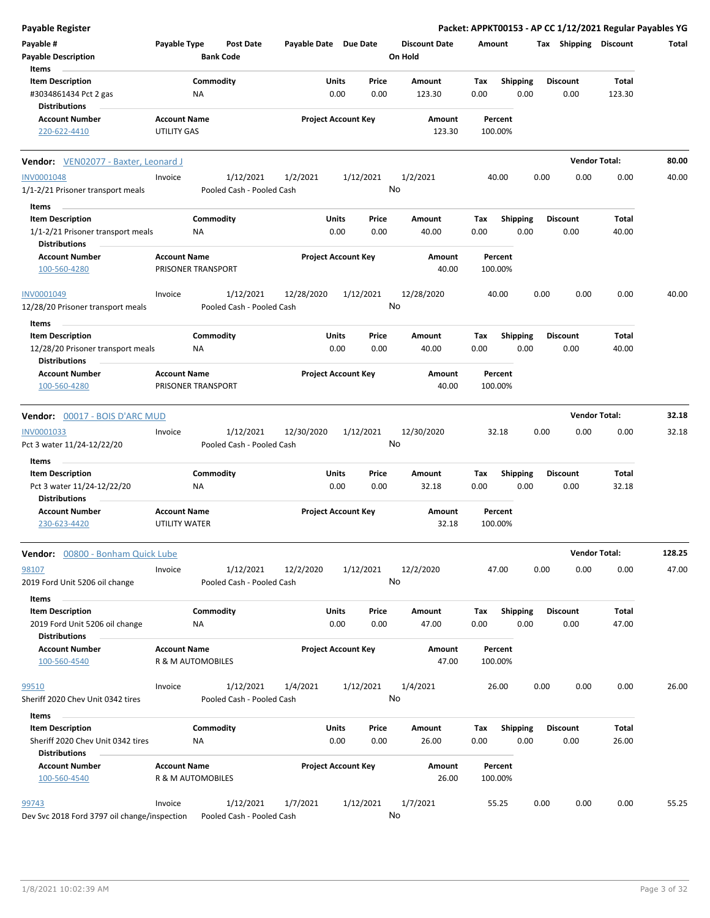| <b>Payable Register</b>                                      |                      |                                        |                       |                            |               |                                 |             |                         |      |                         | Packet: APPKT00153 - AP CC 1/12/2021 Regular Payables YG |        |
|--------------------------------------------------------------|----------------------|----------------------------------------|-----------------------|----------------------------|---------------|---------------------------------|-------------|-------------------------|------|-------------------------|----------------------------------------------------------|--------|
| Payable #<br><b>Payable Description</b>                      | Payable Type         | <b>Post Date</b><br><b>Bank Code</b>   | Payable Date Due Date |                            |               | <b>Discount Date</b><br>On Hold | Amount      |                         |      | Tax Shipping Discount   |                                                          | Total  |
| Items<br><b>Item Description</b>                             |                      | Commodity                              |                       | Units                      | Price         | Amount                          | Tax         | <b>Shipping</b>         |      | <b>Discount</b>         | Total                                                    |        |
| #3034861434 Pct 2 gas<br><b>Distributions</b>                |                      | NA                                     |                       | 0.00                       | 0.00          | 123.30                          | 0.00        | 0.00                    |      | 0.00                    | 123.30                                                   |        |
| <b>Account Number</b>                                        | <b>Account Name</b>  |                                        |                       | <b>Project Account Key</b> |               | Amount                          |             | Percent                 |      |                         |                                                          |        |
| 220-622-4410                                                 | <b>UTILITY GAS</b>   |                                        |                       |                            |               | 123.30                          |             | 100.00%                 |      |                         |                                                          |        |
| Vendor: VEN02077 - Baxter, Leonard J                         |                      |                                        |                       |                            |               |                                 |             |                         |      |                         | <b>Vendor Total:</b>                                     | 80.00  |
| <b>INV0001048</b>                                            | Invoice              | 1/12/2021                              | 1/2/2021              |                            | 1/12/2021     | 1/2/2021                        |             | 40.00                   | 0.00 | 0.00                    | 0.00                                                     | 40.00  |
| 1/1-2/21 Prisoner transport meals                            |                      | Pooled Cash - Pooled Cash              |                       |                            |               | No                              |             |                         |      |                         |                                                          |        |
| Items                                                        |                      |                                        |                       |                            |               |                                 |             |                         |      |                         |                                                          |        |
| <b>Item Description</b>                                      |                      | Commodity                              |                       | Units                      | Price         | Amount                          | Tax         | <b>Shipping</b>         |      | <b>Discount</b>         | Total                                                    |        |
| 1/1-2/21 Prisoner transport meals<br><b>Distributions</b>    |                      | NA                                     |                       | 0.00                       | 0.00          | 40.00                           | 0.00        | 0.00                    |      | 0.00                    | 40.00                                                    |        |
| <b>Account Number</b>                                        | <b>Account Name</b>  |                                        |                       | <b>Project Account Key</b> |               | Amount                          |             | Percent                 |      |                         |                                                          |        |
| 100-560-4280                                                 |                      | PRISONER TRANSPORT                     |                       |                            |               | 40.00                           |             | 100.00%                 |      |                         |                                                          |        |
| INV0001049                                                   | Invoice              | 1/12/2021<br>Pooled Cash - Pooled Cash | 12/28/2020            |                            | 1/12/2021     | 12/28/2020<br>No                |             | 40.00                   | 0.00 | 0.00                    | 0.00                                                     | 40.00  |
| 12/28/20 Prisoner transport meals                            |                      |                                        |                       |                            |               |                                 |             |                         |      |                         |                                                          |        |
| Items                                                        |                      |                                        |                       |                            |               |                                 |             |                         |      |                         |                                                          |        |
| <b>Item Description</b><br>12/28/20 Prisoner transport meals |                      | Commodity<br>ΝA                        |                       | Units<br>0.00              | Price<br>0.00 | Amount<br>40.00                 | Tax<br>0.00 | <b>Shipping</b><br>0.00 |      | <b>Discount</b><br>0.00 | Total<br>40.00                                           |        |
| <b>Distributions</b>                                         |                      |                                        |                       |                            |               |                                 |             |                         |      |                         |                                                          |        |
| <b>Account Number</b><br>100-560-4280                        | <b>Account Name</b>  | PRISONER TRANSPORT                     |                       | <b>Project Account Key</b> |               | Amount<br>40.00                 |             | Percent<br>100.00%      |      |                         |                                                          |        |
| Vendor: 00017 - BOIS D'ARC MUD                               |                      |                                        |                       |                            |               |                                 |             |                         |      |                         | <b>Vendor Total:</b>                                     | 32.18  |
| INV0001033                                                   | Invoice              | 1/12/2021                              | 12/30/2020            |                            | 1/12/2021     | 12/30/2020                      |             | 32.18                   | 0.00 | 0.00                    | 0.00                                                     | 32.18  |
| Pct 3 water 11/24-12/22/20                                   |                      | Pooled Cash - Pooled Cash              |                       |                            |               | No                              |             |                         |      |                         |                                                          |        |
| Items                                                        |                      |                                        |                       |                            |               |                                 |             |                         |      |                         |                                                          |        |
| <b>Item Description</b><br>Pct 3 water 11/24-12/22/20        |                      | Commodity<br>NA                        |                       | Units<br>0.00              | Price<br>0.00 | Amount<br>32.18                 | Tax<br>0.00 | Shipping<br>0.00        |      | <b>Discount</b><br>0.00 | Total<br>32.18                                           |        |
| <b>Distributions</b><br><b>Account Number</b>                | <b>Account Name</b>  |                                        |                       | <b>Project Account Key</b> |               | Amount                          |             | Percent                 |      |                         |                                                          |        |
| 230-623-4420                                                 | <b>UTILITY WATER</b> |                                        |                       |                            |               | 32.18                           |             | 100.00%                 |      |                         |                                                          |        |
| Vendor: 00800 - Bonham Quick Lube                            |                      |                                        |                       |                            |               |                                 |             |                         |      |                         | <b>Vendor Total:</b>                                     | 128.25 |
| 98107<br>2019 Ford Unit 5206 oil change                      | Invoice              | 1/12/2021<br>Pooled Cash - Pooled Cash | 12/2/2020             |                            | 1/12/2021     | 12/2/2020<br>No                 |             | 47.00                   | 0.00 | 0.00                    | 0.00                                                     | 47.00  |
| Items                                                        |                      |                                        |                       |                            |               |                                 |             |                         |      |                         |                                                          |        |
| <b>Item Description</b><br>2019 Ford Unit 5206 oil change    |                      | Commodity<br>NA                        |                       | Units<br>0.00              | Price<br>0.00 | Amount<br>47.00                 | Tax<br>0.00 | <b>Shipping</b><br>0.00 |      | <b>Discount</b><br>0.00 | Total<br>47.00                                           |        |
| <b>Distributions</b>                                         |                      |                                        |                       |                            |               |                                 |             |                         |      |                         |                                                          |        |
| <b>Account Number</b><br>100-560-4540                        | <b>Account Name</b>  | R & M AUTOMOBILES                      |                       | <b>Project Account Key</b> |               | Amount<br>47.00                 |             | Percent<br>100.00%      |      |                         |                                                          |        |
| 99510                                                        | Invoice              | 1/12/2021                              | 1/4/2021              |                            | 1/12/2021     | 1/4/2021                        |             | 26.00                   | 0.00 | 0.00                    | 0.00                                                     | 26.00  |
| Sheriff 2020 Chev Unit 0342 tires                            |                      | Pooled Cash - Pooled Cash              |                       |                            |               | No                              |             |                         |      |                         |                                                          |        |
| Items                                                        |                      |                                        |                       |                            |               |                                 |             |                         |      |                         |                                                          |        |
| <b>Item Description</b><br>Sheriff 2020 Chev Unit 0342 tires |                      | Commodity<br>NA                        |                       | <b>Units</b><br>0.00       | Price<br>0.00 | Amount<br>26.00                 | Tax<br>0.00 | <b>Shipping</b><br>0.00 |      | <b>Discount</b><br>0.00 | Total<br>26.00                                           |        |
| <b>Distributions</b>                                         |                      |                                        |                       |                            |               |                                 |             |                         |      |                         |                                                          |        |
| <b>Account Number</b><br>100-560-4540                        | <b>Account Name</b>  | R & M AUTOMOBILES                      |                       | <b>Project Account Key</b> |               | Amount<br>26.00                 |             | Percent<br>100.00%      |      |                         |                                                          |        |
| 99743                                                        | Invoice              | 1/12/2021                              | 1/7/2021              |                            | 1/12/2021     | 1/7/2021                        |             | 55.25                   | 0.00 | 0.00                    | 0.00                                                     | 55.25  |
| Dev Svc 2018 Ford 3797 oil change/inspection                 |                      | Pooled Cash - Pooled Cash              |                       |                            |               | No                              |             |                         |      |                         |                                                          |        |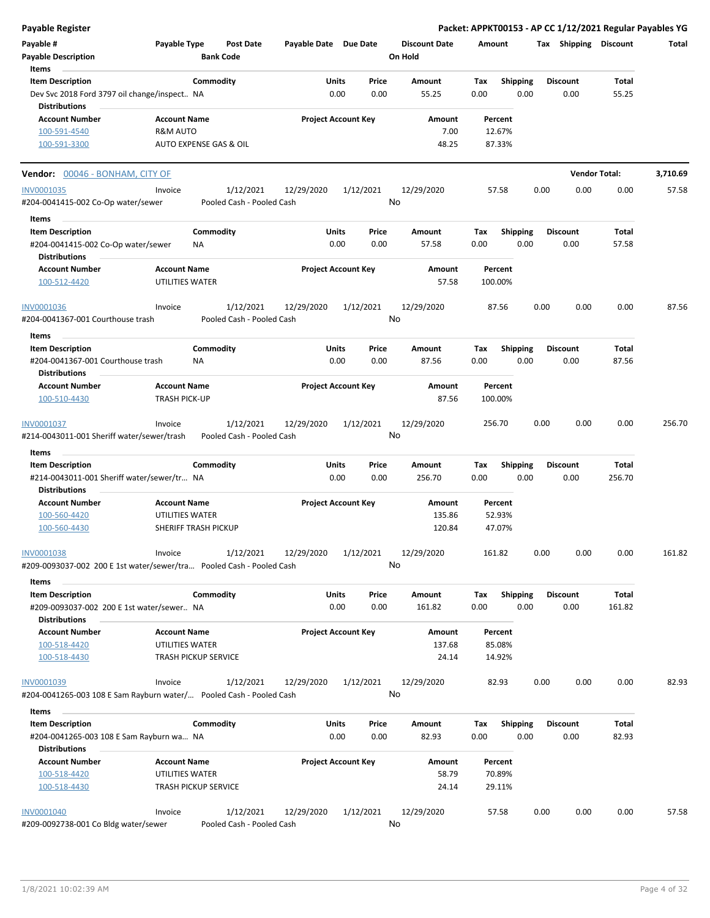**Payable Register Packet: APPKT00153 - AP CC 1/12/2021 Regular Payables YG Payable # Payable Type Post Date Payable Date Due Date Payable Description Bank Code Discount Date Amount Tax Shipping Discount Total On Hold** 0.00 0.00 **Units** Dev Svc 2018 Ford 3797 oil change/inspect… 0.00 NA **Item Description** 55.25 **Price Amount Tax** 0.00 55.25 Commodity **Shipping Shipping Commodity Shipping Discount** Total **Items** 0.00 **Discount Account Number Account Name Project Account Key Amount Distributions Percent**  $100-591-4540$  R&M AUTO REMOVE RAM AUTO REMOVE RANGED RANGED RANGED RANGED RANGED RANGED RANGED RANGED RANGED RANGED RANGED RANGED RANGED RANGED RANGED RANGED RANGED RANGED RANGED RANGED RANGED RANGED RANGED RANGED RANGED 100-591-3300 AUTO EXPENSE GAS & OIL 48.25 87.33% **Vendor:** 00046 - BONHAM, CITY OF **Vendor Total: 3,710.69** 1/12/2021 12/29/2020 1/12/2021 #204-0041415-002 Co-Op water/sewer Pooled Cash - Pooled Cash INV0001035 Invoice 12/29/2020 57.58 0.00 0.00 0.00 57.58 No 0.00 0.00 **Units** #204-0041415-002 Co-Op water/sewer 0.00 **Item Description** 57.58 **Price Amount Tax** 0.00 57.58 **Commodity Shipping Total** NA **Items** 0.00 **Discount Account Number Account Name Project Account Key Amount Distributions Percent** 100-512-4420 UTILITIES WATER 57.58 100.00% 1/12/2021 12/29/2020 1/12/2021 #204-0041367-001 Courthouse trash Pooled Cash - Pooled Cash INV0001036 Invoice 1/12/2021 12/29/2020 1/12/2021 12/29/2020 87.56 0.00 0.00 87.56 No 0.00 0.00 **Units** #204-0041367-001 Courthouse trash 0.00 **Item Description** 87.56 **Price Amount Tax** 0.00 87.56 **Commodity Shipping Total** NA **Items** 0.00 **Discount Account Number Account Name Project Account Key Amount Distributions Percent** 100-510-4430 **TRASH PICK-UP TRASH PICK-UP 100-510-4430 87.56 100.00%** 1/12/2021 12/29/2020 1/12/2021 #214-0043011-001 Sheriff water/sewer/trash Pooled Cash - Pooled Cash INV0001037 Invoice 12/29/2020 256.70 0.00 0.00 0.00 256.70 No 0.00 0.00 **Units** #214-0043011-001 Sheriff water/sewer/tr… 0.00 NA **Item Description** 256.70 **Price Amount Tax** 0.00 256.70 **Commodity Shipping Total Items** 0.00 **Discount Account Number Account Name Project Account Key Amount Distributions Percent** 100-560-4420 UTILITIES WATER 135.86 52.93% 100-560-4430 SHERIFF TRASH PICKUP 120.84 47.07% 1/12/2021 12/29/2020 1/12/2021 #209-0093037-002 200 E 1st water/sewer/tra… Pooled Cash - Pooled Cash INV0001038 Invoice 12/29/2020 161.82 0.00 0.00 0.00 161.82 No 0.00 0.00 **Units** #209-0093037-002 200 E 1st water/sewer… 0.00 NA **Item Description** 161.82 **Price Amount Tax** 0.00 161.82 Commodity **Shipping Shipping Commodity Shipping Discount** Total **Items** 0.00 **Discount Account Number Account Name Project Account Key Amount Distributions Percent** 100-518-4420 UTILITIES WATER 137.68 85.08% 100-518-4430 TRASH PICKUP SERVICE 24.14 14.92% 1/12/2021 12/29/2020 1/12/2021 #204-0041265-003 108 E Sam Rayburn water/… Pooled Cash - Pooled Cash INV0001039 Invoice 12/29/2020 82.93 0.00 0.00 0.00 82.93 No 0.00 0.00 **Units** #204-0041265-003 108 E Sam Rayburn wa… 0.00 NA **Item Description** 82.93 **Price Amount Tax** 0.00 82.93 **Commodity Shipping Total Items** 0.00 **Discount Account Number Account Name Project Account Key Amount Distributions Percent** 100-518-4420 UTILITIES WATER 58.79 70.89% 100-518-4430 TRASH PICKUP SERVICE 24.14 29.11% 1/12/2021 12/29/2020 1/12/2021 #209-0092738-001 Co Bldg water/sewer Pooled Cash - Pooled Cash INV0001040 Invoice 12/29/2020 57.58 0.00 0.00 0.00 57.58 No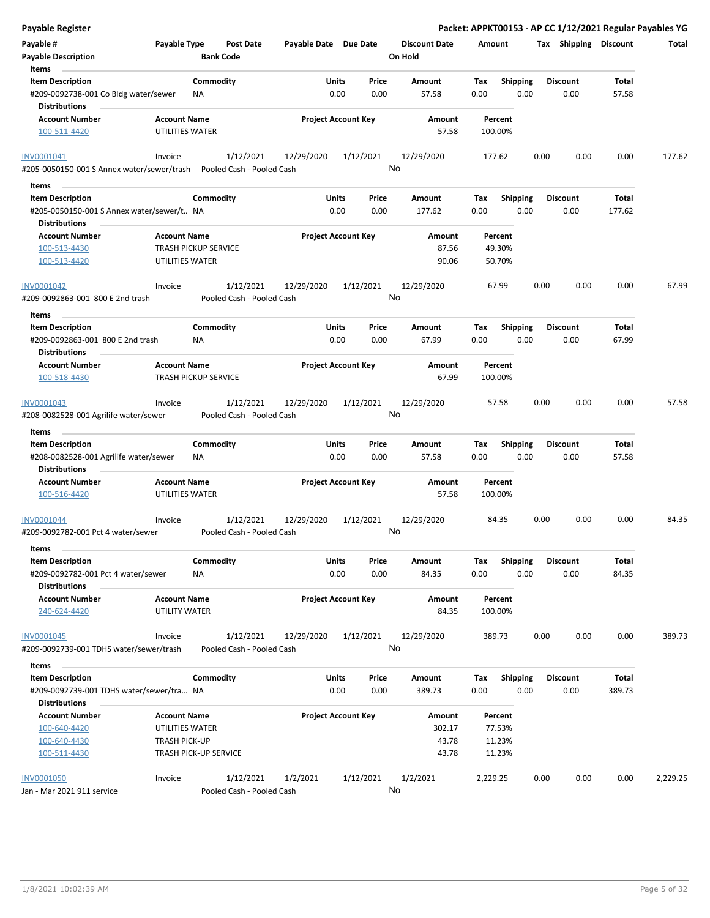| <b>Payable Register</b>                                                 |                             |                  |                                        |                            |              |                 |                                 |          |                 |      |                       | Packet: APPKT00153 - AP CC 1/12/2021 Regular Payables YG |          |
|-------------------------------------------------------------------------|-----------------------------|------------------|----------------------------------------|----------------------------|--------------|-----------------|---------------------------------|----------|-----------------|------|-----------------------|----------------------------------------------------------|----------|
| Payable #<br><b>Payable Description</b>                                 | Payable Type                | <b>Bank Code</b> | <b>Post Date</b>                       | Payable Date Due Date      |              |                 | <b>Discount Date</b><br>On Hold | Amount   |                 |      | Tax Shipping Discount |                                                          | Total    |
| Items                                                                   |                             |                  |                                        |                            |              |                 |                                 |          |                 |      |                       |                                                          |          |
| <b>Item Description</b>                                                 |                             | Commodity        |                                        |                            | Units        | Price           | Amount                          | Tax      | <b>Shipping</b> |      | <b>Discount</b>       | Total                                                    |          |
| #209-0092738-001 Co Bldg water/sewer<br><b>Distributions</b>            |                             | <b>NA</b>        |                                        |                            | 0.00         | 0.00            | 57.58                           | 0.00     | 0.00            |      | 0.00                  | 57.58                                                    |          |
| <b>Account Number</b>                                                   | <b>Account Name</b>         |                  |                                        | <b>Project Account Key</b> |              |                 | Amount                          |          | Percent         |      |                       |                                                          |          |
| 100-511-4420                                                            | UTILITIES WATER             |                  |                                        |                            |              |                 | 57.58                           |          | 100.00%         |      |                       |                                                          |          |
| INV0001041                                                              | Invoice                     |                  | 1/12/2021                              | 12/29/2020                 |              | 1/12/2021<br>No | 12/29/2020                      |          | 177.62          | 0.00 | 0.00                  | 0.00                                                     | 177.62   |
| #205-0050150-001 S Annex water/sewer/trash    Pooled Cash - Pooled Cash |                             |                  |                                        |                            |              |                 |                                 |          |                 |      |                       |                                                          |          |
| Items                                                                   |                             |                  |                                        |                            |              |                 |                                 |          |                 |      |                       |                                                          |          |
| <b>Item Description</b>                                                 |                             | Commodity        |                                        |                            | Units        | Price           | Amount                          | Tax      | <b>Shipping</b> |      | <b>Discount</b>       | Total                                                    |          |
| #205-0050150-001 S Annex water/sewer/t NA                               |                             |                  |                                        |                            | 0.00         | 0.00            | 177.62                          | 0.00     | 0.00            |      | 0.00                  | 177.62                                                   |          |
| Distributions                                                           |                             |                  |                                        |                            |              |                 |                                 |          |                 |      |                       |                                                          |          |
| <b>Account Number</b>                                                   | <b>Account Name</b>         |                  |                                        | <b>Project Account Key</b> |              |                 | Amount                          |          | Percent         |      |                       |                                                          |          |
| 100-513-4430                                                            | <b>TRASH PICKUP SERVICE</b> |                  |                                        |                            |              |                 | 87.56                           |          | 49.30%          |      |                       |                                                          |          |
| 100-513-4420                                                            | UTILITIES WATER             |                  |                                        |                            |              |                 | 90.06                           |          | 50.70%          |      |                       |                                                          |          |
| INV0001042                                                              | Invoice                     |                  | 1/12/2021                              | 12/29/2020                 |              | 1/12/2021       | 12/29/2020                      |          | 67.99           | 0.00 | 0.00                  | 0.00                                                     | 67.99    |
| #209-0092863-001 800 E 2nd trash                                        |                             |                  | Pooled Cash - Pooled Cash              |                            |              | No              |                                 |          |                 |      |                       |                                                          |          |
| Items                                                                   |                             |                  |                                        |                            |              |                 |                                 |          |                 |      |                       |                                                          |          |
| <b>Item Description</b>                                                 |                             | Commodity        |                                        |                            | Units        | Price           | Amount                          | Tax      | <b>Shipping</b> |      | <b>Discount</b>       | Total                                                    |          |
| #209-0092863-001 800 E 2nd trash                                        |                             | NA               |                                        |                            | 0.00         | 0.00            | 67.99                           | 0.00     | 0.00            |      | 0.00                  | 67.99                                                    |          |
| Distributions                                                           |                             |                  |                                        |                            |              |                 |                                 |          |                 |      |                       |                                                          |          |
| <b>Account Number</b>                                                   | <b>Account Name</b>         |                  |                                        | <b>Project Account Key</b> |              |                 | Amount                          |          | Percent         |      |                       |                                                          |          |
| 100-518-4430                                                            | <b>TRASH PICKUP SERVICE</b> |                  |                                        |                            |              |                 | 67.99                           |          | 100.00%         |      |                       |                                                          |          |
| INV0001043                                                              | Invoice                     |                  | 1/12/2021                              | 12/29/2020                 |              | 1/12/2021       | 12/29/2020                      |          | 57.58           | 0.00 | 0.00                  | 0.00                                                     | 57.58    |
| #208-0082528-001 Agrilife water/sewer                                   |                             |                  | Pooled Cash - Pooled Cash              |                            |              | No              |                                 |          |                 |      |                       |                                                          |          |
| Items                                                                   |                             |                  |                                        |                            |              |                 |                                 |          |                 |      |                       |                                                          |          |
| <b>Item Description</b>                                                 |                             | Commodity        |                                        |                            | <b>Units</b> | Price           | Amount                          | Tax      | <b>Shipping</b> |      | Discount              | Total                                                    |          |
| #208-0082528-001 Agrilife water/sewer<br><b>Distributions</b>           |                             | ΝA               |                                        |                            | 0.00         | 0.00            | 57.58                           | 0.00     | 0.00            |      | 0.00                  | 57.58                                                    |          |
| <b>Account Number</b>                                                   | <b>Account Name</b>         |                  |                                        | <b>Project Account Key</b> |              |                 | Amount                          |          | Percent         |      |                       |                                                          |          |
| 100-516-4420                                                            | UTILITIES WATER             |                  |                                        |                            |              |                 | 57.58                           |          | 100.00%         |      |                       |                                                          |          |
| <b>INV0001044</b><br>#209-0092782-001 Pct 4 water/sewer                 | Invoice                     |                  | 1/12/2021<br>Pooled Cash - Pooled Cash | 12/29/2020                 |              | 1/12/2021<br>No | 12/29/2020                      |          | 84.35           | 0.00 | 0.00                  | 0.00                                                     | 84.35    |
| Items                                                                   |                             |                  |                                        |                            |              |                 |                                 |          |                 |      |                       |                                                          |          |
| <b>Item Description</b>                                                 |                             | Commodity        |                                        |                            | <b>Units</b> | Price           | Amount                          | Tax      | <b>Shipping</b> |      | <b>Discount</b>       | Total                                                    |          |
| #209-0092782-001 Pct 4 water/sewer                                      |                             | <b>NA</b>        |                                        |                            | 0.00         | 0.00            | 84.35                           | 0.00     | 0.00            |      | 0.00                  | 84.35                                                    |          |
| <b>Distributions</b>                                                    |                             |                  |                                        |                            |              |                 |                                 |          |                 |      |                       |                                                          |          |
| <b>Account Number</b>                                                   | <b>Account Name</b>         |                  |                                        | <b>Project Account Key</b> |              |                 | Amount                          |          | Percent         |      |                       |                                                          |          |
| 240-624-4420                                                            | UTILITY WATER               |                  |                                        |                            |              |                 | 84.35                           |          | 100.00%         |      |                       |                                                          |          |
| <b>INV0001045</b>                                                       | Invoice                     |                  | 1/12/2021                              | 12/29/2020                 |              | 1/12/2021       | 12/29/2020                      |          | 389.73          | 0.00 | 0.00                  | 0.00                                                     | 389.73   |
| #209-0092739-001 TDHS water/sewer/trash                                 |                             |                  | Pooled Cash - Pooled Cash              |                            |              | No              |                                 |          |                 |      |                       |                                                          |          |
| Items                                                                   |                             |                  |                                        |                            |              |                 |                                 |          |                 |      |                       |                                                          |          |
| <b>Item Description</b>                                                 |                             | Commodity        |                                        |                            | <b>Units</b> | Price           | Amount                          | Tax      | <b>Shipping</b> |      | <b>Discount</b>       | Total                                                    |          |
| #209-0092739-001 TDHS water/sewer/tra NA                                |                             |                  |                                        |                            | 0.00         | 0.00            | 389.73                          | 0.00     | 0.00            |      | 0.00                  | 389.73                                                   |          |
| <b>Distributions</b>                                                    |                             |                  |                                        |                            |              |                 |                                 |          |                 |      |                       |                                                          |          |
| <b>Account Number</b>                                                   | <b>Account Name</b>         |                  |                                        | <b>Project Account Key</b> |              |                 | Amount                          |          | Percent         |      |                       |                                                          |          |
| 100-640-4420                                                            | UTILITIES WATER             |                  |                                        |                            |              |                 | 302.17                          |          | 77.53%          |      |                       |                                                          |          |
| 100-640-4430                                                            | <b>TRASH PICK-UP</b>        |                  |                                        |                            |              |                 | 43.78                           |          | 11.23%          |      |                       |                                                          |          |
| 100-511-4430                                                            | TRASH PICK-UP SERVICE       |                  |                                        |                            |              |                 | 43.78                           |          | 11.23%          |      |                       |                                                          |          |
| INV0001050                                                              | Invoice                     |                  | 1/12/2021                              | 1/2/2021                   |              | 1/12/2021       | 1/2/2021                        | 2,229.25 |                 | 0.00 | 0.00                  | 0.00                                                     | 2,229.25 |
| Jan - Mar 2021 911 service                                              |                             |                  | Pooled Cash - Pooled Cash              |                            |              | No              |                                 |          |                 |      |                       |                                                          |          |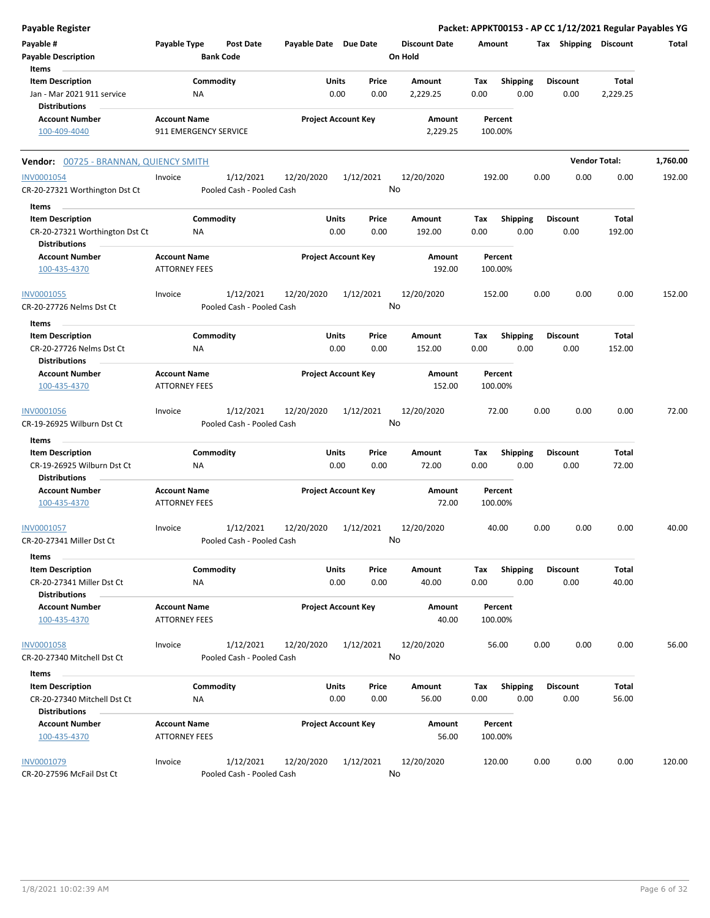| Payable Register                                                                  |                                             |                  |                                        |                       |                            |               |                                 |             |                         |      |                         | Packet: APPKT00153 - AP CC 1/12/2021 Regular Payables YG |          |
|-----------------------------------------------------------------------------------|---------------------------------------------|------------------|----------------------------------------|-----------------------|----------------------------|---------------|---------------------------------|-------------|-------------------------|------|-------------------------|----------------------------------------------------------|----------|
| Payable #<br><b>Payable Description</b>                                           | Payable Type                                | <b>Bank Code</b> | <b>Post Date</b>                       | Payable Date Due Date |                            |               | <b>Discount Date</b><br>On Hold | Amount      |                         |      | Tax Shipping Discount   |                                                          | Total    |
| Items<br><b>Item Description</b><br>Jan - Mar 2021 911 service                    |                                             | Commodity<br>NA  |                                        |                       | Units<br>0.00              | Price<br>0.00 | Amount<br>2,229.25              | Tax<br>0.00 | <b>Shipping</b><br>0.00 |      | <b>Discount</b><br>0.00 | Total<br>2,229.25                                        |          |
| <b>Distributions</b><br><b>Account Number</b>                                     | <b>Account Name</b>                         |                  |                                        |                       | <b>Project Account Key</b> |               | Amount                          |             | Percent                 |      |                         |                                                          |          |
| 100-409-4040                                                                      | 911 EMERGENCY SERVICE                       |                  |                                        |                       |                            |               | 2,229.25                        |             | 100.00%                 |      |                         |                                                          |          |
| Vendor: 00725 - BRANNAN, QUIENCY SMITH                                            |                                             |                  |                                        |                       |                            |               |                                 |             |                         |      |                         | <b>Vendor Total:</b>                                     | 1,760.00 |
| <b>INV0001054</b><br>CR-20-27321 Worthington Dst Ct                               | Invoice                                     |                  | 1/12/2021<br>Pooled Cash - Pooled Cash | 12/20/2020            |                            | 1/12/2021     | 12/20/2020<br>No                |             | 192.00                  | 0.00 | 0.00                    | 0.00                                                     | 192.00   |
| Items                                                                             |                                             |                  |                                        |                       | Units                      |               |                                 |             |                         |      | <b>Discount</b>         |                                                          |          |
| <b>Item Description</b><br>CR-20-27321 Worthington Dst Ct<br><b>Distributions</b> |                                             | Commodity<br>NA  |                                        |                       | 0.00                       | Price<br>0.00 | Amount<br>192.00                | Tax<br>0.00 | <b>Shipping</b><br>0.00 |      | 0.00                    | Total<br>192.00                                          |          |
| <b>Account Number</b><br>100-435-4370                                             | <b>Account Name</b><br><b>ATTORNEY FEES</b> |                  |                                        |                       | <b>Project Account Key</b> |               | Amount<br>192.00                |             | Percent<br>100.00%      |      |                         |                                                          |          |
| INV0001055<br>CR-20-27726 Nelms Dst Ct                                            | Invoice                                     |                  | 1/12/2021<br>Pooled Cash - Pooled Cash | 12/20/2020            |                            | 1/12/2021     | 12/20/2020<br>No                |             | 152.00                  | 0.00 | 0.00                    | 0.00                                                     | 152.00   |
| Items                                                                             |                                             |                  |                                        |                       |                            |               |                                 |             |                         |      |                         |                                                          |          |
| <b>Item Description</b><br>CR-20-27726 Nelms Dst Ct                               |                                             | Commodity<br>ΝA  |                                        |                       | Units<br>0.00              | Price<br>0.00 | Amount<br>152.00                | Tax<br>0.00 | <b>Shipping</b><br>0.00 |      | <b>Discount</b><br>0.00 | Total<br>152.00                                          |          |
| Distributions<br><b>Account Number</b>                                            | <b>Account Name</b>                         |                  |                                        |                       | <b>Project Account Key</b> |               | Amount                          |             | Percent                 |      |                         |                                                          |          |
| 100-435-4370                                                                      | <b>ATTORNEY FEES</b>                        |                  |                                        |                       |                            |               | 152.00                          |             | 100.00%                 |      |                         |                                                          |          |
| INV0001056<br>CR-19-26925 Wilburn Dst Ct                                          | Invoice                                     |                  | 1/12/2021<br>Pooled Cash - Pooled Cash | 12/20/2020            |                            | 1/12/2021     | 12/20/2020<br>No                |             | 72.00                   | 0.00 | 0.00                    | 0.00                                                     | 72.00    |
| Items                                                                             |                                             |                  |                                        |                       |                            |               |                                 |             |                         |      |                         |                                                          |          |
| <b>Item Description</b><br>CR-19-26925 Wilburn Dst Ct<br><b>Distributions</b>     |                                             | Commodity<br>NA  |                                        |                       | Units<br>0.00              | Price<br>0.00 | Amount<br>72.00                 | Tax<br>0.00 | Shipping<br>0.00        |      | <b>Discount</b><br>0.00 | Total<br>72.00                                           |          |
| <b>Account Number</b><br>100-435-4370                                             | <b>Account Name</b><br><b>ATTORNEY FEES</b> |                  |                                        |                       | <b>Project Account Key</b> |               | Amount<br>72.00                 |             | Percent<br>100.00%      |      |                         |                                                          |          |
| INV0001057<br>CR-20-27341 Miller Dst Ct                                           | Invoice                                     |                  | 1/12/2021<br>Pooled Cash - Pooled Cash | 12/20/2020            |                            | 1/12/2021     | 12/20/2020<br>No                |             | 40.00                   | 0.00 | 0.00                    | 0.00                                                     | 40.00    |
| Items<br><b>Item Description</b><br>CR-20-27341 Miller Dst Ct                     |                                             | Commodity<br>NA  |                                        |                       | <b>Units</b><br>0.00       | Price<br>0.00 | Amount<br>40.00                 | Tax<br>0.00 | <b>Shipping</b><br>0.00 |      | <b>Discount</b><br>0.00 | Total<br>40.00                                           |          |
| <b>Distributions</b><br><b>Account Number</b><br>100-435-4370                     | <b>Account Name</b><br><b>ATTORNEY FEES</b> |                  |                                        |                       | <b>Project Account Key</b> |               | Amount<br>40.00                 |             | Percent<br>100.00%      |      |                         |                                                          |          |
| <b>INV0001058</b><br>CR-20-27340 Mitchell Dst Ct                                  | Invoice                                     |                  | 1/12/2021<br>Pooled Cash - Pooled Cash | 12/20/2020            |                            | 1/12/2021     | 12/20/2020<br>No                |             | 56.00                   | 0.00 | 0.00                    | 0.00                                                     | 56.00    |
| Items                                                                             |                                             |                  |                                        |                       |                            |               |                                 |             |                         |      |                         |                                                          |          |
| <b>Item Description</b><br>CR-20-27340 Mitchell Dst Ct<br><b>Distributions</b>    |                                             | Commodity<br>NA  |                                        |                       | <b>Units</b><br>0.00       | Price<br>0.00 | Amount<br>56.00                 | Tax<br>0.00 | <b>Shipping</b><br>0.00 |      | <b>Discount</b><br>0.00 | Total<br>56.00                                           |          |
| <b>Account Number</b><br>100-435-4370                                             | <b>Account Name</b><br><b>ATTORNEY FEES</b> |                  |                                        |                       | <b>Project Account Key</b> |               | Amount<br>56.00                 |             | Percent<br>100.00%      |      |                         |                                                          |          |
| INV0001079<br>CR-20-27596 McFail Dst Ct                                           | Invoice                                     |                  | 1/12/2021<br>Pooled Cash - Pooled Cash | 12/20/2020            |                            | 1/12/2021     | 12/20/2020<br>No                |             | 120.00                  | 0.00 | 0.00                    | 0.00                                                     | 120.00   |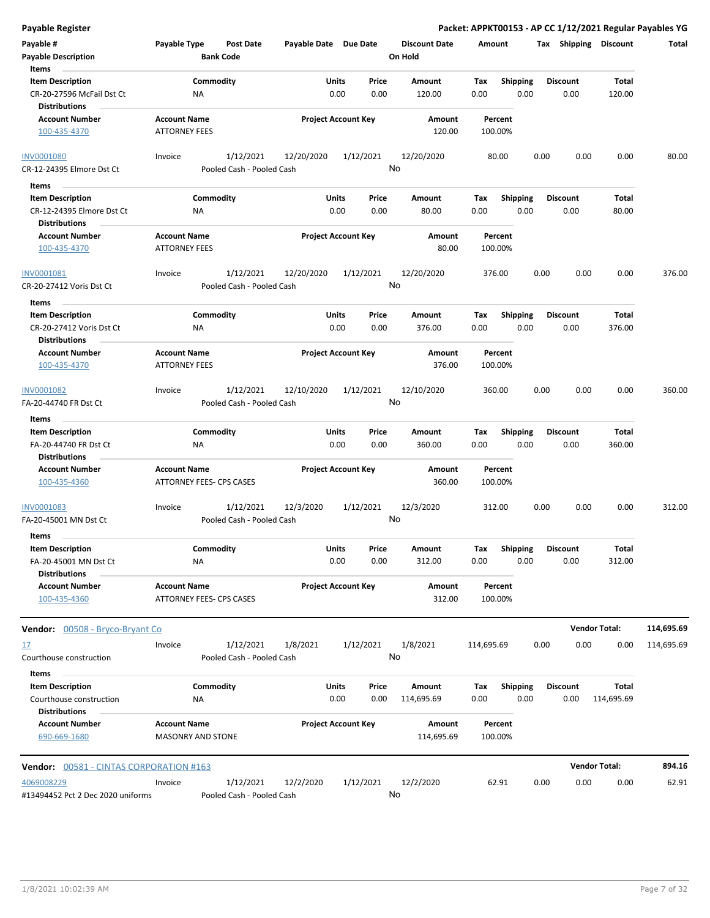| Payable Register                                                             |                                                        |                                        |                            |                      |               |                                 |             |                         |      |                         |                            | Packet: APPKT00153 - AP CC 1/12/2021 Regular Payables YG |
|------------------------------------------------------------------------------|--------------------------------------------------------|----------------------------------------|----------------------------|----------------------|---------------|---------------------------------|-------------|-------------------------|------|-------------------------|----------------------------|----------------------------------------------------------|
| Payable #<br><b>Payable Description</b>                                      | Payable Type                                           | <b>Post Date</b><br><b>Bank Code</b>   | Payable Date Due Date      |                      |               | <b>Discount Date</b><br>On Hold | Amount      |                         |      | Tax Shipping Discount   |                            | Total                                                    |
| Items                                                                        |                                                        |                                        |                            |                      |               |                                 |             |                         |      |                         |                            |                                                          |
| <b>Item Description</b><br>CR-20-27596 McFail Dst Ct<br><b>Distributions</b> | ΝA                                                     | Commodity                              |                            | <b>Units</b><br>0.00 | Price<br>0.00 | Amount<br>120.00                | Tax<br>0.00 | Shipping<br>0.00        |      | <b>Discount</b><br>0.00 | <b>Total</b><br>120.00     |                                                          |
| <b>Account Number</b><br>100-435-4370                                        | <b>Account Name</b><br><b>ATTORNEY FEES</b>            |                                        | <b>Project Account Key</b> |                      |               | Amount<br>120.00                |             | Percent<br>100.00%      |      |                         |                            |                                                          |
|                                                                              |                                                        |                                        |                            |                      |               |                                 |             |                         |      |                         |                            |                                                          |
| <b>INV0001080</b><br>CR-12-24395 Elmore Dst Ct                               | Invoice                                                | 1/12/2021<br>Pooled Cash - Pooled Cash | 12/20/2020                 |                      | 1/12/2021     | 12/20/2020<br>No                |             | 80.00                   | 0.00 | 0.00                    | 0.00                       | 80.00                                                    |
| Items                                                                        |                                                        |                                        |                            |                      |               |                                 |             |                         |      |                         |                            |                                                          |
| <b>Item Description</b><br>CR-12-24395 Elmore Dst Ct<br><b>Distributions</b> | ΝA                                                     | Commodity                              |                            | Units<br>0.00        | Price<br>0.00 | Amount<br>80.00                 | Tax<br>0.00 | <b>Shipping</b><br>0.00 |      | <b>Discount</b><br>0.00 | Total<br>80.00             |                                                          |
| <b>Account Number</b><br>100-435-4370                                        | <b>Account Name</b><br><b>ATTORNEY FEES</b>            |                                        | <b>Project Account Key</b> |                      |               | Amount<br>80.00                 |             | Percent<br>100.00%      |      |                         |                            |                                                          |
| INV0001081<br>CR-20-27412 Voris Dst Ct                                       | Invoice                                                | 1/12/2021<br>Pooled Cash - Pooled Cash | 12/20/2020                 |                      | 1/12/2021     | 12/20/2020<br>No                |             | 376.00                  | 0.00 | 0.00                    | 0.00                       | 376.00                                                   |
| Items                                                                        |                                                        |                                        |                            |                      |               |                                 |             |                         |      |                         |                            |                                                          |
| <b>Item Description</b><br>CR-20-27412 Voris Dst Ct<br><b>Distributions</b>  | ΝA                                                     | Commodity                              |                            | Units<br>0.00        | Price<br>0.00 | Amount<br>376.00                | Tax<br>0.00 | <b>Shipping</b><br>0.00 |      | <b>Discount</b><br>0.00 | Total<br>376.00            |                                                          |
| <b>Account Number</b><br>100-435-4370                                        | <b>Account Name</b><br><b>ATTORNEY FEES</b>            |                                        | <b>Project Account Key</b> |                      |               | Amount<br>376.00                |             | Percent<br>100.00%      |      |                         |                            |                                                          |
| INV0001082<br>FA-20-44740 FR Dst Ct                                          | Invoice                                                | 1/12/2021<br>Pooled Cash - Pooled Cash | 12/10/2020                 |                      | 1/12/2021     | 12/10/2020<br>No                |             | 360.00                  | 0.00 | 0.00                    | 0.00                       | 360.00                                                   |
| Items                                                                        |                                                        |                                        |                            |                      |               |                                 |             |                         |      |                         |                            |                                                          |
| <b>Item Description</b><br>FA-20-44740 FR Dst Ct<br><b>Distributions</b>     | NA                                                     | Commodity                              |                            | Units<br>0.00        | Price<br>0.00 | Amount<br>360.00                | Tax<br>0.00 | <b>Shipping</b><br>0.00 |      | <b>Discount</b><br>0.00 | <b>Total</b><br>360.00     |                                                          |
| <b>Account Number</b><br>100-435-4360                                        | <b>Account Name</b><br><b>ATTORNEY FEES- CPS CASES</b> |                                        | <b>Project Account Key</b> |                      |               | Amount<br>360.00                |             | Percent<br>100.00%      |      |                         |                            |                                                          |
| INV0001083<br>FA-20-45001 MN Dst Ct                                          | Invoice                                                | 1/12/2021<br>Pooled Cash - Pooled Cash | 12/3/2020                  |                      | 1/12/2021     | 12/3/2020<br>No                 |             | 312.00                  | 0.00 | 0.00                    | 0.00                       | 312.00                                                   |
| Items<br><b>Item Description</b>                                             |                                                        | Commodity                              |                            | Units                | Price         | Amount                          | Tax         | Shipping                |      | <b>Discount</b>         | <b>Total</b>               |                                                          |
| FA-20-45001 MN Dst Ct<br><b>Distributions</b>                                | ΝA                                                     |                                        |                            | 0.00                 | 0.00          | 312.00                          | 0.00        | 0.00                    |      | 0.00                    | 312.00                     |                                                          |
| <b>Account Number</b><br>100-435-4360                                        | <b>Account Name</b><br>ATTORNEY FEES- CPS CASES        |                                        | <b>Project Account Key</b> |                      |               | <b>Amount</b><br>312.00         |             | Percent<br>100.00%      |      |                         |                            |                                                          |
| <b>Vendor:</b> 00508 - Bryco-Bryant Co                                       |                                                        |                                        |                            |                      |               |                                 |             |                         |      |                         | <b>Vendor Total:</b>       | 114,695.69                                               |
| 17                                                                           | Invoice                                                | 1/12/2021                              | 1/8/2021                   |                      | 1/12/2021     | 1/8/2021                        | 114,695.69  |                         | 0.00 | 0.00                    | 0.00                       | 114,695.69                                               |
| Courthouse construction<br>Items                                             |                                                        | Pooled Cash - Pooled Cash              |                            |                      |               | No                              |             |                         |      |                         |                            |                                                          |
| <b>Item Description</b><br>Courthouse construction<br><b>Distributions</b>   | ΝA                                                     | Commodity                              |                            | <b>Units</b><br>0.00 | Price<br>0.00 | Amount<br>114,695.69            | Tax<br>0.00 | Shipping<br>0.00        |      | <b>Discount</b><br>0.00 | <b>Total</b><br>114,695.69 |                                                          |
| <b>Account Number</b><br>690-669-1680                                        | <b>Account Name</b><br><b>MASONRY AND STONE</b>        |                                        | <b>Project Account Key</b> |                      |               | Amount<br>114,695.69            |             | Percent<br>100.00%      |      |                         |                            |                                                          |
| <b>Vendor: 00581 - CINTAS CORPORATION #163</b>                               |                                                        |                                        |                            |                      |               |                                 |             |                         |      |                         | <b>Vendor Total:</b>       | 894.16                                                   |
| 4069008229<br>#13494452 Pct 2 Dec 2020 uniforms                              | Invoice                                                | 1/12/2021<br>Pooled Cash - Pooled Cash | 12/2/2020                  |                      | 1/12/2021     | 12/2/2020<br>No                 |             | 62.91                   | 0.00 | 0.00                    | 0.00                       | 62.91                                                    |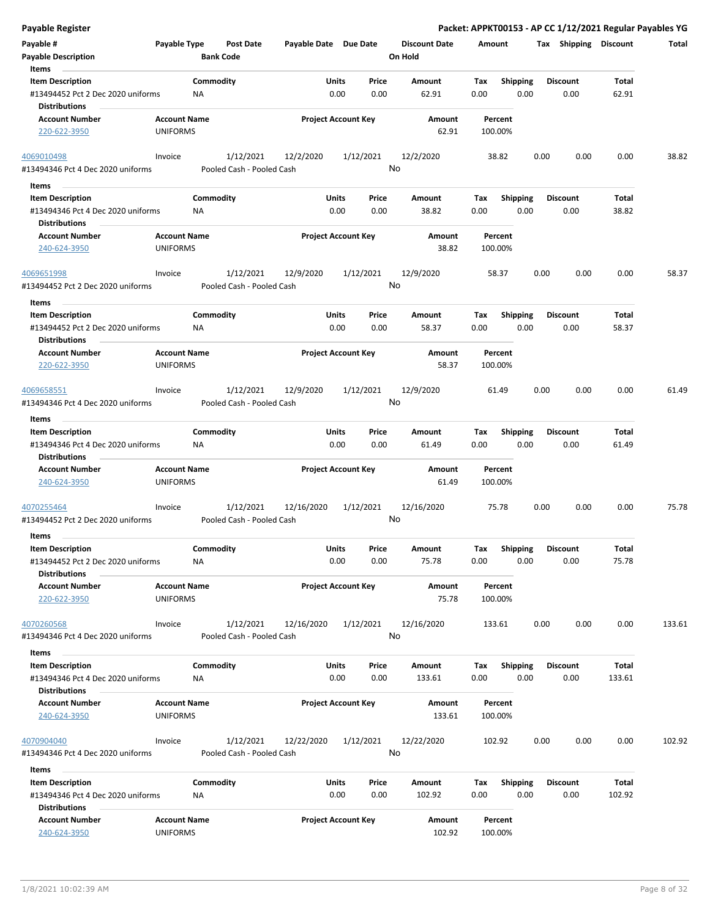| <b>Payable Register</b>                                                              |                     |                  |                           |                       |                            |               |                      |             |                         |      |                         |                | Packet: APPKT00153 - AP CC 1/12/2021 Regular Payables YG |
|--------------------------------------------------------------------------------------|---------------------|------------------|---------------------------|-----------------------|----------------------------|---------------|----------------------|-------------|-------------------------|------|-------------------------|----------------|----------------------------------------------------------|
| Payable #                                                                            | Payable Type        |                  | Post Date                 | Payable Date Due Date |                            |               | <b>Discount Date</b> | Amount      |                         |      | Tax Shipping Discount   |                | Total                                                    |
| <b>Payable Description</b>                                                           |                     | <b>Bank Code</b> |                           |                       |                            |               | On Hold              |             |                         |      |                         |                |                                                          |
| Items                                                                                |                     |                  |                           |                       |                            |               |                      |             |                         |      |                         |                |                                                          |
| <b>Item Description</b>                                                              |                     | Commodity        |                           |                       | Units                      | Price         | Amount               | Tax         | <b>Shipping</b>         |      | <b>Discount</b>         | Total          |                                                          |
| #13494452 Pct 2 Dec 2020 uniforms                                                    |                     | <b>NA</b>        |                           |                       | 0.00                       | 0.00          | 62.91                | 0.00        | 0.00                    |      | 0.00                    | 62.91          |                                                          |
| <b>Distributions</b>                                                                 |                     |                  |                           |                       |                            |               |                      |             |                         |      |                         |                |                                                          |
| <b>Account Number</b>                                                                | <b>Account Name</b> |                  |                           |                       | <b>Project Account Key</b> |               | Amount               |             | Percent                 |      |                         |                |                                                          |
| 220-622-3950                                                                         | UNIFORMS            |                  |                           |                       |                            |               | 62.91                |             | 100.00%                 |      |                         |                |                                                          |
| 4069010498                                                                           | Invoice             |                  | 1/12/2021                 | 12/2/2020             |                            | 1/12/2021     | 12/2/2020            |             | 38.82                   | 0.00 | 0.00                    | 0.00           | 38.82                                                    |
| #13494346 Pct 4 Dec 2020 uniforms                                                    |                     |                  | Pooled Cash - Pooled Cash |                       |                            |               | No                   |             |                         |      |                         |                |                                                          |
|                                                                                      |                     |                  |                           |                       |                            |               |                      |             |                         |      |                         |                |                                                          |
| Items                                                                                |                     | Commodity        |                           |                       | Units                      |               |                      |             |                         |      | <b>Discount</b>         |                |                                                          |
| <b>Item Description</b><br>#13494346 Pct 4 Dec 2020 uniforms                         |                     | NA               |                           |                       | 0.00                       | Price<br>0.00 | Amount<br>38.82      | Tax<br>0.00 | <b>Shipping</b><br>0.00 |      | 0.00                    | Total<br>38.82 |                                                          |
| <b>Distributions</b>                                                                 |                     |                  |                           |                       |                            |               |                      |             |                         |      |                         |                |                                                          |
| <b>Account Number</b>                                                                | <b>Account Name</b> |                  |                           |                       | <b>Project Account Key</b> |               | Amount               |             | Percent                 |      |                         |                |                                                          |
| 240-624-3950                                                                         | <b>UNIFORMS</b>     |                  |                           |                       |                            |               | 38.82                |             | 100.00%                 |      |                         |                |                                                          |
| 4069651998                                                                           | Invoice             |                  | 1/12/2021                 | 12/9/2020             |                            | 1/12/2021     | 12/9/2020            |             | 58.37                   | 0.00 | 0.00                    | 0.00           | 58.37                                                    |
| #13494452 Pct 2 Dec 2020 uniforms                                                    |                     |                  | Pooled Cash - Pooled Cash |                       |                            |               | No                   |             |                         |      |                         |                |                                                          |
| Items                                                                                |                     |                  |                           |                       |                            |               |                      |             |                         |      |                         |                |                                                          |
| <b>Item Description</b><br>#13494452 Pct 2 Dec 2020 uniforms<br><b>Distributions</b> |                     | Commodity<br>ΝA  |                           |                       | <b>Units</b><br>0.00       | Price<br>0.00 | Amount<br>58.37      | Tax<br>0.00 | <b>Shipping</b><br>0.00 |      | <b>Discount</b><br>0.00 | Total<br>58.37 |                                                          |
| <b>Account Number</b>                                                                | <b>Account Name</b> |                  |                           |                       | <b>Project Account Key</b> |               | Amount               |             | Percent                 |      |                         |                |                                                          |
| 220-622-3950                                                                         | <b>UNIFORMS</b>     |                  |                           |                       |                            |               | 58.37                |             | 100.00%                 |      |                         |                |                                                          |
| 4069658551                                                                           | Invoice             |                  | 1/12/2021                 | 12/9/2020             |                            | 1/12/2021     | 12/9/2020            |             | 61.49                   | 0.00 | 0.00                    | 0.00           | 61.49                                                    |
| #13494346 Pct 4 Dec 2020 uniforms                                                    |                     |                  | Pooled Cash - Pooled Cash |                       |                            |               | No                   |             |                         |      |                         |                |                                                          |
|                                                                                      |                     |                  |                           |                       |                            |               |                      |             |                         |      |                         |                |                                                          |
| Items                                                                                |                     | Commodity        |                           |                       | <b>Units</b>               |               |                      |             |                         |      | <b>Discount</b>         |                |                                                          |
| <b>Item Description</b><br>#13494346 Pct 4 Dec 2020 uniforms<br><b>Distributions</b> |                     | NA               |                           |                       | 0.00                       | Price<br>0.00 | Amount<br>61.49      | Tax<br>0.00 | <b>Shipping</b><br>0.00 |      | 0.00                    | Total<br>61.49 |                                                          |
| <b>Account Number</b>                                                                | <b>Account Name</b> |                  |                           |                       | <b>Project Account Key</b> |               | Amount               |             | Percent                 |      |                         |                |                                                          |
| 240-624-3950                                                                         | <b>UNIFORMS</b>     |                  |                           |                       |                            |               | 61.49                |             | 100.00%                 |      |                         |                |                                                          |
| 4070255464                                                                           | Invoice             |                  | 1/12/2021                 | 12/16/2020            |                            | 1/12/2021     | 12/16/2020           |             | 75.78                   | 0.00 | 0.00                    | 0.00           | 75.78                                                    |
| #13494452 Pct 2 Dec 2020 uniforms                                                    |                     |                  | Pooled Cash - Pooled Cash |                       |                            |               | No                   |             |                         |      |                         |                |                                                          |
| Items                                                                                |                     |                  |                           |                       |                            |               |                      |             |                         |      |                         |                |                                                          |
| <b>Item Description</b>                                                              |                     | Commodity        |                           |                       | Units                      | Price         | Amount               | Tax         | <b>Shipping</b>         |      | <b>Discount</b>         | Total          |                                                          |
| #13494452 Pct 2 Dec 2020 uniforms<br><b>Distributions</b>                            |                     | NA               |                           |                       | 0.00                       | 0.00          | 75.78                | 0.00        | 0.00                    |      | 0.00                    | 75.78          |                                                          |
| <b>Account Number</b>                                                                | <b>Account Name</b> |                  |                           |                       | <b>Project Account Key</b> |               | Amount               |             | Percent                 |      |                         |                |                                                          |
| 220-622-3950                                                                         | <b>UNIFORMS</b>     |                  |                           |                       |                            |               | 75.78                |             | 100.00%                 |      |                         |                |                                                          |
| 4070260568                                                                           | Invoice             |                  | 1/12/2021                 | 12/16/2020            |                            | 1/12/2021     | 12/16/2020           |             | 133.61                  | 0.00 | 0.00                    | 0.00           | 133.61                                                   |
| #13494346 Pct 4 Dec 2020 uniforms                                                    |                     |                  | Pooled Cash - Pooled Cash |                       |                            |               | No                   |             |                         |      |                         |                |                                                          |
|                                                                                      |                     |                  |                           |                       |                            |               |                      |             |                         |      |                         |                |                                                          |
| Items                                                                                |                     |                  |                           |                       |                            |               |                      |             |                         |      |                         |                |                                                          |
| <b>Item Description</b><br>#13494346 Pct 4 Dec 2020 uniforms                         |                     | Commodity<br>NA  |                           |                       | Units<br>0.00              | Price         | Amount               | Tax<br>0.00 | <b>Shipping</b>         |      | <b>Discount</b>         | Total          |                                                          |
| <b>Distributions</b>                                                                 |                     |                  |                           |                       |                            | 0.00          | 133.61               |             | 0.00                    |      | 0.00                    | 133.61         |                                                          |
|                                                                                      | <b>Account Name</b> |                  |                           |                       |                            |               |                      |             |                         |      |                         |                |                                                          |
| <b>Account Number</b><br>240-624-3950                                                | <b>UNIFORMS</b>     |                  |                           |                       | <b>Project Account Key</b> |               | Amount<br>133.61     |             | Percent<br>100.00%      |      |                         |                |                                                          |
| 4070904040                                                                           | Invoice             |                  | 1/12/2021                 | 12/22/2020            |                            | 1/12/2021     | 12/22/2020           |             | 102.92                  | 0.00 | 0.00                    | 0.00           | 102.92                                                   |
| #13494346 Pct 4 Dec 2020 uniforms                                                    |                     |                  | Pooled Cash - Pooled Cash |                       |                            |               | No                   |             |                         |      |                         |                |                                                          |
| Items                                                                                |                     |                  |                           |                       |                            |               |                      |             |                         |      |                         |                |                                                          |
| <b>Item Description</b>                                                              |                     | Commodity        |                           |                       | Units                      | Price         | Amount               | Tax         | Shipping                |      | <b>Discount</b>         | Total          |                                                          |
| #13494346 Pct 4 Dec 2020 uniforms<br><b>Distributions</b>                            |                     | <b>NA</b>        |                           |                       | 0.00                       | 0.00          | 102.92               | 0.00        | 0.00                    |      | 0.00                    | 102.92         |                                                          |
| <b>Account Number</b>                                                                | <b>Account Name</b> |                  |                           |                       | <b>Project Account Key</b> |               | Amount               |             | Percent                 |      |                         |                |                                                          |
| 240-624-3950                                                                         | <b>UNIFORMS</b>     |                  |                           |                       |                            |               | 102.92               |             | 100.00%                 |      |                         |                |                                                          |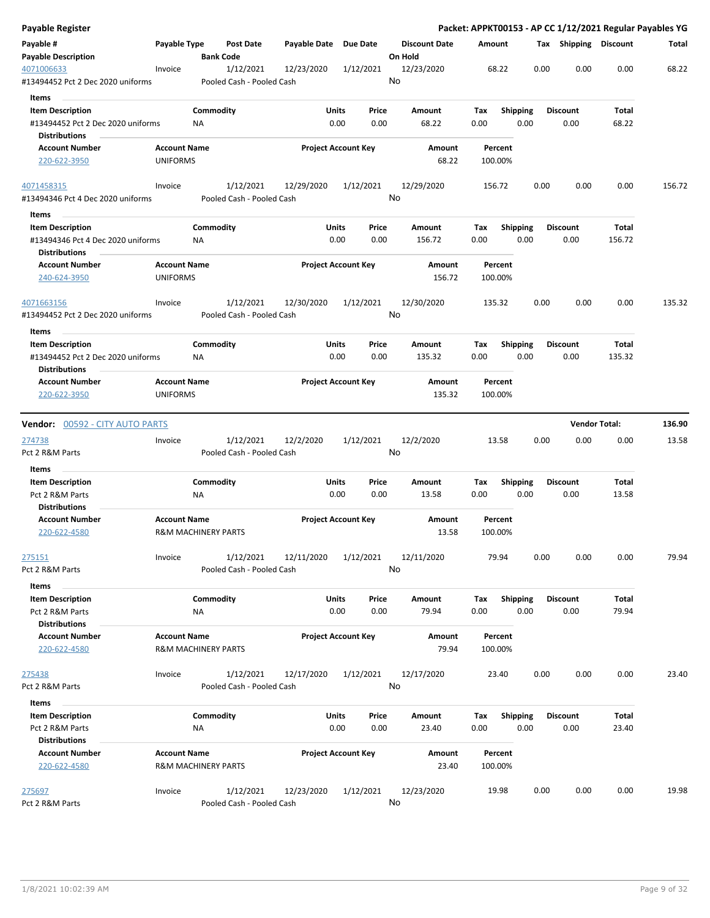| Payable Register                                |                     |                                |                                        |                            |           |       |                      |        |                    |      |      |                       |                      | Packet: APPKT00153 - AP CC 1/12/2021 Regular Payables YG |
|-------------------------------------------------|---------------------|--------------------------------|----------------------------------------|----------------------------|-----------|-------|----------------------|--------|--------------------|------|------|-----------------------|----------------------|----------------------------------------------------------|
| Payable #                                       | Payable Type        |                                | Post Date                              | Payable Date Due Date      |           |       | <b>Discount Date</b> | Amount |                    |      |      | Tax Shipping Discount |                      | Total                                                    |
| <b>Payable Description</b>                      |                     | <b>Bank Code</b>               |                                        |                            |           |       | On Hold              |        |                    |      |      |                       |                      |                                                          |
| 4071006633<br>#13494452 Pct 2 Dec 2020 uniforms | Invoice             |                                | 1/12/2021<br>Pooled Cash - Pooled Cash | 12/23/2020                 | 1/12/2021 |       | 12/23/2020<br>No     |        | 68.22              |      | 0.00 | 0.00                  | 0.00                 | 68.22                                                    |
| Items                                           |                     |                                |                                        |                            |           |       |                      |        |                    |      |      |                       |                      |                                                          |
| <b>Item Description</b>                         |                     | Commodity                      |                                        | <b>Units</b>               |           | Price | Amount               | Тах    | <b>Shipping</b>    |      |      | <b>Discount</b>       | Total                |                                                          |
| #13494452 Pct 2 Dec 2020 uniforms               |                     | ΝA                             |                                        |                            | 0.00      | 0.00  | 68.22                | 0.00   |                    | 0.00 |      | 0.00                  | 68.22                |                                                          |
| <b>Distributions</b>                            |                     |                                |                                        |                            |           |       |                      |        |                    |      |      |                       |                      |                                                          |
| <b>Account Number</b>                           | <b>Account Name</b> |                                |                                        | <b>Project Account Key</b> |           |       | Amount               |        | Percent            |      |      |                       |                      |                                                          |
| 220-622-3950                                    | <b>UNIFORMS</b>     |                                |                                        |                            |           |       | 68.22                |        | 100.00%            |      |      |                       |                      |                                                          |
| 4071458315                                      | Invoice             |                                | 1/12/2021                              | 12/29/2020                 | 1/12/2021 |       | 12/29/2020           |        | 156.72             |      | 0.00 | 0.00                  | 0.00                 | 156.72                                                   |
| #13494346 Pct 4 Dec 2020 uniforms               |                     |                                | Pooled Cash - Pooled Cash              |                            |           |       | No                   |        |                    |      |      |                       |                      |                                                          |
| Items                                           |                     |                                |                                        |                            |           |       |                      |        |                    |      |      |                       |                      |                                                          |
| <b>Item Description</b>                         |                     | Commodity                      |                                        | <b>Units</b>               |           | Price | Amount               | Tax    | Shipping           |      |      | <b>Discount</b>       | Total                |                                                          |
| #13494346 Pct 4 Dec 2020 uniforms               |                     | NA.                            |                                        |                            | 0.00      | 0.00  | 156.72               | 0.00   |                    | 0.00 |      | 0.00                  | 156.72               |                                                          |
| <b>Distributions</b>                            |                     |                                |                                        |                            |           |       |                      |        |                    |      |      |                       |                      |                                                          |
| <b>Account Number</b>                           | <b>Account Name</b> |                                |                                        | <b>Project Account Key</b> |           |       | <b>Amount</b>        |        | Percent            |      |      |                       |                      |                                                          |
| 240-624-3950                                    | <b>UNIFORMS</b>     |                                |                                        |                            |           |       | 156.72               |        | 100.00%            |      |      |                       |                      |                                                          |
| 4071663156<br>#13494452 Pct 2 Dec 2020 uniforms | Invoice             |                                | 1/12/2021<br>Pooled Cash - Pooled Cash | 12/30/2020                 | 1/12/2021 |       | 12/30/2020<br>No     |        | 135.32             |      | 0.00 | 0.00                  | 0.00                 | 135.32                                                   |
| Items                                           |                     |                                |                                        |                            |           |       |                      |        |                    |      |      |                       |                      |                                                          |
| <b>Item Description</b>                         |                     | Commodity                      |                                        | <b>Units</b>               |           | Price | Amount               | Tax    | <b>Shipping</b>    |      |      | <b>Discount</b>       | <b>Total</b>         |                                                          |
| #13494452 Pct 2 Dec 2020 uniforms               |                     | ΝA                             |                                        |                            | 0.00      | 0.00  | 135.32               | 0.00   |                    | 0.00 |      | 0.00                  | 135.32               |                                                          |
| <b>Distributions</b>                            |                     |                                |                                        |                            |           |       |                      |        |                    |      |      |                       |                      |                                                          |
| <b>Account Number</b>                           | <b>Account Name</b> |                                |                                        | <b>Project Account Key</b> |           |       | Amount               |        | Percent            |      |      |                       |                      |                                                          |
| 220-622-3950                                    | <b>UNIFORMS</b>     |                                |                                        |                            |           |       | 135.32               |        | 100.00%            |      |      |                       |                      |                                                          |
| <b>Vendor: 00592 - CITY AUTO PARTS</b>          |                     |                                |                                        |                            |           |       |                      |        |                    |      |      |                       | <b>Vendor Total:</b> | 136.90                                                   |
| 274738                                          | Invoice             |                                | 1/12/2021                              | 12/2/2020                  | 1/12/2021 |       | 12/2/2020            |        | 13.58              |      | 0.00 | 0.00                  | 0.00                 | 13.58                                                    |
| Pct 2 R&M Parts                                 |                     |                                | Pooled Cash - Pooled Cash              |                            |           |       | No                   |        |                    |      |      |                       |                      |                                                          |
| Items                                           |                     |                                |                                        |                            |           |       |                      |        |                    |      |      |                       |                      |                                                          |
| <b>Item Description</b>                         |                     | Commodity                      |                                        | Units                      |           | Price | Amount               | Tax    | <b>Shipping</b>    |      |      | <b>Discount</b>       | Total                |                                                          |
| Pct 2 R&M Parts                                 |                     | <b>NA</b>                      |                                        |                            | 0.00      | 0.00  | 13.58                | 0.00   |                    | 0.00 |      | 0.00                  | 13.58                |                                                          |
| <b>Distributions</b>                            |                     |                                |                                        |                            |           |       |                      |        |                    |      |      |                       |                      |                                                          |
| <b>Account Number</b>                           | <b>Account Name</b> |                                |                                        | <b>Project Account Key</b> |           |       | Amount               |        | Percent            |      |      |                       |                      |                                                          |
| 220-622-4580                                    |                     | <b>R&amp;M MACHINERY PARTS</b> |                                        |                            |           |       | 13.58                |        | 100.00%            |      |      |                       |                      |                                                          |
| 275151                                          | Invoice             |                                | 1/12/2021                              | 12/11/2020                 | 1/12/2021 |       | 12/11/2020           |        | 79.94              |      | 0.00 | 0.00                  | 0.00                 | 79.94                                                    |
| Pct 2 R&M Parts                                 |                     |                                | Pooled Cash - Pooled Cash              |                            |           |       | No                   |        |                    |      |      |                       |                      |                                                          |
| Items                                           |                     |                                |                                        |                            |           |       |                      |        |                    |      |      |                       |                      |                                                          |
| <b>Item Description</b>                         |                     | Commodity                      |                                        | <b>Units</b>               |           | Price | Amount               | Tax    | <b>Shipping</b>    |      |      | <b>Discount</b>       | Total                |                                                          |
| Pct 2 R&M Parts                                 |                     | NA                             |                                        |                            | 0.00      | 0.00  | 79.94                | 0.00   |                    | 0.00 |      | 0.00                  | 79.94                |                                                          |
| <b>Distributions</b>                            |                     |                                |                                        |                            |           |       |                      |        |                    |      |      |                       |                      |                                                          |
| <b>Account Number</b><br>220-622-4580           | <b>Account Name</b> | <b>R&amp;M MACHINERY PARTS</b> |                                        | <b>Project Account Key</b> |           |       | Amount<br>79.94      |        | Percent<br>100.00% |      |      |                       |                      |                                                          |
| 275438                                          | Invoice             |                                | 1/12/2021                              | 12/17/2020                 | 1/12/2021 |       | 12/17/2020           |        | 23.40              |      | 0.00 | 0.00                  | 0.00                 | 23.40                                                    |
| Pct 2 R&M Parts                                 |                     |                                | Pooled Cash - Pooled Cash              |                            |           |       | No                   |        |                    |      |      |                       |                      |                                                          |
| Items                                           |                     |                                |                                        |                            |           |       |                      |        |                    |      |      |                       |                      |                                                          |
| <b>Item Description</b>                         |                     | Commodity                      |                                        | <b>Units</b>               |           | Price | Amount               | Tax    | <b>Shipping</b>    |      |      | <b>Discount</b>       | Total                |                                                          |
| Pct 2 R&M Parts                                 |                     | ΝA                             |                                        |                            | 0.00      | 0.00  | 23.40                | 0.00   |                    | 0.00 |      | 0.00                  | 23.40                |                                                          |
| <b>Distributions</b><br><b>Account Number</b>   |                     |                                |                                        |                            |           |       |                      |        |                    |      |      |                       |                      |                                                          |
| 220-622-4580                                    | <b>Account Name</b> | <b>R&amp;M MACHINERY PARTS</b> |                                        | <b>Project Account Key</b> |           |       | Amount<br>23.40      |        | Percent<br>100.00% |      |      |                       |                      |                                                          |
| 275697                                          | Invoice             |                                | 1/12/2021                              | 12/23/2020                 | 1/12/2021 |       | 12/23/2020           |        | 19.98              |      | 0.00 | 0.00                  | 0.00                 | 19.98                                                    |
| Pct 2 R&M Parts                                 |                     |                                | Pooled Cash - Pooled Cash              |                            |           |       | No                   |        |                    |      |      |                       |                      |                                                          |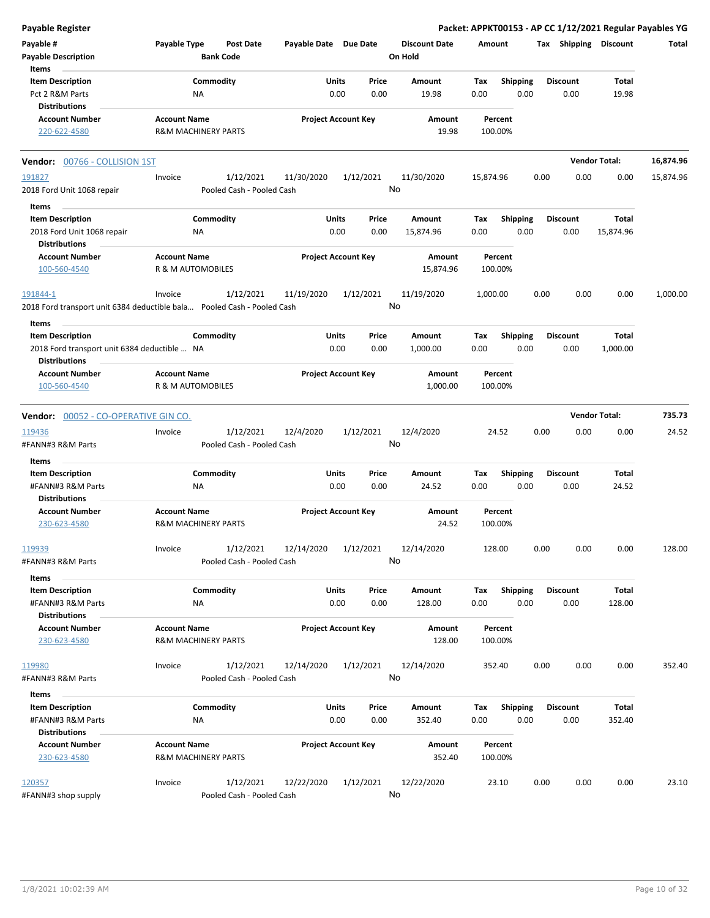| <b>Payable Register</b>                                                 |                                                       |                                      |                       |                            |                                 |           |                    |      |                 |                       | Packet: APPKT00153 - AP CC 1/12/2021 Regular Payables YG |
|-------------------------------------------------------------------------|-------------------------------------------------------|--------------------------------------|-----------------------|----------------------------|---------------------------------|-----------|--------------------|------|-----------------|-----------------------|----------------------------------------------------------|
| Payable #<br><b>Payable Description</b>                                 | Payable Type                                          | <b>Post Date</b><br><b>Bank Code</b> | Payable Date Due Date |                            | <b>Discount Date</b><br>On Hold |           | Amount             |      |                 | Tax Shipping Discount | Total                                                    |
| Items                                                                   |                                                       |                                      |                       |                            |                                 |           |                    |      |                 |                       |                                                          |
| <b>Item Description</b>                                                 | Commodity                                             |                                      |                       | Units<br>Price             | Amount                          | Tax       | <b>Shipping</b>    |      | <b>Discount</b> | Total                 |                                                          |
| Pct 2 R&M Parts<br><b>Distributions</b>                                 | NA                                                    |                                      |                       | 0.00<br>0.00               | 19.98                           | 0.00      | 0.00               |      | 0.00            | 19.98                 |                                                          |
| <b>Account Number</b>                                                   | <b>Account Name</b>                                   |                                      |                       | <b>Project Account Key</b> | Amount                          |           | Percent            |      |                 |                       |                                                          |
| 220-622-4580                                                            | <b>R&amp;M MACHINERY PARTS</b>                        |                                      |                       |                            | 19.98                           |           | 100.00%            |      |                 |                       |                                                          |
| Vendor: 00766 - COLLISION 1ST                                           |                                                       |                                      |                       |                            |                                 |           |                    |      |                 | <b>Vendor Total:</b>  | 16,874.96                                                |
| 191827                                                                  | Invoice                                               | 1/12/2021                            | 11/30/2020            | 1/12/2021                  | 11/30/2020                      | 15,874.96 |                    | 0.00 | 0.00            | 0.00                  | 15,874.96                                                |
| 2018 Ford Unit 1068 repair                                              |                                                       | Pooled Cash - Pooled Cash            |                       |                            | No                              |           |                    |      |                 |                       |                                                          |
| Items                                                                   |                                                       |                                      |                       |                            |                                 |           |                    |      |                 |                       |                                                          |
| <b>Item Description</b>                                                 | Commodity                                             |                                      |                       | Units<br>Price             | Amount                          | Tax       | <b>Shipping</b>    |      | <b>Discount</b> | Total                 |                                                          |
| 2018 Ford Unit 1068 repair                                              | NA                                                    |                                      |                       | 0.00<br>0.00               | 15,874.96                       | 0.00      | 0.00               |      | 0.00            | 15,874.96             |                                                          |
| <b>Distributions</b>                                                    |                                                       |                                      |                       |                            |                                 |           |                    |      |                 |                       |                                                          |
| <b>Account Number</b>                                                   | <b>Account Name</b>                                   |                                      |                       | <b>Project Account Key</b> | Amount                          |           | Percent            |      |                 |                       |                                                          |
| 100-560-4540                                                            | R & M AUTOMOBILES                                     |                                      |                       |                            | 15,874.96                       |           | 100.00%            |      |                 |                       |                                                          |
| 191844-1                                                                | Invoice                                               | 1/12/2021                            | 11/19/2020            | 1/12/2021                  | 11/19/2020                      | 1,000.00  |                    | 0.00 | 0.00            | 0.00                  | 1,000.00                                                 |
| 2018 Ford transport unit 6384 deductible bala Pooled Cash - Pooled Cash |                                                       |                                      |                       |                            | No                              |           |                    |      |                 |                       |                                                          |
| Items                                                                   |                                                       |                                      |                       |                            |                                 |           |                    |      |                 |                       |                                                          |
| <b>Item Description</b>                                                 | Commodity                                             |                                      |                       | Units<br>Price             | Amount                          | Tax       | <b>Shipping</b>    |      | <b>Discount</b> | Total                 |                                                          |
| 2018 Ford transport unit 6384 deductible  NA                            |                                                       |                                      |                       | 0.00<br>0.00               | 1,000.00                        | 0.00      | 0.00               |      | 0.00            | 1,000.00              |                                                          |
| Distributions<br><b>Account Number</b>                                  | <b>Account Name</b>                                   |                                      |                       | <b>Project Account Key</b> | Amount                          |           | Percent            |      |                 |                       |                                                          |
| 100-560-4540                                                            | R & M AUTOMOBILES                                     |                                      |                       |                            | 1,000.00                        |           | 100.00%            |      |                 |                       |                                                          |
|                                                                         |                                                       |                                      |                       |                            |                                 |           |                    |      |                 |                       |                                                          |
| Vendor: 00052 - CO-OPERATIVE GIN CO.                                    |                                                       |                                      |                       |                            |                                 |           |                    |      |                 | <b>Vendor Total:</b>  | 735.73                                                   |
| 119436                                                                  | Invoice                                               | 1/12/2021                            | 12/4/2020             | 1/12/2021                  | 12/4/2020                       |           | 24.52              | 0.00 | 0.00            | 0.00                  | 24.52                                                    |
| #FANN#3 R&M Parts                                                       |                                                       | Pooled Cash - Pooled Cash            |                       |                            | No                              |           |                    |      |                 |                       |                                                          |
| Items                                                                   |                                                       |                                      |                       |                            |                                 |           |                    |      |                 |                       |                                                          |
| <b>Item Description</b>                                                 | Commodity                                             |                                      |                       | Units<br>Price             | Amount                          | Tax       | <b>Shipping</b>    |      | <b>Discount</b> | Total                 |                                                          |
| #FANN#3 R&M Parts<br><b>Distributions</b>                               | NA                                                    |                                      |                       | 0.00<br>0.00               | 24.52                           | 0.00      | 0.00               |      | 0.00            | 24.52                 |                                                          |
| <b>Account Number</b>                                                   | <b>Account Name</b>                                   |                                      |                       | <b>Project Account Key</b> | Amount                          |           | Percent            |      |                 |                       |                                                          |
| 230-623-4580                                                            | <b>R&amp;M MACHINERY PARTS</b>                        |                                      |                       |                            | 24.52                           |           | 100.00%            |      |                 |                       |                                                          |
| 119939                                                                  | Invoice                                               | 1/12/2021                            | 12/14/2020            | 1/12/2021                  | 12/14/2020                      |           | 128.00             | 0.00 | 0.00            | 0.00                  | 128.00                                                   |
| #FANN#3 R&M Parts                                                       |                                                       | Pooled Cash - Pooled Cash            |                       |                            | No                              |           |                    |      |                 |                       |                                                          |
| Items                                                                   |                                                       |                                      |                       |                            |                                 |           |                    |      |                 |                       |                                                          |
| <b>Item Description</b>                                                 | Commodity                                             |                                      |                       | Units<br>Price             | Amount                          | Tax       | <b>Shipping</b>    |      | <b>Discount</b> | <b>Total</b>          |                                                          |
| #FANN#3 R&M Parts                                                       | NA                                                    |                                      |                       | 0.00<br>0.00               | 128.00                          | 0.00      | 0.00               |      | 0.00            | 128.00                |                                                          |
| <b>Distributions</b>                                                    |                                                       |                                      |                       |                            |                                 |           |                    |      |                 |                       |                                                          |
| <b>Account Number</b><br>230-623-4580                                   | <b>Account Name</b><br><b>R&amp;M MACHINERY PARTS</b> |                                      |                       | <b>Project Account Key</b> | Amount<br>128.00                |           | Percent<br>100.00% |      |                 |                       |                                                          |
|                                                                         |                                                       |                                      |                       |                            |                                 |           |                    |      |                 |                       |                                                          |
| 119980                                                                  | Invoice                                               | 1/12/2021                            | 12/14/2020            | 1/12/2021                  | 12/14/2020                      |           | 352.40             | 0.00 | 0.00            | 0.00                  | 352.40                                                   |
| #FANN#3 R&M Parts                                                       |                                                       | Pooled Cash - Pooled Cash            |                       |                            | No                              |           |                    |      |                 |                       |                                                          |
| Items                                                                   |                                                       |                                      |                       |                            |                                 |           |                    |      |                 |                       |                                                          |
| <b>Item Description</b>                                                 | Commodity                                             |                                      |                       | Units<br>Price             | Amount                          | Tax       | <b>Shipping</b>    |      | <b>Discount</b> | Total                 |                                                          |
| #FANN#3 R&M Parts                                                       | NA                                                    |                                      |                       | 0.00<br>0.00               | 352.40                          | 0.00      | 0.00               |      | 0.00            | 352.40                |                                                          |
| <b>Distributions</b>                                                    |                                                       |                                      |                       |                            |                                 |           |                    |      |                 |                       |                                                          |
| <b>Account Number</b>                                                   | <b>Account Name</b>                                   |                                      |                       | <b>Project Account Key</b> | Amount                          |           | Percent            |      |                 |                       |                                                          |
| 230-623-4580                                                            | <b>R&amp;M MACHINERY PARTS</b>                        |                                      |                       |                            | 352.40                          |           | 100.00%            |      |                 |                       |                                                          |
|                                                                         |                                                       |                                      |                       |                            |                                 |           |                    |      |                 |                       |                                                          |
| 120357                                                                  | Invoice                                               | 1/12/2021                            | 12/22/2020            | 1/12/2021                  | 12/22/2020                      |           | 23.10              | 0.00 | 0.00            | 0.00                  | 23.10                                                    |
| #FANN#3 shop supply                                                     |                                                       | Pooled Cash - Pooled Cash            |                       |                            | No                              |           |                    |      |                 |                       |                                                          |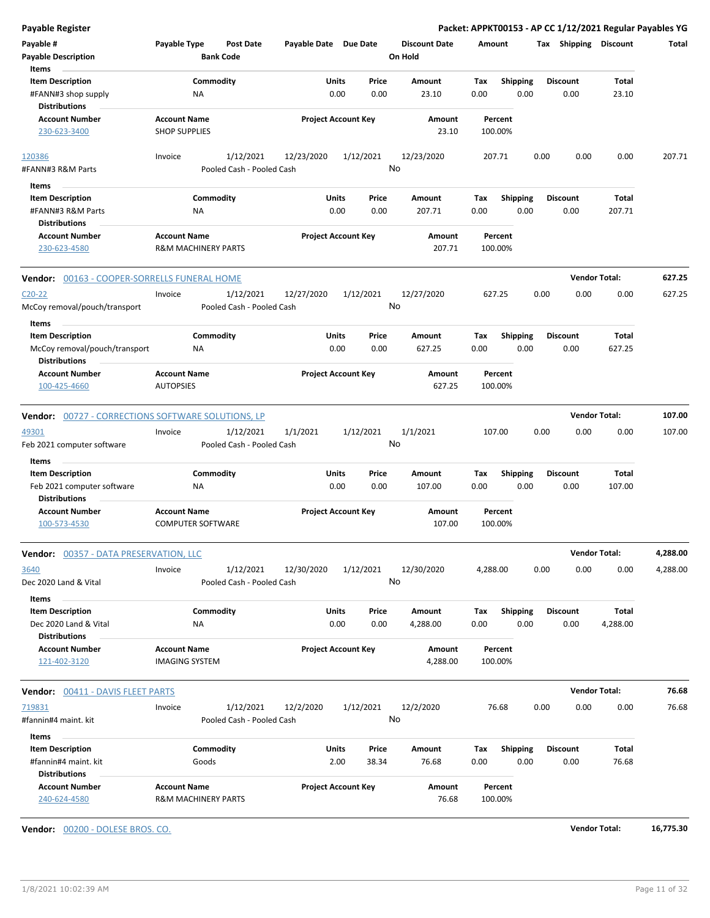| Payable Register                                          |                                                 |                                        |                       |                            |                                 |             |                         |                         | Packet: APPKT00153 - AP CC 1/12/2021 Regular Payables YG |          |
|-----------------------------------------------------------|-------------------------------------------------|----------------------------------------|-----------------------|----------------------------|---------------------------------|-------------|-------------------------|-------------------------|----------------------------------------------------------|----------|
| Payable #<br><b>Payable Description</b>                   | Payable Type                                    | Post Date<br><b>Bank Code</b>          | Payable Date Due Date |                            | <b>Discount Date</b><br>On Hold | Amount      |                         |                         | Tax Shipping Discount                                    | Total    |
| Items                                                     |                                                 |                                        |                       |                            |                                 |             |                         |                         |                                                          |          |
| <b>Item Description</b>                                   | Commodity                                       |                                        | Units                 | Price                      | Amount                          | Tax         | <b>Shipping</b>         | <b>Discount</b>         | Total                                                    |          |
| #FANN#3 shop supply<br><b>Distributions</b>               | ΝA                                              |                                        |                       | 0.00<br>0.00               | 23.10                           | 0.00        | 0.00                    | 0.00                    | 23.10                                                    |          |
| <b>Account Number</b><br>230-623-3400                     | <b>Account Name</b><br><b>SHOP SUPPLIES</b>     |                                        |                       | <b>Project Account Key</b> | Amount<br>23.10                 | 100.00%     | Percent                 |                         |                                                          |          |
| 120386                                                    | Invoice                                         | 1/12/2021                              | 12/23/2020            | 1/12/2021                  | 12/23/2020                      | 207.71      |                         | 0.00<br>0.00            | 0.00                                                     | 207.71   |
| #FANN#3 R&M Parts                                         |                                                 | Pooled Cash - Pooled Cash              |                       |                            | No                              |             |                         |                         |                                                          |          |
| Items                                                     |                                                 |                                        |                       |                            |                                 |             |                         |                         |                                                          |          |
| <b>Item Description</b><br>#FANN#3 R&M Parts              | Commodity<br><b>NA</b>                          |                                        | Units                 | Price<br>0.00<br>0.00      | Amount<br>207.71                | Tax<br>0.00 | <b>Shipping</b><br>0.00 | <b>Discount</b><br>0.00 | Total<br>207.71                                          |          |
| <b>Distributions</b><br><b>Account Number</b>             | <b>Account Name</b>                             |                                        |                       | <b>Project Account Key</b> | Amount                          |             | Percent                 |                         |                                                          |          |
| 230-623-4580                                              | <b>R&amp;M MACHINERY PARTS</b>                  |                                        |                       |                            | 207.71                          | 100.00%     |                         |                         |                                                          |          |
| Vendor: 00163 - COOPER-SORRELLS FUNERAL HOME              |                                                 |                                        |                       |                            |                                 |             |                         |                         | <b>Vendor Total:</b>                                     | 627.25   |
| $C20-22$                                                  | Invoice                                         | 1/12/2021                              | 12/27/2020            | 1/12/2021                  | 12/27/2020                      | 627.25      |                         | 0.00<br>0.00            | 0.00                                                     | 627.25   |
| McCoy removal/pouch/transport                             |                                                 | Pooled Cash - Pooled Cash              |                       |                            | No                              |             |                         |                         |                                                          |          |
| Items                                                     |                                                 |                                        |                       |                            |                                 |             |                         |                         |                                                          |          |
| <b>Item Description</b>                                   | Commodity                                       |                                        | Units                 | Price                      | Amount                          | Tax         | <b>Shipping</b>         | <b>Discount</b>         | Total                                                    |          |
| McCoy removal/pouch/transport<br><b>Distributions</b>     | <b>NA</b>                                       |                                        |                       | 0.00<br>0.00               | 627.25                          | 0.00        | 0.00                    | 0.00                    | 627.25                                                   |          |
| <b>Account Number</b>                                     | <b>Account Name</b>                             |                                        |                       | <b>Project Account Key</b> | Amount                          |             | Percent                 |                         |                                                          |          |
| 100-425-4660                                              | <b>AUTOPSIES</b>                                |                                        |                       |                            | 627.25                          | 100.00%     |                         |                         |                                                          |          |
|                                                           |                                                 |                                        |                       |                            |                                 |             |                         |                         | <b>Vendor Total:</b>                                     | 107.00   |
| <b>Vendor:</b> 00727 - CORRECTIONS SOFTWARE SOLUTIONS, LP |                                                 |                                        |                       |                            |                                 |             |                         |                         |                                                          |          |
| 49301<br>Feb 2021 computer software                       | Invoice                                         | 1/12/2021<br>Pooled Cash - Pooled Cash | 1/1/2021              | 1/12/2021                  | 1/1/2021<br>No                  | 107.00      |                         | 0.00<br>0.00            | 0.00                                                     | 107.00   |
| Items                                                     |                                                 |                                        |                       |                            |                                 |             |                         |                         |                                                          |          |
| <b>Item Description</b>                                   | Commodity                                       |                                        | Units                 | Price                      | Amount                          | Tax         | <b>Shipping</b>         | <b>Discount</b>         | Total                                                    |          |
| Feb 2021 computer software<br><b>Distributions</b>        | <b>NA</b>                                       |                                        |                       | 0.00<br>0.00               | 107.00                          | 0.00        | 0.00                    | 0.00                    | 107.00                                                   |          |
| <b>Account Number</b><br>100-573-4530                     | <b>Account Name</b><br><b>COMPUTER SOFTWARE</b> |                                        |                       | <b>Project Account Key</b> | Amount<br>107.00                | 100.00%     | Percent                 |                         |                                                          |          |
| Vendor: 00357 - DATA PRESERVATION, LLC                    |                                                 |                                        |                       |                            |                                 |             |                         |                         | <b>Vendor Total:</b>                                     | 4,288.00 |
| 3640                                                      | Invoice                                         | 1/12/2021                              | 12/30/2020            | 1/12/2021                  | 12/30/2020                      | 4,288.00    |                         | 0.00<br>0.00            | 0.00                                                     | 4,288.00 |
| Dec 2020 Land & Vital                                     |                                                 | Pooled Cash - Pooled Cash              |                       |                            | No                              |             |                         |                         |                                                          |          |
| Items                                                     |                                                 |                                        |                       |                            |                                 |             | Shipping                | <b>Discount</b>         | Total                                                    |          |
| <b>Item Description</b><br>Dec 2020 Land & Vital          | Commodity<br>NA                                 |                                        | Units                 | Price<br>0.00<br>0.00      | Amount<br>4,288.00              | Тах<br>0.00 | 0.00                    | 0.00                    | 4,288.00                                                 |          |
| <b>Distributions</b>                                      |                                                 |                                        |                       |                            |                                 |             |                         |                         |                                                          |          |
| <b>Account Number</b><br>121-402-3120                     | <b>Account Name</b><br><b>IMAGING SYSTEM</b>    |                                        |                       | <b>Project Account Key</b> | Amount<br>4,288.00              | 100.00%     | Percent                 |                         |                                                          |          |
| <b>Vendor: 00411 - DAVIS FLEET PARTS</b>                  |                                                 |                                        |                       |                            |                                 |             |                         |                         | <b>Vendor Total:</b>                                     | 76.68    |
| 719831                                                    | Invoice                                         | 1/12/2021                              | 12/2/2020             | 1/12/2021                  | 12/2/2020                       |             | 76.68                   | 0.00<br>0.00            | 0.00                                                     | 76.68    |
| #fannin#4 maint. kit                                      |                                                 | Pooled Cash - Pooled Cash              |                       |                            | No                              |             |                         |                         |                                                          |          |
| Items                                                     |                                                 |                                        |                       |                            |                                 |             |                         |                         |                                                          |          |
| <b>Item Description</b>                                   | Commodity                                       |                                        | Units                 | Price                      | Amount                          | Tax         | <b>Shipping</b>         | <b>Discount</b>         | Total                                                    |          |
| #fannin#4 maint. kit<br><b>Distributions</b>              | Goods                                           |                                        |                       | 2.00<br>38.34              | 76.68                           | 0.00        | 0.00                    | 0.00                    | 76.68                                                    |          |
| <b>Account Number</b><br>240-624-4580                     | <b>Account Name</b><br>R&M MACHINERY PARTS      |                                        |                       | <b>Project Account Key</b> | Amount<br>76.68                 | 100.00%     | Percent                 |                         |                                                          |          |

**Vendor:** 00200 - DOLESE BROS. CO. **Vendor Total: 16,775.30**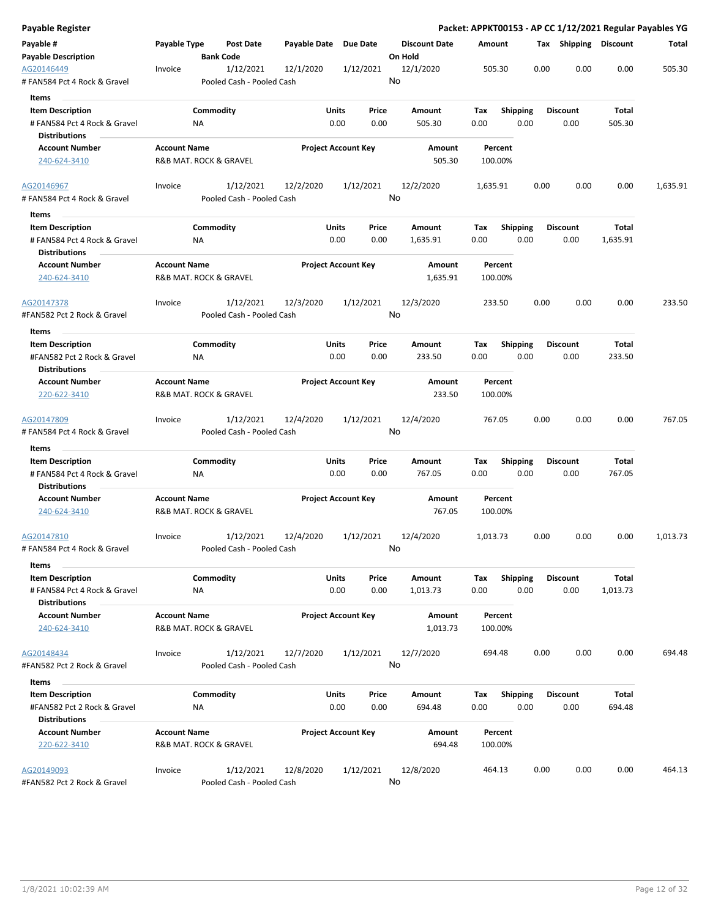| Payable Register                                                                |                     |                                        |                       |                                |                                 |             |                         |      |                         |                   | Packet: APPKT00153 - AP CC 1/12/2021 Regular Payables YG |
|---------------------------------------------------------------------------------|---------------------|----------------------------------------|-----------------------|--------------------------------|---------------------------------|-------------|-------------------------|------|-------------------------|-------------------|----------------------------------------------------------|
| Payable #<br><b>Payable Description</b>                                         | Payable Type        | Post Date<br><b>Bank Code</b>          | Payable Date Due Date |                                | <b>Discount Date</b><br>On Hold | Amount      |                         |      | Tax Shipping Discount   |                   | Total                                                    |
| AG20146449<br># FAN584 Pct 4 Rock & Gravel                                      | Invoice             | 1/12/2021<br>Pooled Cash - Pooled Cash | 12/1/2020             | 1/12/2021                      | 12/1/2020<br>No                 | 505.30      |                         | 0.00 | 0.00                    | 0.00              | 505.30                                                   |
| Items<br><b>Item Description</b>                                                |                     | Commodity                              |                       | Units<br>Price                 | Amount                          | Tax         | <b>Shipping</b>         |      | <b>Discount</b>         | Total             |                                                          |
| # FAN584 Pct 4 Rock & Gravel<br><b>Distributions</b>                            | ΝA                  |                                        |                       | 0.00<br>0.00                   | 505.30                          | 0.00        | 0.00                    |      | 0.00                    | 505.30            |                                                          |
| <b>Account Number</b><br>240-624-3410                                           | <b>Account Name</b> | R&B MAT. ROCK & GRAVEL                 |                       | <b>Project Account Key</b>     | Amount<br>505.30                | 100.00%     | Percent                 |      |                         |                   |                                                          |
| AG20146967<br># FAN584 Pct 4 Rock & Gravel                                      | Invoice             | 1/12/2021<br>Pooled Cash - Pooled Cash | 12/2/2020             | 1/12/2021                      | 12/2/2020<br>No                 | 1,635.91    |                         | 0.00 | 0.00                    | 0.00              | 1,635.91                                                 |
| Items                                                                           |                     |                                        |                       |                                |                                 |             |                         |      |                         |                   |                                                          |
| <b>Item Description</b>                                                         |                     | Commodity                              |                       | Units<br>Price                 | Amount                          | Tax         | Shipping                |      | <b>Discount</b>         | Total             |                                                          |
| # FAN584 Pct 4 Rock & Gravel<br><b>Distributions</b>                            | ΝA                  |                                        |                       | 0.00<br>0.00                   | 1,635.91                        | 0.00        | 0.00                    |      | 0.00                    | 1,635.91          |                                                          |
| <b>Account Number</b><br>240-624-3410                                           | <b>Account Name</b> | R&B MAT. ROCK & GRAVEL                 |                       | <b>Project Account Key</b>     | <b>Amount</b><br>1,635.91       | 100.00%     | Percent                 |      |                         |                   |                                                          |
| AG20147378<br>#FAN582 Pct 2 Rock & Gravel                                       | Invoice             | 1/12/2021<br>Pooled Cash - Pooled Cash | 12/3/2020             | 1/12/2021                      | 12/3/2020<br>No                 | 233.50      |                         | 0.00 | 0.00                    | 0.00              | 233.50                                                   |
| Items                                                                           |                     |                                        |                       |                                |                                 |             |                         |      |                         |                   |                                                          |
| <b>Item Description</b><br>#FAN582 Pct 2 Rock & Gravel                          | ΝA                  | Commodity                              |                       | Units<br>Price<br>0.00<br>0.00 | Amount<br>233.50                | Tax<br>0.00 | <b>Shipping</b><br>0.00 |      | <b>Discount</b><br>0.00 | Total<br>233.50   |                                                          |
| <b>Distributions</b>                                                            |                     |                                        |                       |                                |                                 |             |                         |      |                         |                   |                                                          |
| <b>Account Number</b><br>220-622-3410                                           | <b>Account Name</b> | R&B MAT. ROCK & GRAVEL                 |                       | <b>Project Account Key</b>     | Amount<br>233.50                | 100.00%     | Percent                 |      |                         |                   |                                                          |
| AG20147809<br># FAN584 Pct 4 Rock & Gravel                                      | Invoice             | 1/12/2021<br>Pooled Cash - Pooled Cash | 12/4/2020             | 1/12/2021                      | 12/4/2020<br>No                 | 767.05      |                         | 0.00 | 0.00                    | 0.00              | 767.05                                                   |
| Items                                                                           |                     | Commodity                              |                       | Units<br>Price                 | Amount                          |             |                         |      |                         | Total             |                                                          |
| <b>Item Description</b><br># FAN584 Pct 4 Rock & Gravel<br><b>Distributions</b> | ΝA                  |                                        |                       | 0.00<br>0.00                   | 767.05                          | Tax<br>0.00 | Shipping<br>0.00        |      | <b>Discount</b><br>0.00 | 767.05            |                                                          |
| <b>Account Number</b>                                                           | <b>Account Name</b> |                                        |                       | <b>Project Account Key</b>     | Amount                          |             | Percent                 |      |                         |                   |                                                          |
| 240-624-3410                                                                    |                     | R&B MAT. ROCK & GRAVEL                 |                       |                                | 767.05                          | 100.00%     |                         |      |                         |                   |                                                          |
| AG20147810<br># FAN584 Pct 4 Rock & Gravel                                      | Invoice             | 1/12/2021<br>Pooled Cash - Pooled Cash | 12/4/2020             | 1/12/2021                      | 12/4/2020<br>No                 | 1,013.73    |                         | 0.00 | 0.00                    | 0.00              | 1,013.73                                                 |
| Items                                                                           |                     |                                        |                       |                                |                                 |             |                         |      |                         |                   |                                                          |
| <b>Item Description</b><br># FAN584 Pct 4 Rock & Gravel<br><b>Distributions</b> | <b>NA</b>           | Commodity                              |                       | Units<br>Price<br>0.00<br>0.00 | Amount<br>1,013.73              | Tax<br>0.00 | Shipping<br>0.00        |      | <b>Discount</b><br>0.00 | Total<br>1,013.73 |                                                          |
| <b>Account Number</b><br>240-624-3410                                           | <b>Account Name</b> | R&B MAT. ROCK & GRAVEL                 |                       | <b>Project Account Key</b>     | Amount<br>1,013.73              | 100.00%     | Percent                 |      |                         |                   |                                                          |
| AG20148434<br>#FAN582 Pct 2 Rock & Gravel                                       | Invoice             | 1/12/2021<br>Pooled Cash - Pooled Cash | 12/7/2020             | 1/12/2021                      | 12/7/2020<br>No                 | 694.48      |                         | 0.00 | 0.00                    | 0.00              | 694.48                                                   |
| Items                                                                           |                     |                                        |                       |                                |                                 |             |                         |      |                         |                   |                                                          |
| <b>Item Description</b><br>#FAN582 Pct 2 Rock & Gravel                          | ΝA                  | Commodity                              |                       | Units<br>Price<br>0.00<br>0.00 | Amount<br>694.48                | Tax<br>0.00 | <b>Shipping</b><br>0.00 |      | <b>Discount</b><br>0.00 | Total<br>694.48   |                                                          |
| <b>Distributions</b><br><b>Account Number</b>                                   | <b>Account Name</b> |                                        |                       | <b>Project Account Key</b>     | Amount                          |             | Percent                 |      |                         |                   |                                                          |
| 220-622-3410                                                                    |                     | R&B MAT. ROCK & GRAVEL                 |                       |                                | 694.48                          | 100.00%     |                         |      |                         |                   |                                                          |
| AG20149093<br>#FAN582 Pct 2 Rock & Gravel                                       | Invoice             | 1/12/2021<br>Pooled Cash - Pooled Cash | 12/8/2020             | 1/12/2021                      | 12/8/2020<br>No                 | 464.13      |                         | 0.00 | 0.00                    | 0.00              | 464.13                                                   |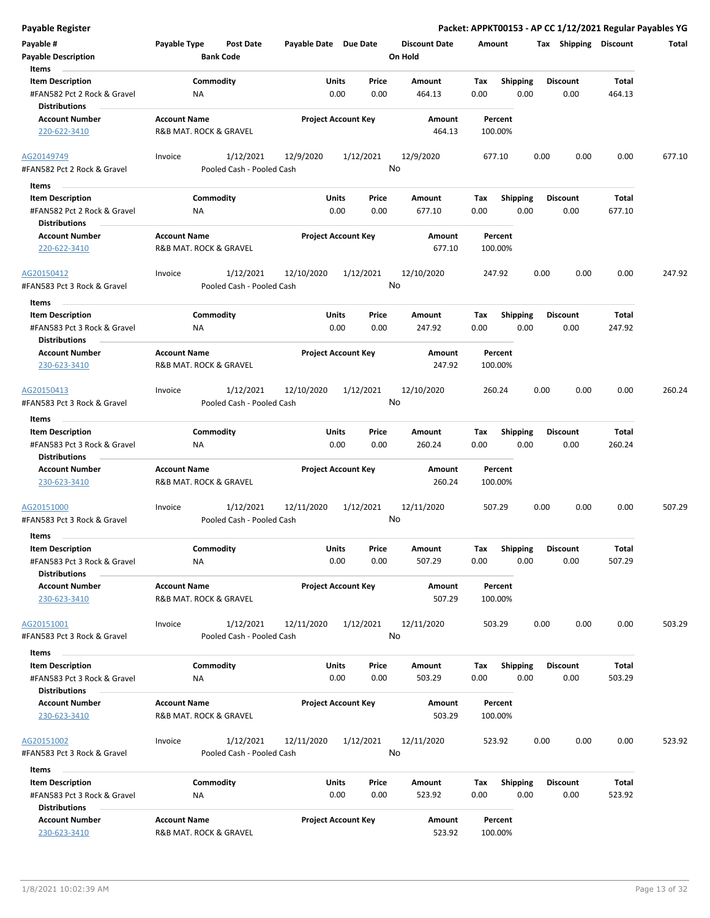| <b>Payable Register</b>                                                                 |                                                      |                                         |                                |                                 | Packet: APPKT00153 - AP CC 1/12/2021 Regular Payables YG |      |                         |                        |        |
|-----------------------------------------------------------------------------------------|------------------------------------------------------|-----------------------------------------|--------------------------------|---------------------------------|----------------------------------------------------------|------|-------------------------|------------------------|--------|
| Payable #<br><b>Payable Description</b>                                                 | Payable Type<br><b>Post Date</b><br><b>Bank Code</b> | Payable Date Due Date                   |                                | <b>Discount Date</b><br>On Hold | Amount                                                   |      |                         | Tax Shipping Discount  | Total  |
| Items<br><b>Item Description</b><br>#FAN582 Pct 2 Rock & Gravel                         | Commodity<br>ΝA                                      |                                         | Units<br>Price<br>0.00<br>0.00 | Amount<br>464.13                | Tax<br><b>Shipping</b><br>0.00                           | 0.00 | <b>Discount</b><br>0.00 | Total<br>464.13        |        |
| <b>Distributions</b><br><b>Account Number</b><br>220-622-3410                           | <b>Account Name</b><br>R&B MAT. ROCK & GRAVEL        |                                         | <b>Project Account Key</b>     | Amount<br>464.13                | Percent<br>100.00%                                       |      |                         |                        |        |
| AG20149749<br>#FAN582 Pct 2 Rock & Gravel                                               | 1/12/2021<br>Invoice                                 | 12/9/2020<br>Pooled Cash - Pooled Cash  | 1/12/2021                      | 12/9/2020<br>No                 | 677.10                                                   | 0.00 | 0.00                    | 0.00                   | 677.10 |
| Items                                                                                   |                                                      |                                         |                                |                                 |                                                          |      |                         |                        |        |
| <b>Item Description</b><br>#FAN582 Pct 2 Rock & Gravel<br><b>Distributions</b>          | Commodity<br>ΝA                                      |                                         | Units<br>Price<br>0.00<br>0.00 | Amount<br>677.10                | <b>Shipping</b><br>Tax<br>0.00                           | 0.00 | <b>Discount</b><br>0.00 | Total<br>677.10        |        |
| <b>Account Number</b><br>220-622-3410                                                   | <b>Account Name</b><br>R&B MAT. ROCK & GRAVEL        |                                         | <b>Project Account Key</b>     | Amount<br>677.10                | Percent<br>100.00%                                       |      |                         |                        |        |
| AG20150412<br>#FAN583 Pct 3 Rock & Gravel                                               | 1/12/2021<br>Invoice<br>Pooled Cash - Pooled Cash    | 12/10/2020                              | 1/12/2021                      | 12/10/2020<br>No                | 247.92                                                   | 0.00 | 0.00                    | 0.00                   | 247.92 |
| Items<br><b>Item Description</b><br>#FAN583 Pct 3 Rock & Gravel<br><b>Distributions</b> | Commodity<br>NA                                      |                                         | Units<br>Price<br>0.00<br>0.00 | Amount<br>247.92                | <b>Shipping</b><br>Tax<br>0.00                           | 0.00 | <b>Discount</b><br>0.00 | Total<br>247.92        |        |
| <b>Account Number</b><br>230-623-3410                                                   | <b>Account Name</b><br>R&B MAT. ROCK & GRAVEL        |                                         | <b>Project Account Key</b>     | Amount<br>247.92                | Percent<br>100.00%                                       |      |                         |                        |        |
| AG20150413<br>#FAN583 Pct 3 Rock & Gravel                                               | 1/12/2021<br>Invoice                                 | 12/10/2020<br>Pooled Cash - Pooled Cash | 1/12/2021                      | 12/10/2020<br>No                | 260.24                                                   | 0.00 | 0.00                    | 0.00                   | 260.24 |
| Items                                                                                   |                                                      |                                         |                                |                                 |                                                          |      |                         |                        |        |
| <b>Item Description</b><br>#FAN583 Pct 3 Rock & Gravel<br><b>Distributions</b>          | Commodity<br>ΝA                                      |                                         | Units<br>Price<br>0.00<br>0.00 | Amount<br>260.24                | <b>Shipping</b><br>Tax<br>0.00                           | 0.00 | <b>Discount</b><br>0.00 | <b>Total</b><br>260.24 |        |
| <b>Account Number</b><br>230-623-3410                                                   | <b>Account Name</b><br>R&B MAT. ROCK & GRAVEL        |                                         | <b>Project Account Key</b>     | <b>Amount</b><br>260.24         | Percent<br>100.00%                                       |      |                         |                        |        |
| AG20151000<br>#FAN583 Pct 3 Rock & Gravel                                               | 1/12/2021<br>Invoice<br>Pooled Cash - Pooled Cash    | 12/11/2020                              | 1/12/2021                      | 12/11/2020<br>No                | 507.29                                                   | 0.00 | 0.00                    | 0.00                   | 507.29 |
| Items                                                                                   |                                                      |                                         |                                |                                 |                                                          |      |                         |                        |        |
| <b>Item Description</b><br>#FAN583 Pct 3 Rock & Gravel<br><b>Distributions</b>          | Commodity<br>NA                                      |                                         | Units<br>Price<br>0.00<br>0.00 | Amount<br>507.29                | Shipping<br>Tax<br>0.00                                  | 0.00 | <b>Discount</b><br>0.00 | <b>Total</b><br>507.29 |        |
| <b>Account Number</b><br>230-623-3410                                                   | <b>Account Name</b><br>R&B MAT. ROCK & GRAVEL        |                                         | <b>Project Account Key</b>     | Amount<br>507.29                | Percent<br>100.00%                                       |      |                         |                        |        |
| AG20151001<br>#FAN583 Pct 3 Rock & Gravel                                               | 1/12/2021<br>Invoice                                 | 12/11/2020<br>Pooled Cash - Pooled Cash | 1/12/2021                      | 12/11/2020<br>No                | 503.29                                                   | 0.00 | 0.00                    | 0.00                   | 503.29 |
| Items                                                                                   |                                                      |                                         |                                |                                 |                                                          |      |                         |                        |        |
| <b>Item Description</b><br>#FAN583 Pct 3 Rock & Gravel<br><b>Distributions</b>          | Commodity<br>ΝA                                      |                                         | Units<br>Price<br>0.00<br>0.00 | Amount<br>503.29                | <b>Shipping</b><br>Тах<br>0.00                           | 0.00 | <b>Discount</b><br>0.00 | Total<br>503.29        |        |
| <b>Account Number</b><br>230-623-3410                                                   | <b>Account Name</b><br>R&B MAT. ROCK & GRAVEL        |                                         | <b>Project Account Key</b>     | Amount<br>503.29                | Percent<br>100.00%                                       |      |                         |                        |        |
| AG20151002<br>#FAN583 Pct 3 Rock & Gravel                                               | 1/12/2021<br>Invoice                                 | 12/11/2020<br>Pooled Cash - Pooled Cash | 1/12/2021                      | 12/11/2020<br>No                | 523.92                                                   | 0.00 | 0.00                    | 0.00                   | 523.92 |
| Items                                                                                   |                                                      |                                         |                                |                                 |                                                          |      |                         |                        |        |
| <b>Item Description</b><br>#FAN583 Pct 3 Rock & Gravel<br><b>Distributions</b>          | Commodity<br>ΝA                                      |                                         | Units<br>Price<br>0.00<br>0.00 | Amount<br>523.92                | Tax<br><b>Shipping</b><br>0.00                           | 0.00 | <b>Discount</b><br>0.00 | Total<br>523.92        |        |
| <b>Account Number</b><br>230-623-3410                                                   | <b>Account Name</b><br>R&B MAT. ROCK & GRAVEL        |                                         | <b>Project Account Key</b>     | Amount<br>523.92                | Percent<br>100.00%                                       |      |                         |                        |        |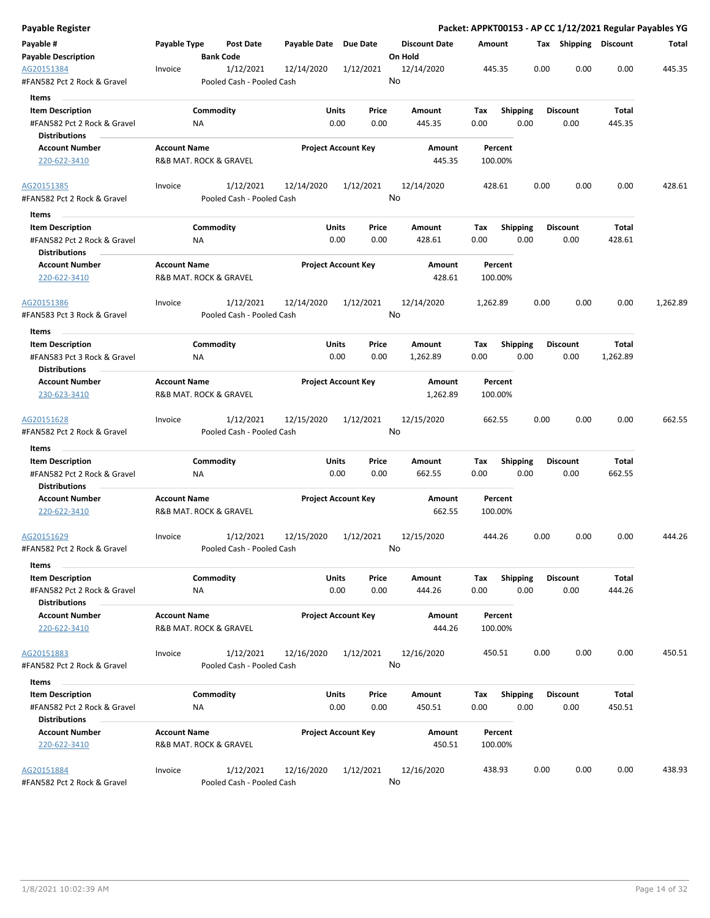| Payable Register                                    |                     |                                        |                       |                            |                                 |                    |                         |      |                       |          | Packet: APPKT00153 - AP CC 1/12/2021 Regular Payables YG |
|-----------------------------------------------------|---------------------|----------------------------------------|-----------------------|----------------------------|---------------------------------|--------------------|-------------------------|------|-----------------------|----------|----------------------------------------------------------|
| Payable #<br><b>Payable Description</b>             | Payable Type        | Post Date<br><b>Bank Code</b>          | Payable Date Due Date |                            | <b>Discount Date</b><br>On Hold | Amount             |                         |      | Tax Shipping Discount |          | Total                                                    |
| AG20151384<br>#FAN582 Pct 2 Rock & Gravel           | Invoice             | 1/12/2021<br>Pooled Cash - Pooled Cash | 12/14/2020            | 1/12/2021                  | 12/14/2020<br>No                | 445.35             |                         | 0.00 | 0.00                  | 0.00     | 445.35                                                   |
| Items                                               |                     |                                        |                       |                            |                                 |                    |                         |      |                       |          |                                                          |
| <b>Item Description</b>                             |                     | Commodity                              | Units                 | Price                      | Amount                          | Tax                | <b>Shipping</b>         |      | <b>Discount</b>       | Total    |                                                          |
| #FAN582 Pct 2 Rock & Gravel                         |                     | ΝA                                     |                       | 0.00<br>0.00               | 445.35                          | 0.00               | 0.00                    |      | 0.00                  | 445.35   |                                                          |
| <b>Distributions</b>                                |                     |                                        |                       |                            |                                 |                    |                         |      |                       |          |                                                          |
| <b>Account Number</b>                               | <b>Account Name</b> |                                        |                       | <b>Project Account Key</b> | Amount                          | Percent            |                         |      |                       |          |                                                          |
| 220-622-3410                                        |                     | R&B MAT. ROCK & GRAVEL                 |                       |                            | 445.35                          | 100.00%            |                         |      |                       |          |                                                          |
| AG20151385                                          | Invoice             | 1/12/2021                              | 12/14/2020            | 1/12/2021                  | 12/14/2020                      | 428.61             |                         | 0.00 | 0.00                  | 0.00     | 428.61                                                   |
| #FAN582 Pct 2 Rock & Gravel<br>Items                |                     | Pooled Cash - Pooled Cash              |                       |                            | No                              |                    |                         |      |                       |          |                                                          |
| <b>Item Description</b>                             |                     | Commodity                              | Units                 | Price                      | Amount                          | Tax                | Shipping                |      | <b>Discount</b>       | Total    |                                                          |
| #FAN582 Pct 2 Rock & Gravel<br><b>Distributions</b> |                     | ΝA                                     |                       | 0.00<br>0.00               | 428.61                          | 0.00               | 0.00                    |      | 0.00                  | 428.61   |                                                          |
| <b>Account Number</b>                               | <b>Account Name</b> |                                        |                       | <b>Project Account Key</b> | Amount                          | Percent            |                         |      |                       |          |                                                          |
| 220-622-3410                                        |                     | R&B MAT. ROCK & GRAVEL                 |                       |                            | 428.61                          | 100.00%            |                         |      |                       |          |                                                          |
| AG20151386                                          | Invoice             | 1/12/2021                              | 12/14/2020            | 1/12/2021                  | 12/14/2020                      | 1,262.89           |                         | 0.00 | 0.00                  | 0.00     | 1,262.89                                                 |
| #FAN583 Pct 3 Rock & Gravel                         |                     | Pooled Cash - Pooled Cash              |                       |                            | No                              |                    |                         |      |                       |          |                                                          |
| Items                                               |                     |                                        |                       |                            |                                 |                    |                         |      |                       |          |                                                          |
| <b>Item Description</b>                             |                     | Commodity                              | Units                 | Price                      | Amount                          | Tax                | <b>Shipping</b>         |      | <b>Discount</b>       | Total    |                                                          |
| #FAN583 Pct 3 Rock & Gravel<br><b>Distributions</b> |                     | <b>NA</b>                              |                       | 0.00<br>0.00               | 1,262.89                        | 0.00               | 0.00                    |      | 0.00                  | 1,262.89 |                                                          |
| <b>Account Number</b>                               | <b>Account Name</b> |                                        |                       | <b>Project Account Key</b> | Amount                          | Percent            |                         |      |                       |          |                                                          |
| 230-623-3410                                        |                     | R&B MAT. ROCK & GRAVEL                 |                       |                            | 1,262.89                        | 100.00%            |                         |      |                       |          |                                                          |
| AG20151628<br>#FAN582 Pct 2 Rock & Gravel           | Invoice             | 1/12/2021<br>Pooled Cash - Pooled Cash | 12/15/2020            | 1/12/2021                  | 12/15/2020<br>No                | 662.55             |                         | 0.00 | 0.00                  | 0.00     | 662.55                                                   |
| Items                                               |                     |                                        |                       |                            |                                 |                    |                         |      |                       |          |                                                          |
| <b>Item Description</b>                             |                     | Commodity                              | Units                 | Price                      | Amount                          | Tax                | <b>Shipping</b>         |      | Discount              | Total    |                                                          |
| #FAN582 Pct 2 Rock & Gravel                         |                     | ΝA                                     |                       | 0.00<br>0.00               | 662.55                          | 0.00               | 0.00                    |      | 0.00                  | 662.55   |                                                          |
| <b>Distributions</b>                                |                     |                                        |                       |                            |                                 |                    |                         |      |                       |          |                                                          |
| <b>Account Number</b><br>220-622-3410               | <b>Account Name</b> | R&B MAT. ROCK & GRAVEL                 |                       | <b>Project Account Key</b> | Amount<br>662.55                | Percent<br>100.00% |                         |      |                       |          |                                                          |
| AG20151629                                          | Invoice             | 1/12/2021                              | 12/15/2020            | 1/12/2021                  | 12/15/2020                      | 444.26             |                         | 0.00 | 0.00                  | 0.00     | 444.26                                                   |
| #FAN582 Pct 2 Rock & Gravel                         |                     | Pooled Cash - Pooled Cash              |                       |                            | No                              |                    |                         |      |                       |          |                                                          |
| Items<br><b>Item Description</b>                    |                     | Commodity                              | Units                 | Price                      |                                 |                    |                         |      | <b>Discount</b>       | Total    |                                                          |
| #FAN582 Pct 2 Rock & Gravel                         |                     | <b>NA</b>                              |                       | 0.00<br>0.00               | Amount<br>444.26                | Tax<br>0.00        | <b>Shipping</b><br>0.00 |      | 0.00                  | 444.26   |                                                          |
| <b>Distributions</b>                                |                     |                                        |                       |                            |                                 |                    |                         |      |                       |          |                                                          |
| <b>Account Number</b><br>220-622-3410               | <b>Account Name</b> | R&B MAT. ROCK & GRAVEL                 |                       | <b>Project Account Key</b> | Amount<br>444.26                | Percent<br>100.00% |                         |      |                       |          |                                                          |
| AG20151883                                          | Invoice             | 1/12/2021                              | 12/16/2020            | 1/12/2021                  | 12/16/2020                      | 450.51             |                         | 0.00 | 0.00                  | 0.00     | 450.51                                                   |
| #FAN582 Pct 2 Rock & Gravel                         |                     | Pooled Cash - Pooled Cash              |                       |                            | No                              |                    |                         |      |                       |          |                                                          |
| Items                                               |                     |                                        |                       |                            |                                 |                    |                         |      |                       |          |                                                          |
| <b>Item Description</b>                             |                     | Commodity                              | Units                 | Price                      | Amount                          | Tax                | <b>Shipping</b>         |      | <b>Discount</b>       | Total    |                                                          |
| #FAN582 Pct 2 Rock & Gravel                         |                     | ΝA                                     |                       | 0.00<br>0.00               | 450.51                          | 0.00               | 0.00                    |      | 0.00                  | 450.51   |                                                          |
| <b>Distributions</b>                                |                     |                                        |                       |                            |                                 |                    |                         |      |                       |          |                                                          |
| <b>Account Number</b><br>220-622-3410               | <b>Account Name</b> | R&B MAT. ROCK & GRAVEL                 |                       | <b>Project Account Key</b> | Amount<br>450.51                | Percent<br>100.00% |                         |      |                       |          |                                                          |
|                                                     |                     |                                        |                       |                            |                                 |                    |                         |      |                       |          |                                                          |
| AG20151884<br>#FAN582 Pct 2 Rock & Gravel           | Invoice             | 1/12/2021<br>Pooled Cash - Pooled Cash | 12/16/2020            | 1/12/2021                  | 12/16/2020<br>No                | 438.93             |                         | 0.00 | 0.00                  | 0.00     | 438.93                                                   |
|                                                     |                     |                                        |                       |                            |                                 |                    |                         |      |                       |          |                                                          |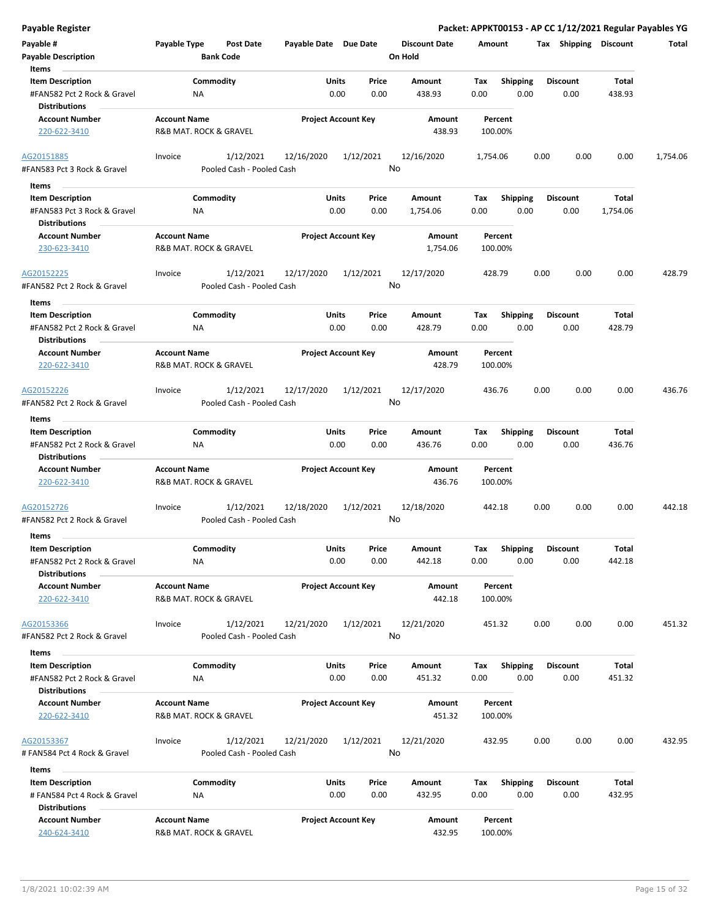| <b>Payable Register</b>                                                                 |                     |                                        |                       |                                       |                                 |             |                         |                         |                        | Packet: APPKT00153 - AP CC 1/12/2021 Regular Payables YG |
|-----------------------------------------------------------------------------------------|---------------------|----------------------------------------|-----------------------|---------------------------------------|---------------------------------|-------------|-------------------------|-------------------------|------------------------|----------------------------------------------------------|
| Payable #<br><b>Payable Description</b>                                                 | Payable Type        | <b>Post Date</b><br><b>Bank Code</b>   | Payable Date Due Date |                                       | <b>Discount Date</b><br>On Hold | Amount      |                         |                         | Tax Shipping Discount  | Total                                                    |
| Items                                                                                   |                     |                                        |                       |                                       |                                 |             |                         |                         |                        |                                                          |
| <b>Item Description</b><br>#FAN582 Pct 2 Rock & Gravel<br><b>Distributions</b>          | NA                  | Commodity                              |                       | Price<br>Units<br>0.00<br>0.00        | Amount<br>438.93                | Tax<br>0.00 | Shipping<br>0.00        | <b>Discount</b><br>0.00 | <b>Total</b><br>438.93 |                                                          |
| <b>Account Number</b>                                                                   |                     |                                        |                       |                                       | Amount                          |             |                         |                         |                        |                                                          |
| 220-622-3410                                                                            | <b>Account Name</b> | R&B MAT. ROCK & GRAVEL                 |                       | <b>Project Account Key</b>            | 438.93                          |             | Percent<br>100.00%      |                         |                        |                                                          |
| AG20151885<br>#FAN583 Pct 3 Rock & Gravel                                               | Invoice             | 1/12/2021<br>Pooled Cash - Pooled Cash | 12/16/2020            | 1/12/2021                             | 12/16/2020<br>No                | 1,754.06    |                         | 0.00                    | 0.00<br>0.00           | 1,754.06                                                 |
| Items                                                                                   |                     |                                        |                       |                                       |                                 |             |                         |                         |                        |                                                          |
| <b>Item Description</b>                                                                 |                     | Commodity                              |                       | <b>Units</b><br>Price                 | Amount                          | Tax         | <b>Shipping</b>         | <b>Discount</b>         | Total                  |                                                          |
| #FAN583 Pct 3 Rock & Gravel<br><b>Distributions</b>                                     | ΝA                  |                                        |                       | 0.00<br>0.00                          | 1,754.06                        | 0.00        | 0.00                    | 0.00                    | 1,754.06               |                                                          |
| <b>Account Number</b><br>230-623-3410                                                   | <b>Account Name</b> | R&B MAT. ROCK & GRAVEL                 |                       | <b>Project Account Key</b>            | Amount<br>1,754.06              |             | Percent<br>100.00%      |                         |                        |                                                          |
| AG20152225                                                                              | Invoice             | 1/12/2021                              | 12/17/2020            | 1/12/2021                             | 12/17/2020                      | 428.79      |                         | 0.00                    | 0.00<br>0.00           | 428.79                                                   |
| #FAN582 Pct 2 Rock & Gravel                                                             |                     | Pooled Cash - Pooled Cash              |                       |                                       | No                              |             |                         |                         |                        |                                                          |
| Items<br><b>Item Description</b><br>#FAN582 Pct 2 Rock & Gravel<br><b>Distributions</b> | ΝA                  | Commodity                              |                       | <b>Units</b><br>Price<br>0.00<br>0.00 | Amount<br>428.79                | Tax<br>0.00 | <b>Shipping</b><br>0.00 | <b>Discount</b><br>0.00 | <b>Total</b><br>428.79 |                                                          |
| <b>Account Number</b>                                                                   | <b>Account Name</b> |                                        |                       | <b>Project Account Key</b>            | Amount                          |             | Percent                 |                         |                        |                                                          |
| 220-622-3410                                                                            |                     | R&B MAT. ROCK & GRAVEL                 |                       |                                       | 428.79                          |             | 100.00%                 |                         |                        |                                                          |
| AG20152226<br>#FAN582 Pct 2 Rock & Gravel                                               | Invoice             | 1/12/2021<br>Pooled Cash - Pooled Cash | 12/17/2020            | 1/12/2021                             | 12/17/2020<br>No                |             | 436.76                  | 0.00                    | 0.00<br>0.00           | 436.76                                                   |
|                                                                                         |                     |                                        |                       |                                       |                                 |             |                         |                         |                        |                                                          |
| Items                                                                                   |                     | Commodity                              |                       | Units<br>Price                        | Amount                          | Tax         | <b>Shipping</b>         | <b>Discount</b>         | Total                  |                                                          |
| <b>Item Description</b><br>#FAN582 Pct 2 Rock & Gravel<br><b>Distributions</b>          | NA                  |                                        |                       | 0.00<br>0.00                          | 436.76                          | 0.00        | 0.00                    | 0.00                    | 436.76                 |                                                          |
| <b>Account Number</b>                                                                   | <b>Account Name</b> |                                        |                       | <b>Project Account Key</b>            | Amount                          |             | Percent                 |                         |                        |                                                          |
| 220-622-3410                                                                            |                     | R&B MAT. ROCK & GRAVEL                 |                       |                                       | 436.76                          |             | 100.00%                 |                         |                        |                                                          |
| AG20152726                                                                              | Invoice             | 1/12/2021                              | 12/18/2020            | 1/12/2021                             | 12/18/2020                      |             | 442.18                  | 0.00                    | 0.00<br>0.00           | 442.18                                                   |
| #FAN582 Pct 2 Rock & Gravel                                                             |                     | Pooled Cash - Pooled Cash              |                       |                                       | No                              |             |                         |                         |                        |                                                          |
| Items                                                                                   |                     |                                        |                       |                                       |                                 |             |                         |                         |                        |                                                          |
| <b>Item Description</b>                                                                 |                     | Commodity                              |                       | Units<br>Price                        | Amount                          | Tax         | Shipping                | <b>Discount</b>         | Total                  |                                                          |
| #FAN582 Pct 2 Rock & Gravel<br><b>Distributions</b>                                     | NA                  |                                        |                       | 0.00<br>0.00                          | 442.18                          | 0.00        | 0.00                    | 0.00                    | 442.18                 |                                                          |
| <b>Account Number</b><br>220-622-3410                                                   | <b>Account Name</b> | R&B MAT. ROCK & GRAVEL                 |                       | <b>Project Account Key</b>            | Amount<br>442.18                |             | Percent<br>100.00%      |                         |                        |                                                          |
| AG20153366                                                                              | Invoice             | 1/12/2021                              | 12/21/2020            | 1/12/2021                             | 12/21/2020                      |             | 451.32                  | 0.00                    | 0.00<br>0.00           | 451.32                                                   |
| #FAN582 Pct 2 Rock & Gravel                                                             |                     | Pooled Cash - Pooled Cash              |                       |                                       | No                              |             |                         |                         |                        |                                                          |
| Items                                                                                   |                     |                                        |                       |                                       |                                 |             |                         |                         |                        |                                                          |
| <b>Item Description</b>                                                                 |                     | Commodity                              |                       | Units<br>Price                        | Amount                          | Tax         | <b>Shipping</b>         | <b>Discount</b>         | Total                  |                                                          |
| #FAN582 Pct 2 Rock & Gravel<br><b>Distributions</b>                                     | NA                  |                                        |                       | 0.00<br>0.00                          | 451.32                          | 0.00        | 0.00                    | 0.00                    | 451.32                 |                                                          |
| <b>Account Number</b><br>220-622-3410                                                   | <b>Account Name</b> | R&B MAT. ROCK & GRAVEL                 |                       | <b>Project Account Key</b>            | Amount<br>451.32                |             | Percent<br>100.00%      |                         |                        |                                                          |
| AG20153367                                                                              | Invoice             | 1/12/2021                              | 12/21/2020            | 1/12/2021                             | 12/21/2020                      | 432.95      |                         | 0.00                    | 0.00<br>0.00           | 432.95                                                   |
| # FAN584 Pct 4 Rock & Gravel                                                            |                     | Pooled Cash - Pooled Cash              |                       |                                       | No                              |             |                         |                         |                        |                                                          |
| Items                                                                                   |                     |                                        |                       |                                       |                                 |             |                         |                         | Total                  |                                                          |
| <b>Item Description</b><br># FAN584 Pct 4 Rock & Gravel<br><b>Distributions</b>         | ΝA                  | Commodity                              |                       | Units<br>Price<br>0.00<br>0.00        | Amount<br>432.95                | Tax<br>0.00 | <b>Shipping</b><br>0.00 | <b>Discount</b><br>0.00 | 432.95                 |                                                          |
| <b>Account Number</b>                                                                   | <b>Account Name</b> |                                        |                       | <b>Project Account Key</b>            | Amount                          |             | Percent                 |                         |                        |                                                          |
| 240-624-3410                                                                            |                     | R&B MAT. ROCK & GRAVEL                 |                       |                                       | 432.95                          |             | 100.00%                 |                         |                        |                                                          |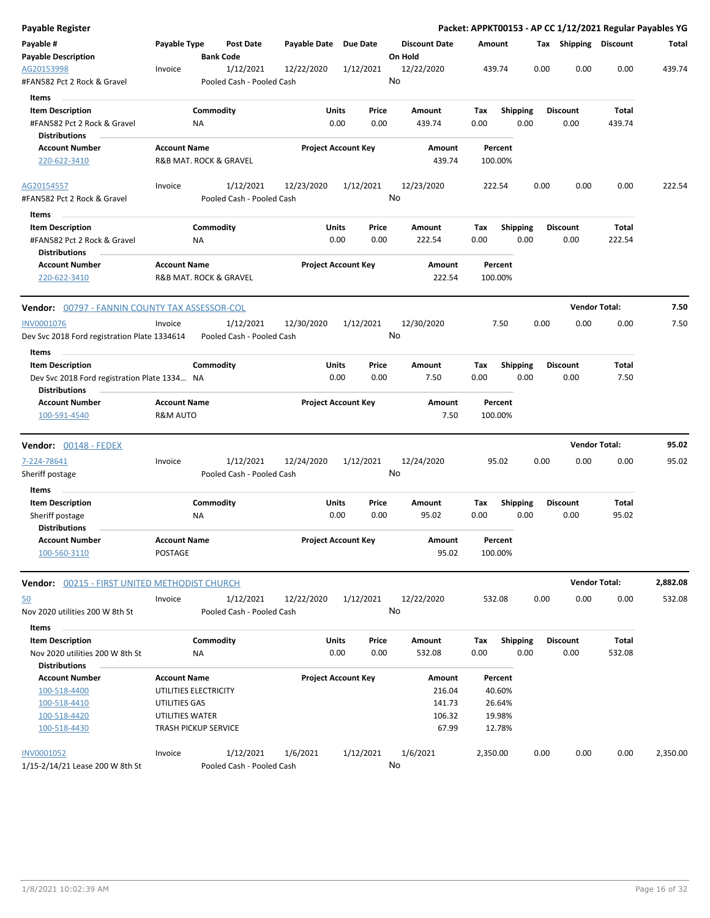| <b>Payable Register</b>                                                        |                                               |                  |                                        |              |                            |               |                                 |                    |                         |      |                         | Packet: APPKT00153 - AP CC 1/12/2021 Regular Payables YG |          |
|--------------------------------------------------------------------------------|-----------------------------------------------|------------------|----------------------------------------|--------------|----------------------------|---------------|---------------------------------|--------------------|-------------------------|------|-------------------------|----------------------------------------------------------|----------|
| Payable #<br><b>Payable Description</b>                                        | Payable Type                                  | <b>Bank Code</b> | <b>Post Date</b>                       | Payable Date | Due Date                   |               | <b>Discount Date</b><br>On Hold | Amount             |                         |      | Tax Shipping Discount   |                                                          | Total    |
| AG20153998<br>#FAN582 Pct 2 Rock & Gravel                                      | Invoice                                       |                  | 1/12/2021<br>Pooled Cash - Pooled Cash | 12/22/2020   | 1/12/2021                  |               | 12/22/2020<br>No                | 439.74             |                         | 0.00 | 0.00                    | 0.00                                                     | 439.74   |
| Items                                                                          |                                               |                  |                                        |              |                            |               |                                 |                    |                         |      |                         |                                                          |          |
| <b>Item Description</b><br>#FAN582 Pct 2 Rock & Gravel<br><b>Distributions</b> |                                               | Commodity<br>ΝA  |                                        |              | Units<br>0.00              | Price<br>0.00 | Amount<br>439.74                | Tax<br>0.00        | <b>Shipping</b><br>0.00 |      | <b>Discount</b><br>0.00 | Total<br>439.74                                          |          |
| <b>Account Number</b>                                                          | <b>Account Name</b>                           |                  |                                        |              | <b>Project Account Key</b> |               | Amount                          | Percent            |                         |      |                         |                                                          |          |
| 220-622-3410                                                                   | R&B MAT. ROCK & GRAVEL                        |                  |                                        |              |                            |               | 439.74                          | 100.00%            |                         |      |                         |                                                          |          |
| AG20154557                                                                     | Invoice                                       |                  | 1/12/2021                              | 12/23/2020   | 1/12/2021                  |               | 12/23/2020                      | 222.54             |                         | 0.00 | 0.00                    | 0.00                                                     | 222.54   |
| #FAN582 Pct 2 Rock & Gravel<br>Items                                           |                                               |                  | Pooled Cash - Pooled Cash              |              |                            |               | No                              |                    |                         |      |                         |                                                          |          |
| <b>Item Description</b>                                                        |                                               | Commodity        |                                        |              | Units                      | Price         | Amount                          | Tax                | <b>Shipping</b>         |      | <b>Discount</b>         | Total                                                    |          |
| #FAN582 Pct 2 Rock & Gravel<br><b>Distributions</b>                            |                                               | ΝA               |                                        |              | 0.00                       | 0.00          | 222.54                          | 0.00               | 0.00                    |      | 0.00                    | 222.54                                                   |          |
| <b>Account Number</b><br>220-622-3410                                          | <b>Account Name</b><br>R&B MAT. ROCK & GRAVEL |                  |                                        |              | <b>Project Account Key</b> |               | Amount<br>222.54                | Percent<br>100.00% |                         |      |                         |                                                          |          |
| <b>Vendor:</b> 00797 - FANNIN COUNTY TAX ASSESSOR-COL                          |                                               |                  |                                        |              |                            |               |                                 |                    |                         |      |                         | <b>Vendor Total:</b>                                     | 7.50     |
| INV0001076<br>Dev Svc 2018 Ford registration Plate 1334614                     | Invoice                                       |                  | 1/12/2021<br>Pooled Cash - Pooled Cash | 12/30/2020   | 1/12/2021                  |               | 12/30/2020<br>No                |                    | 7.50                    | 0.00 | 0.00                    | 0.00                                                     | 7.50     |
| Items                                                                          |                                               |                  |                                        |              |                            |               |                                 |                    |                         |      |                         |                                                          |          |
| <b>Item Description</b>                                                        |                                               | Commodity        |                                        |              | Units                      | Price         | Amount                          | Tax                | <b>Shipping</b>         |      | <b>Discount</b>         | Total                                                    |          |
| Dev Svc 2018 Ford registration Plate 1334 NA<br><b>Distributions</b>           |                                               |                  |                                        |              | 0.00                       | 0.00          | 7.50                            | 0.00               | 0.00                    |      | 0.00                    | 7.50                                                     |          |
| <b>Account Number</b>                                                          | <b>Account Name</b>                           |                  |                                        |              | <b>Project Account Key</b> |               | Amount                          | Percent            |                         |      |                         |                                                          |          |
| 100-591-4540                                                                   | <b>R&amp;M AUTO</b>                           |                  |                                        |              |                            |               | 7.50                            | 100.00%            |                         |      |                         |                                                          |          |
| <b>Vendor:</b> 00148 - FEDEX                                                   |                                               |                  |                                        |              |                            |               |                                 |                    |                         |      |                         | <b>Vendor Total:</b>                                     | 95.02    |
| 7-224-78641                                                                    | Invoice                                       |                  | 1/12/2021                              | 12/24/2020   | 1/12/2021                  |               | 12/24/2020                      | 95.02              |                         | 0.00 | 0.00                    | 0.00                                                     | 95.02    |
| Sheriff postage                                                                |                                               |                  | Pooled Cash - Pooled Cash              |              |                            |               | No                              |                    |                         |      |                         |                                                          |          |
| Items                                                                          |                                               |                  |                                        |              |                            |               |                                 |                    |                         |      |                         |                                                          |          |
| <b>Item Description</b>                                                        |                                               | Commodity        |                                        |              | Units                      | Price         | Amount                          | Tax                | Shipping                |      | <b>Discount</b>         | Total                                                    |          |
| Sheriff postage                                                                |                                               | ΝA               |                                        |              | 0.00                       | 0.00          | 95.02                           | 0.00               | 0.00                    |      | 0.00                    | 95.02                                                    |          |
| <b>Distributions</b>                                                           |                                               |                  |                                        |              |                            |               |                                 |                    |                         |      |                         |                                                          |          |
| <b>Account Number</b><br>100-560-3110                                          | <b>Account Name</b><br>POSTAGE                |                  |                                        |              | <b>Project Account Key</b> |               | Amount<br>95.02                 | Percent<br>100.00% |                         |      |                         |                                                          |          |
| <b>Vendor:</b> 00215 - FIRST UNITED METHODIST CHURCH                           |                                               |                  |                                        |              |                            |               |                                 |                    |                         |      |                         | <b>Vendor Total:</b>                                     | 2,882.08 |
| 50                                                                             | Invoice                                       |                  | 1/12/2021                              | 12/22/2020   | 1/12/2021                  |               | 12/22/2020                      | 532.08             |                         | 0.00 | 0.00                    | 0.00                                                     | 532.08   |
| Nov 2020 utilities 200 W 8th St                                                |                                               |                  | Pooled Cash - Pooled Cash              |              |                            |               | No                              |                    |                         |      |                         |                                                          |          |
| Items                                                                          |                                               |                  |                                        |              |                            |               |                                 |                    |                         |      |                         |                                                          |          |
| <b>Item Description</b><br>Nov 2020 utilities 200 W 8th St                     |                                               | Commodity<br>ΝA  |                                        |              | <b>Units</b><br>0.00       | Price<br>0.00 | Amount<br>532.08                | Tax<br>0.00        | <b>Shipping</b><br>0.00 |      | <b>Discount</b><br>0.00 | Total<br>532.08                                          |          |
| <b>Distributions</b>                                                           |                                               |                  |                                        |              |                            |               |                                 |                    |                         |      |                         |                                                          |          |
| <b>Account Number</b>                                                          | <b>Account Name</b>                           |                  |                                        |              | <b>Project Account Key</b> |               | Amount                          | Percent            |                         |      |                         |                                                          |          |
| 100-518-4400<br>100-518-4410                                                   | UTILITIES ELECTRICITY<br>UTILITIES GAS        |                  |                                        |              |                            |               | 216.04<br>141.73                | 40.60%<br>26.64%   |                         |      |                         |                                                          |          |
| 100-518-4420                                                                   | UTILITIES WATER                               |                  |                                        |              |                            |               | 106.32                          | 19.98%             |                         |      |                         |                                                          |          |
| 100-518-4430                                                                   | <b>TRASH PICKUP SERVICE</b>                   |                  |                                        |              |                            |               | 67.99                           | 12.78%             |                         |      |                         |                                                          |          |
| <b>INV0001052</b>                                                              | Invoice                                       |                  | 1/12/2021                              | 1/6/2021     | 1/12/2021                  |               | 1/6/2021                        | 2,350.00           |                         | 0.00 | 0.00                    | 0.00                                                     | 2,350.00 |
| 1/15-2/14/21 Lease 200 W 8th St                                                |                                               |                  | Pooled Cash - Pooled Cash              |              |                            |               | No                              |                    |                         |      |                         |                                                          |          |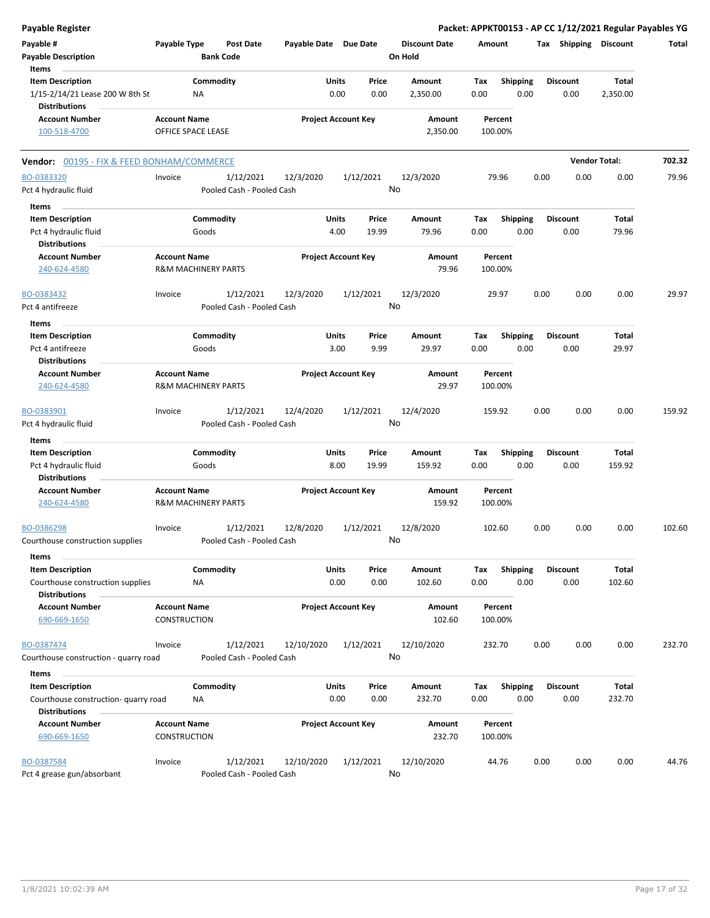| <b>Payable Register</b>                                                  |                                                       |                    |                                        |                       |                            |                |                                 |             |                         |      |                         | Packet: APPKT00153 - AP CC 1/12/2021 Regular Payables YG |        |
|--------------------------------------------------------------------------|-------------------------------------------------------|--------------------|----------------------------------------|-----------------------|----------------------------|----------------|---------------------------------|-------------|-------------------------|------|-------------------------|----------------------------------------------------------|--------|
| Payable #<br><b>Payable Description</b>                                  | Payable Type                                          |                    | <b>Post Date</b><br><b>Bank Code</b>   | Payable Date Due Date |                            |                | <b>Discount Date</b><br>On Hold | Amount      |                         |      | Tax Shipping Discount   |                                                          | Total  |
| Items<br><b>Item Description</b><br>1/15-2/14/21 Lease 200 W 8th St      |                                                       | Commodity<br>NA    |                                        |                       | Units<br>0.00              | Price<br>0.00  | Amount<br>2,350.00              | Tax<br>0.00 | <b>Shipping</b><br>0.00 |      | <b>Discount</b><br>0.00 | Total<br>2,350.00                                        |        |
| <b>Distributions</b><br><b>Account Number</b><br>100-518-4700            | <b>Account Name</b><br>OFFICE SPACE LEASE             |                    |                                        |                       | <b>Project Account Key</b> |                | Amount<br>2,350.00              |             | Percent<br>100.00%      |      |                         |                                                          |        |
| Vendor: 00195 - FIX & FEED BONHAM/COMMERCE                               |                                                       |                    |                                        |                       |                            |                |                                 |             |                         |      |                         | <b>Vendor Total:</b>                                     | 702.32 |
| BO-0383320                                                               | Invoice                                               |                    | 1/12/2021                              | 12/3/2020             |                            | 1/12/2021      | 12/3/2020                       |             | 79.96                   | 0.00 | 0.00                    | 0.00                                                     | 79.96  |
| Pct 4 hydraulic fluid<br>Items                                           |                                                       |                    | Pooled Cash - Pooled Cash              |                       |                            |                | No                              |             |                         |      |                         |                                                          |        |
| <b>Item Description</b><br>Pct 4 hydraulic fluid                         |                                                       | Commodity<br>Goods |                                        |                       | Units<br>4.00              | Price<br>19.99 | Amount<br>79.96                 | Tax<br>0.00 | <b>Shipping</b><br>0.00 |      | <b>Discount</b><br>0.00 | <b>Total</b><br>79.96                                    |        |
| <b>Distributions</b><br><b>Account Number</b><br>240-624-4580            | <b>Account Name</b><br><b>R&amp;M MACHINERY PARTS</b> |                    |                                        |                       | <b>Project Account Key</b> |                | <b>Amount</b><br>79.96          |             | Percent<br>100.00%      |      |                         |                                                          |        |
| BO-0383432<br>Pct 4 antifreeze                                           | Invoice                                               |                    | 1/12/2021<br>Pooled Cash - Pooled Cash | 12/3/2020             |                            | 1/12/2021      | 12/3/2020<br>No                 |             | 29.97                   | 0.00 | 0.00                    | 0.00                                                     | 29.97  |
| Items                                                                    |                                                       |                    |                                        |                       |                            |                |                                 |             |                         |      |                         |                                                          |        |
| <b>Item Description</b><br>Pct 4 antifreeze                              |                                                       | Commodity<br>Goods |                                        |                       | Units<br>3.00              | Price<br>9.99  | Amount<br>29.97                 | Tax<br>0.00 | <b>Shipping</b><br>0.00 |      | <b>Discount</b><br>0.00 | <b>Total</b><br>29.97                                    |        |
| <b>Distributions</b><br><b>Account Number</b><br>240-624-4580            | <b>Account Name</b><br><b>R&amp;M MACHINERY PARTS</b> |                    |                                        |                       | <b>Project Account Key</b> |                | Amount<br>29.97                 |             | Percent<br>100.00%      |      |                         |                                                          |        |
| BO-0383901<br>Pct 4 hydraulic fluid                                      | Invoice                                               |                    | 1/12/2021<br>Pooled Cash - Pooled Cash | 12/4/2020             |                            | 1/12/2021      | 12/4/2020<br>No                 | 159.92      |                         | 0.00 | 0.00                    | 0.00                                                     | 159.92 |
| Items                                                                    |                                                       |                    |                                        |                       |                            |                |                                 |             |                         |      |                         |                                                          |        |
| <b>Item Description</b><br>Pct 4 hydraulic fluid<br><b>Distributions</b> |                                                       | Commodity<br>Goods |                                        |                       | Units<br>8.00              | Price<br>19.99 | Amount<br>159.92                | Tax<br>0.00 | Shipping<br>0.00        |      | <b>Discount</b><br>0.00 | <b>Total</b><br>159.92                                   |        |
| <b>Account Number</b><br>240-624-4580                                    | <b>Account Name</b><br><b>R&amp;M MACHINERY PARTS</b> |                    |                                        |                       | <b>Project Account Key</b> |                | <b>Amount</b><br>159.92         |             | Percent<br>100.00%      |      |                         |                                                          |        |
| BO-0386298<br>Courthouse construction supplies                           | Invoice                                               |                    | 1/12/2021<br>Pooled Cash - Pooled Cash | 12/8/2020             |                            | 1/12/2021      | 12/8/2020<br>No                 | 102.60      |                         | 0.00 | 0.00                    | 0.00                                                     | 102.60 |
| Items<br><b>Item Description</b><br>Courthouse construction supplies     |                                                       | Commodity<br>ΝA    |                                        |                       | Units<br>0.00              | Price<br>0.00  | Amount<br>102.60                | Tax<br>0.00 | <b>Shipping</b><br>0.00 |      | <b>Discount</b><br>0.00 | Total<br>102.60                                          |        |
| <b>Distributions</b><br><b>Account Number</b><br>690-669-1650            | <b>Account Name</b><br><b>CONSTRUCTION</b>            |                    |                                        |                       | <b>Project Account Key</b> |                | Amount<br>102.60                |             | Percent<br>100.00%      |      |                         |                                                          |        |
| BO-0387474<br>Courthouse construction - quarry road                      | Invoice                                               |                    | 1/12/2021<br>Pooled Cash - Pooled Cash | 12/10/2020            |                            | 1/12/2021      | 12/10/2020<br>No                |             | 232.70                  | 0.00 | 0.00                    | 0.00                                                     | 232.70 |
| Items                                                                    |                                                       |                    |                                        |                       |                            |                |                                 |             |                         |      |                         |                                                          |        |
| <b>Item Description</b><br>Courthouse construction- quarry road          |                                                       | Commodity<br>NA    |                                        |                       | Units<br>0.00              | Price<br>0.00  | Amount<br>232.70                | Tax<br>0.00 | <b>Shipping</b><br>0.00 |      | <b>Discount</b><br>0.00 | Total<br>232.70                                          |        |
| <b>Distributions</b><br><b>Account Number</b><br>690-669-1650            | <b>Account Name</b><br><b>CONSTRUCTION</b>            |                    |                                        |                       | <b>Project Account Key</b> |                | Amount<br>232.70                |             | Percent<br>100.00%      |      |                         |                                                          |        |
| BO-0387584<br>Pct 4 grease gun/absorbant                                 | Invoice                                               |                    | 1/12/2021<br>Pooled Cash - Pooled Cash | 12/10/2020            |                            | 1/12/2021      | 12/10/2020<br>No                |             | 44.76                   | 0.00 | 0.00                    | 0.00                                                     | 44.76  |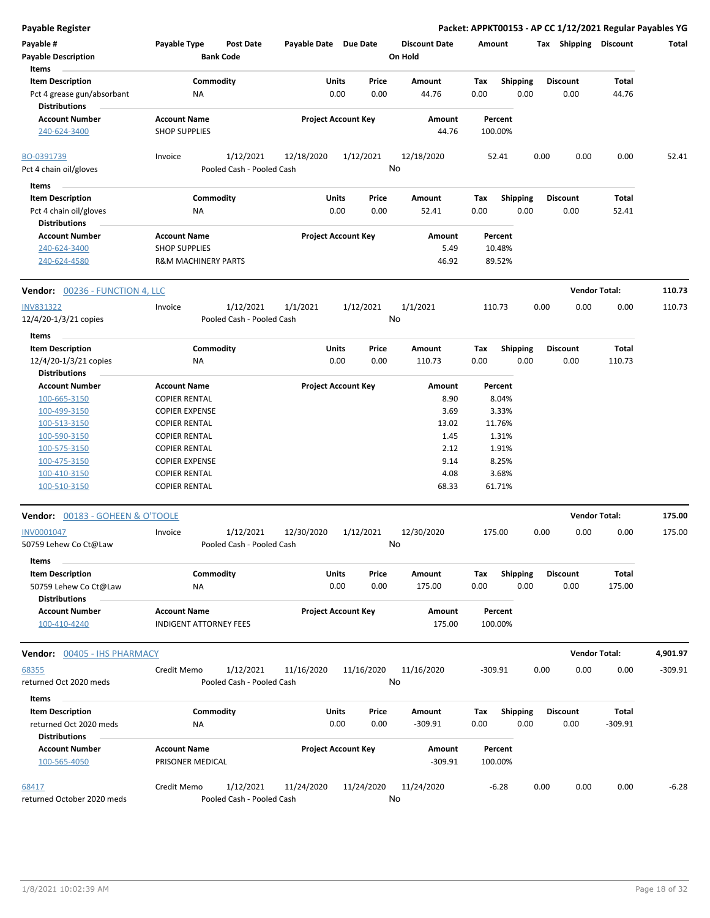| Payable #                              | Payable Type                   | <b>Post Date</b>          | Payable Date Due Date      |           |            | <b>Discount Date</b> | Amount    |                 |      | Tax Shipping         | <b>Discount</b>      | Total     |
|----------------------------------------|--------------------------------|---------------------------|----------------------------|-----------|------------|----------------------|-----------|-----------------|------|----------------------|----------------------|-----------|
| <b>Payable Description</b>             |                                | <b>Bank Code</b>          |                            |           |            | On Hold              |           |                 |      |                      |                      |           |
| Items                                  |                                |                           |                            |           |            |                      |           |                 |      |                      |                      |           |
| <b>Item Description</b>                |                                | Commodity                 |                            | Units     | Price      | Amount               | Tax       | <b>Shipping</b> |      | Discount             | Total                |           |
| Pct 4 grease gun/absorbant             | ΝA                             |                           |                            | 0.00      | 0.00       | 44.76                | 0.00      | 0.00            |      | 0.00                 | 44.76                |           |
| <b>Distributions</b>                   |                                |                           |                            |           |            |                      |           |                 |      |                      |                      |           |
| <b>Account Number</b>                  | <b>Account Name</b>            |                           | <b>Project Account Key</b> |           |            | Amount               |           | Percent         |      |                      |                      |           |
| 240-624-3400                           | <b>SHOP SUPPLIES</b>           |                           |                            |           |            | 44.76                | 100.00%   |                 |      |                      |                      |           |
| BO-0391739                             | Invoice                        | 1/12/2021                 | 12/18/2020                 | 1/12/2021 |            | 12/18/2020           |           | 52.41           | 0.00 | 0.00                 | 0.00                 | 52.41     |
| Pct 4 chain oil/gloves                 |                                | Pooled Cash - Pooled Cash |                            |           |            | No                   |           |                 |      |                      |                      |           |
| Items                                  |                                |                           |                            |           |            |                      |           |                 |      |                      |                      |           |
| <b>Item Description</b>                |                                | Commodity                 |                            | Units     | Price      | Amount               | Tax       | <b>Shipping</b> |      | <b>Discount</b>      | Total                |           |
| Pct 4 chain oil/gloves                 | <b>NA</b>                      |                           |                            | 0.00      | 0.00       | 52.41                | 0.00      | 0.00            |      | 0.00                 | 52.41                |           |
| <b>Distributions</b>                   |                                |                           |                            |           |            |                      |           |                 |      |                      |                      |           |
| <b>Account Number</b>                  | <b>Account Name</b>            |                           | <b>Project Account Key</b> |           |            | Amount               |           | Percent         |      |                      |                      |           |
| 240-624-3400                           | <b>SHOP SUPPLIES</b>           |                           |                            |           |            | 5.49                 |           | 10.48%          |      |                      |                      |           |
| 240-624-4580                           | <b>R&amp;M MACHINERY PARTS</b> |                           |                            |           |            | 46.92                |           | 89.52%          |      |                      |                      |           |
| <b>Vendor:</b> 00236 - FUNCTION 4, LLC |                                |                           |                            |           |            |                      |           |                 |      | <b>Vendor Total:</b> |                      | 110.73    |
| <b>INV831322</b>                       | Invoice                        | 1/12/2021                 | 1/1/2021                   | 1/12/2021 |            | 1/1/2021             | 110.73    |                 | 0.00 | 0.00                 | 0.00                 | 110.73    |
| 12/4/20-1/3/21 copies                  |                                | Pooled Cash - Pooled Cash |                            |           |            | No                   |           |                 |      |                      |                      |           |
| Items                                  |                                |                           |                            |           |            |                      |           |                 |      |                      |                      |           |
| <b>Item Description</b>                |                                | Commodity                 |                            | Units     | Price      | Amount               | Tax       | <b>Shipping</b> |      | <b>Discount</b>      | Total                |           |
| 12/4/20-1/3/21 copies                  | <b>NA</b>                      |                           |                            | 0.00      | 0.00       | 110.73               | 0.00      | 0.00            |      | 0.00                 | 110.73               |           |
| <b>Distributions</b>                   |                                |                           |                            |           |            |                      |           |                 |      |                      |                      |           |
| <b>Account Number</b>                  | <b>Account Name</b>            |                           | <b>Project Account Key</b> |           |            | Amount               |           | Percent         |      |                      |                      |           |
| 100-665-3150                           | <b>COPIER RENTAL</b>           |                           |                            |           |            | 8.90                 |           | 8.04%           |      |                      |                      |           |
| 100-499-3150                           | <b>COPIER EXPENSE</b>          |                           |                            |           |            | 3.69                 |           | 3.33%           |      |                      |                      |           |
| 100-513-3150                           | <b>COPIER RENTAL</b>           |                           |                            |           |            | 13.02                |           | 11.76%          |      |                      |                      |           |
| 100-590-3150                           | <b>COPIER RENTAL</b>           |                           |                            |           |            | 1.45                 |           | 1.31%           |      |                      |                      |           |
| 100-575-3150                           | <b>COPIER RENTAL</b>           |                           |                            |           |            | 2.12                 |           | 1.91%           |      |                      |                      |           |
| 100-475-3150                           | <b>COPIER EXPENSE</b>          |                           |                            |           |            | 9.14                 |           | 8.25%           |      |                      |                      |           |
| 100-410-3150                           | <b>COPIER RENTAL</b>           |                           |                            |           |            | 4.08                 |           | 3.68%           |      |                      |                      |           |
| 100-510-3150                           | <b>COPIER RENTAL</b>           |                           |                            |           |            | 68.33                |           | 61.71%          |      |                      |                      |           |
| Vendor: 00183 - GOHEEN & O'TOOLE       |                                |                           |                            |           |            |                      |           |                 |      |                      | <b>Vendor Total:</b> | 175.00    |
| INV0001047                             | Invoice                        | 1/12/2021                 | 12/30/2020                 | 1/12/2021 |            | 12/30/2020           | 175.00    |                 | 0.00 | 0.00                 | 0.00                 | 175.00    |
| 50759 Lehew Co Ct@Law                  |                                | Pooled Cash - Pooled Cash |                            |           |            | No                   |           |                 |      |                      |                      |           |
| Items                                  |                                |                           |                            |           |            |                      |           |                 |      |                      |                      |           |
| <b>Item Description</b>                |                                | Commodity                 |                            | Units     | Price      | Amount               | Tax       | <b>Shipping</b> |      | <b>Discount</b>      | Total                |           |
| 50759 Lehew Co Ct@Law                  | NA                             |                           |                            | 0.00      | 0.00       | 175.00               | 0.00      | 0.00            |      | 0.00                 | 175.00               |           |
| <b>Distributions</b>                   |                                |                           |                            |           |            |                      |           |                 |      |                      |                      |           |
| <b>Account Number</b>                  | <b>Account Name</b>            |                           | <b>Project Account Key</b> |           |            | Amount               |           | Percent         |      |                      |                      |           |
| 100-410-4240                           | <b>INDIGENT ATTORNEY FEES</b>  |                           |                            |           |            | 175.00               | 100.00%   |                 |      |                      |                      |           |
| <b>Vendor:</b> 00405 - IHS PHARMACY    |                                |                           |                            |           |            |                      |           |                 |      |                      | <b>Vendor Total:</b> | 4,901.97  |
| 68355                                  | Credit Memo                    | 1/12/2021                 | 11/16/2020                 |           | 11/16/2020 | 11/16/2020           | $-309.91$ |                 | 0.00 | 0.00                 | 0.00                 | $-309.91$ |
| returned Oct 2020 meds                 |                                | Pooled Cash - Pooled Cash |                            |           |            | No                   |           |                 |      |                      |                      |           |
| Items                                  |                                |                           |                            |           |            |                      |           |                 |      |                      |                      |           |
| <b>Item Description</b>                |                                | Commodity                 |                            | Units     | Price      | Amount               | Тах       | <b>Shipping</b> |      | <b>Discount</b>      | Total                |           |
| returned Oct 2020 meds                 | ΝA                             |                           |                            | 0.00      | 0.00       | $-309.91$            | 0.00      | 0.00            |      | 0.00                 | $-309.91$            |           |
| <b>Distributions</b>                   |                                |                           |                            |           |            |                      |           |                 |      |                      |                      |           |
| <b>Account Number</b>                  | <b>Account Name</b>            |                           | <b>Project Account Key</b> |           |            | Amount               |           | Percent         |      |                      |                      |           |
| 100-565-4050                           | PRISONER MEDICAL               |                           |                            |           |            | $-309.91$            | 100.00%   |                 |      |                      |                      |           |
| 68417                                  | Credit Memo                    | 1/12/2021                 | 11/24/2020                 |           | 11/24/2020 | 11/24/2020           |           | $-6.28$         | 0.00 | 0.00                 | 0.00                 | $-6.28$   |
| returned October 2020 meds             |                                | Pooled Cash - Pooled Cash |                            |           |            | No                   |           |                 |      |                      |                      |           |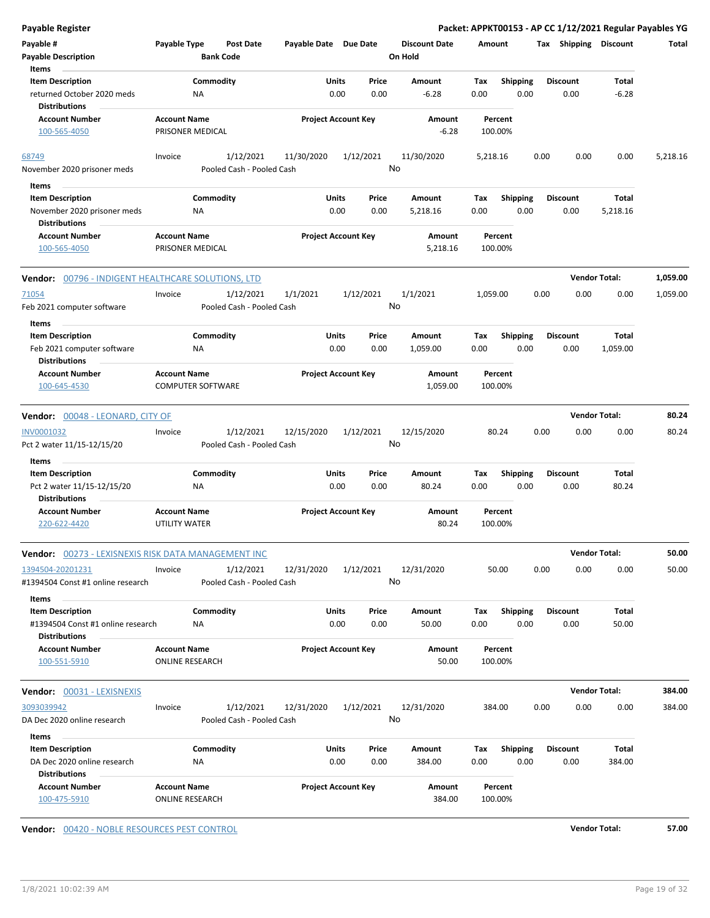| Payable Type                     | Post Date                                                                                            |                                                                                                                                                                                                                                                                                                                                                                           |                                                                                                                                                                                                            | <b>Discount Date</b>                                                                                                                                                                                                                                                                                                                                                            |                                                                                                                                                                   |                                                   |                                                                                                                                                                                                                                                                            |                                                                                                                                          | Total                                                                                                                                                                                                                                                                          |
|----------------------------------|------------------------------------------------------------------------------------------------------|---------------------------------------------------------------------------------------------------------------------------------------------------------------------------------------------------------------------------------------------------------------------------------------------------------------------------------------------------------------------------|------------------------------------------------------------------------------------------------------------------------------------------------------------------------------------------------------------|---------------------------------------------------------------------------------------------------------------------------------------------------------------------------------------------------------------------------------------------------------------------------------------------------------------------------------------------------------------------------------|-------------------------------------------------------------------------------------------------------------------------------------------------------------------|---------------------------------------------------|----------------------------------------------------------------------------------------------------------------------------------------------------------------------------------------------------------------------------------------------------------------------------|------------------------------------------------------------------------------------------------------------------------------------------|--------------------------------------------------------------------------------------------------------------------------------------------------------------------------------------------------------------------------------------------------------------------------------|
|                                  |                                                                                                      |                                                                                                                                                                                                                                                                                                                                                                           |                                                                                                                                                                                                            |                                                                                                                                                                                                                                                                                                                                                                                 |                                                                                                                                                                   |                                                   |                                                                                                                                                                                                                                                                            |                                                                                                                                          |                                                                                                                                                                                                                                                                                |
|                                  |                                                                                                      |                                                                                                                                                                                                                                                                                                                                                                           |                                                                                                                                                                                                            |                                                                                                                                                                                                                                                                                                                                                                                 |                                                                                                                                                                   |                                                   |                                                                                                                                                                                                                                                                            |                                                                                                                                          |                                                                                                                                                                                                                                                                                |
|                                  |                                                                                                      |                                                                                                                                                                                                                                                                                                                                                                           | Price                                                                                                                                                                                                      | Amount                                                                                                                                                                                                                                                                                                                                                                          | Tax                                                                                                                                                               | <b>Shipping</b>                                   | <b>Discount</b>                                                                                                                                                                                                                                                            | Total                                                                                                                                    |                                                                                                                                                                                                                                                                                |
| ΝA                               |                                                                                                      |                                                                                                                                                                                                                                                                                                                                                                           | 0.00                                                                                                                                                                                                       | $-6.28$                                                                                                                                                                                                                                                                                                                                                                         | 0.00                                                                                                                                                              | 0.00                                              | 0.00                                                                                                                                                                                                                                                                       | $-6.28$                                                                                                                                  |                                                                                                                                                                                                                                                                                |
|                                  |                                                                                                      |                                                                                                                                                                                                                                                                                                                                                                           |                                                                                                                                                                                                            | Amount                                                                                                                                                                                                                                                                                                                                                                          |                                                                                                                                                                   |                                                   |                                                                                                                                                                                                                                                                            |                                                                                                                                          |                                                                                                                                                                                                                                                                                |
|                                  |                                                                                                      |                                                                                                                                                                                                                                                                                                                                                                           |                                                                                                                                                                                                            | $-6.28$                                                                                                                                                                                                                                                                                                                                                                         |                                                                                                                                                                   |                                                   |                                                                                                                                                                                                                                                                            |                                                                                                                                          |                                                                                                                                                                                                                                                                                |
| Invoice                          | 1/12/2021                                                                                            | 11/30/2020                                                                                                                                                                                                                                                                                                                                                                | 1/12/2021                                                                                                                                                                                                  | 11/30/2020                                                                                                                                                                                                                                                                                                                                                                      |                                                                                                                                                                   |                                                   |                                                                                                                                                                                                                                                                            | 0.00                                                                                                                                     | 5,218.16                                                                                                                                                                                                                                                                       |
|                                  |                                                                                                      |                                                                                                                                                                                                                                                                                                                                                                           |                                                                                                                                                                                                            |                                                                                                                                                                                                                                                                                                                                                                                 |                                                                                                                                                                   |                                                   |                                                                                                                                                                                                                                                                            |                                                                                                                                          |                                                                                                                                                                                                                                                                                |
|                                  |                                                                                                      |                                                                                                                                                                                                                                                                                                                                                                           |                                                                                                                                                                                                            |                                                                                                                                                                                                                                                                                                                                                                                 |                                                                                                                                                                   |                                                   |                                                                                                                                                                                                                                                                            |                                                                                                                                          |                                                                                                                                                                                                                                                                                |
|                                  |                                                                                                      |                                                                                                                                                                                                                                                                                                                                                                           |                                                                                                                                                                                                            |                                                                                                                                                                                                                                                                                                                                                                                 |                                                                                                                                                                   |                                                   |                                                                                                                                                                                                                                                                            |                                                                                                                                          |                                                                                                                                                                                                                                                                                |
|                                  |                                                                                                      |                                                                                                                                                                                                                                                                                                                                                                           |                                                                                                                                                                                                            |                                                                                                                                                                                                                                                                                                                                                                                 |                                                                                                                                                                   |                                                   |                                                                                                                                                                                                                                                                            |                                                                                                                                          |                                                                                                                                                                                                                                                                                |
|                                  |                                                                                                      |                                                                                                                                                                                                                                                                                                                                                                           |                                                                                                                                                                                                            |                                                                                                                                                                                                                                                                                                                                                                                 |                                                                                                                                                                   |                                                   |                                                                                                                                                                                                                                                                            |                                                                                                                                          |                                                                                                                                                                                                                                                                                |
|                                  |                                                                                                      |                                                                                                                                                                                                                                                                                                                                                                           |                                                                                                                                                                                                            | 5,218.16                                                                                                                                                                                                                                                                                                                                                                        |                                                                                                                                                                   |                                                   |                                                                                                                                                                                                                                                                            |                                                                                                                                          |                                                                                                                                                                                                                                                                                |
|                                  |                                                                                                      |                                                                                                                                                                                                                                                                                                                                                                           |                                                                                                                                                                                                            |                                                                                                                                                                                                                                                                                                                                                                                 |                                                                                                                                                                   |                                                   |                                                                                                                                                                                                                                                                            |                                                                                                                                          | 1,059.00                                                                                                                                                                                                                                                                       |
| Invoice                          | 1/12/2021                                                                                            | 1/1/2021                                                                                                                                                                                                                                                                                                                                                                  | 1/12/2021                                                                                                                                                                                                  | 1/1/2021                                                                                                                                                                                                                                                                                                                                                                        |                                                                                                                                                                   |                                                   |                                                                                                                                                                                                                                                                            | 0.00                                                                                                                                     | 1,059.00                                                                                                                                                                                                                                                                       |
|                                  |                                                                                                      |                                                                                                                                                                                                                                                                                                                                                                           |                                                                                                                                                                                                            |                                                                                                                                                                                                                                                                                                                                                                                 |                                                                                                                                                                   |                                                   |                                                                                                                                                                                                                                                                            |                                                                                                                                          |                                                                                                                                                                                                                                                                                |
|                                  |                                                                                                      |                                                                                                                                                                                                                                                                                                                                                                           |                                                                                                                                                                                                            |                                                                                                                                                                                                                                                                                                                                                                                 |                                                                                                                                                                   |                                                   |                                                                                                                                                                                                                                                                            |                                                                                                                                          |                                                                                                                                                                                                                                                                                |
|                                  |                                                                                                      |                                                                                                                                                                                                                                                                                                                                                                           |                                                                                                                                                                                                            |                                                                                                                                                                                                                                                                                                                                                                                 |                                                                                                                                                                   |                                                   |                                                                                                                                                                                                                                                                            |                                                                                                                                          |                                                                                                                                                                                                                                                                                |
|                                  |                                                                                                      |                                                                                                                                                                                                                                                                                                                                                                           |                                                                                                                                                                                                            |                                                                                                                                                                                                                                                                                                                                                                                 |                                                                                                                                                                   |                                                   |                                                                                                                                                                                                                                                                            |                                                                                                                                          |                                                                                                                                                                                                                                                                                |
|                                  |                                                                                                      |                                                                                                                                                                                                                                                                                                                                                                           |                                                                                                                                                                                                            |                                                                                                                                                                                                                                                                                                                                                                                 |                                                                                                                                                                   |                                                   |                                                                                                                                                                                                                                                                            |                                                                                                                                          |                                                                                                                                                                                                                                                                                |
|                                  |                                                                                                      |                                                                                                                                                                                                                                                                                                                                                                           |                                                                                                                                                                                                            |                                                                                                                                                                                                                                                                                                                                                                                 |                                                                                                                                                                   |                                                   |                                                                                                                                                                                                                                                                            |                                                                                                                                          |                                                                                                                                                                                                                                                                                |
|                                  |                                                                                                      |                                                                                                                                                                                                                                                                                                                                                                           |                                                                                                                                                                                                            | 1,059.00                                                                                                                                                                                                                                                                                                                                                                        |                                                                                                                                                                   |                                                   |                                                                                                                                                                                                                                                                            |                                                                                                                                          |                                                                                                                                                                                                                                                                                |
| Vendor: 00048 - LEONARD, CITY OF |                                                                                                      |                                                                                                                                                                                                                                                                                                                                                                           |                                                                                                                                                                                                            |                                                                                                                                                                                                                                                                                                                                                                                 |                                                                                                                                                                   |                                                   |                                                                                                                                                                                                                                                                            |                                                                                                                                          | 80.24                                                                                                                                                                                                                                                                          |
|                                  |                                                                                                      |                                                                                                                                                                                                                                                                                                                                                                           |                                                                                                                                                                                                            |                                                                                                                                                                                                                                                                                                                                                                                 |                                                                                                                                                                   |                                                   |                                                                                                                                                                                                                                                                            |                                                                                                                                          | 80.24                                                                                                                                                                                                                                                                          |
|                                  |                                                                                                      |                                                                                                                                                                                                                                                                                                                                                                           |                                                                                                                                                                                                            |                                                                                                                                                                                                                                                                                                                                                                                 |                                                                                                                                                                   |                                                   |                                                                                                                                                                                                                                                                            |                                                                                                                                          |                                                                                                                                                                                                                                                                                |
|                                  |                                                                                                      |                                                                                                                                                                                                                                                                                                                                                                           |                                                                                                                                                                                                            |                                                                                                                                                                                                                                                                                                                                                                                 |                                                                                                                                                                   |                                                   |                                                                                                                                                                                                                                                                            |                                                                                                                                          |                                                                                                                                                                                                                                                                                |
|                                  |                                                                                                      |                                                                                                                                                                                                                                                                                                                                                                           |                                                                                                                                                                                                            |                                                                                                                                                                                                                                                                                                                                                                                 |                                                                                                                                                                   |                                                   |                                                                                                                                                                                                                                                                            |                                                                                                                                          |                                                                                                                                                                                                                                                                                |
|                                  |                                                                                                      |                                                                                                                                                                                                                                                                                                                                                                           |                                                                                                                                                                                                            |                                                                                                                                                                                                                                                                                                                                                                                 |                                                                                                                                                                   |                                                   |                                                                                                                                                                                                                                                                            |                                                                                                                                          |                                                                                                                                                                                                                                                                                |
|                                  |                                                                                                      |                                                                                                                                                                                                                                                                                                                                                                           |                                                                                                                                                                                                            |                                                                                                                                                                                                                                                                                                                                                                                 |                                                                                                                                                                   |                                                   |                                                                                                                                                                                                                                                                            |                                                                                                                                          |                                                                                                                                                                                                                                                                                |
|                                  |                                                                                                      |                                                                                                                                                                                                                                                                                                                                                                           |                                                                                                                                                                                                            | 80.24                                                                                                                                                                                                                                                                                                                                                                           |                                                                                                                                                                   |                                                   |                                                                                                                                                                                                                                                                            |                                                                                                                                          |                                                                                                                                                                                                                                                                                |
|                                  |                                                                                                      |                                                                                                                                                                                                                                                                                                                                                                           |                                                                                                                                                                                                            |                                                                                                                                                                                                                                                                                                                                                                                 |                                                                                                                                                                   |                                                   |                                                                                                                                                                                                                                                                            |                                                                                                                                          | 50.00                                                                                                                                                                                                                                                                          |
|                                  |                                                                                                      |                                                                                                                                                                                                                                                                                                                                                                           |                                                                                                                                                                                                            |                                                                                                                                                                                                                                                                                                                                                                                 |                                                                                                                                                                   |                                                   |                                                                                                                                                                                                                                                                            |                                                                                                                                          | 50.00                                                                                                                                                                                                                                                                          |
|                                  |                                                                                                      |                                                                                                                                                                                                                                                                                                                                                                           |                                                                                                                                                                                                            |                                                                                                                                                                                                                                                                                                                                                                                 |                                                                                                                                                                   |                                                   |                                                                                                                                                                                                                                                                            |                                                                                                                                          |                                                                                                                                                                                                                                                                                |
|                                  |                                                                                                      |                                                                                                                                                                                                                                                                                                                                                                           |                                                                                                                                                                                                            |                                                                                                                                                                                                                                                                                                                                                                                 |                                                                                                                                                                   |                                                   |                                                                                                                                                                                                                                                                            |                                                                                                                                          |                                                                                                                                                                                                                                                                                |
|                                  |                                                                                                      |                                                                                                                                                                                                                                                                                                                                                                           | Price                                                                                                                                                                                                      | Amount                                                                                                                                                                                                                                                                                                                                                                          | Tax                                                                                                                                                               |                                                   |                                                                                                                                                                                                                                                                            | Total                                                                                                                                    |                                                                                                                                                                                                                                                                                |
|                                  |                                                                                                      |                                                                                                                                                                                                                                                                                                                                                                           |                                                                                                                                                                                                            |                                                                                                                                                                                                                                                                                                                                                                                 |                                                                                                                                                                   |                                                   |                                                                                                                                                                                                                                                                            |                                                                                                                                          |                                                                                                                                                                                                                                                                                |
|                                  |                                                                                                      |                                                                                                                                                                                                                                                                                                                                                                           |                                                                                                                                                                                                            | Amount                                                                                                                                                                                                                                                                                                                                                                          |                                                                                                                                                                   |                                                   |                                                                                                                                                                                                                                                                            |                                                                                                                                          |                                                                                                                                                                                                                                                                                |
|                                  |                                                                                                      |                                                                                                                                                                                                                                                                                                                                                                           |                                                                                                                                                                                                            | 50.00                                                                                                                                                                                                                                                                                                                                                                           |                                                                                                                                                                   |                                                   |                                                                                                                                                                                                                                                                            |                                                                                                                                          |                                                                                                                                                                                                                                                                                |
|                                  |                                                                                                      |                                                                                                                                                                                                                                                                                                                                                                           |                                                                                                                                                                                                            |                                                                                                                                                                                                                                                                                                                                                                                 |                                                                                                                                                                   |                                                   |                                                                                                                                                                                                                                                                            |                                                                                                                                          |                                                                                                                                                                                                                                                                                |
|                                  |                                                                                                      |                                                                                                                                                                                                                                                                                                                                                                           |                                                                                                                                                                                                            |                                                                                                                                                                                                                                                                                                                                                                                 |                                                                                                                                                                   |                                                   |                                                                                                                                                                                                                                                                            | <b>Vendor Total:</b>                                                                                                                     | 384.00                                                                                                                                                                                                                                                                         |
| Invoice                          | 1/12/2021                                                                                            | 12/31/2020                                                                                                                                                                                                                                                                                                                                                                | 1/12/2021                                                                                                                                                                                                  | 12/31/2020                                                                                                                                                                                                                                                                                                                                                                      | 384.00                                                                                                                                                            |                                                   | 0.00                                                                                                                                                                                                                                                                       | 0.00<br>0.00                                                                                                                             | 384.00                                                                                                                                                                                                                                                                         |
|                                  | Pooled Cash - Pooled Cash                                                                            |                                                                                                                                                                                                                                                                                                                                                                           |                                                                                                                                                                                                            | No                                                                                                                                                                                                                                                                                                                                                                              |                                                                                                                                                                   |                                                   |                                                                                                                                                                                                                                                                            |                                                                                                                                          |                                                                                                                                                                                                                                                                                |
|                                  |                                                                                                      |                                                                                                                                                                                                                                                                                                                                                                           |                                                                                                                                                                                                            |                                                                                                                                                                                                                                                                                                                                                                                 |                                                                                                                                                                   |                                                   |                                                                                                                                                                                                                                                                            |                                                                                                                                          |                                                                                                                                                                                                                                                                                |
|                                  | Commodity                                                                                            |                                                                                                                                                                                                                                                                                                                                                                           | Units<br>Price                                                                                                                                                                                             | Amount                                                                                                                                                                                                                                                                                                                                                                          | Тах                                                                                                                                                               | <b>Shipping</b>                                   | <b>Discount</b>                                                                                                                                                                                                                                                            | Total                                                                                                                                    |                                                                                                                                                                                                                                                                                |
| ΝA                               |                                                                                                      |                                                                                                                                                                                                                                                                                                                                                                           | 0.00<br>0.00                                                                                                                                                                                               | 384.00                                                                                                                                                                                                                                                                                                                                                                          | 0.00                                                                                                                                                              | 0.00                                              | 0.00                                                                                                                                                                                                                                                                       | 384.00                                                                                                                                   |                                                                                                                                                                                                                                                                                |
|                                  |                                                                                                      |                                                                                                                                                                                                                                                                                                                                                                           |                                                                                                                                                                                                            |                                                                                                                                                                                                                                                                                                                                                                                 |                                                                                                                                                                   |                                                   |                                                                                                                                                                                                                                                                            |                                                                                                                                          |                                                                                                                                                                                                                                                                                |
|                                  | <b>NA</b><br><b>NA</b><br>Invoice<br><b>NA</b><br>Invoice<br>#1394504 Const #1 online research<br>ΝA | <b>Bank Code</b><br>Commodity<br><b>Account Name</b><br>PRISONER MEDICAL<br>Commodity<br><b>Account Name</b><br>PRISONER MEDICAL<br>Vendor: 00796 - INDIGENT HEALTHCARE SOLUTIONS, LTD<br>Commodity<br><b>Account Name</b><br><b>COMPUTER SOFTWARE</b><br>1/12/2021<br>Commodity<br><b>Account Name</b><br>UTILITY WATER<br>1/12/2021<br>Commodity<br><b>Account Name</b> | Pooled Cash - Pooled Cash<br>Pooled Cash - Pooled Cash<br>12/15/2020<br>Pooled Cash - Pooled Cash<br><b>Vendor:</b> 00273 - LEXISNEXIS RISK DATA MANAGEMENT INC<br>12/31/2020<br>Pooled Cash - Pooled Cash | Payable Date Due Date<br>Units<br>0.00<br><b>Project Account Key</b><br>Units<br>Price<br>0.00<br>0.00<br><b>Project Account Key</b><br>Units<br>Price<br>0.00<br>0.00<br><b>Project Account Key</b><br>1/12/2021<br>Units<br>Price<br>0.00<br>0.00<br><b>Project Account Key</b><br>1/12/2021<br>Units<br>0.00<br>0.00<br><b>Project Account Key</b><br><b>ONLINE RESEARCH</b> | On Hold<br>No<br>Amount<br>5,218.16<br>Amount<br>No<br>Amount<br>1,059.00<br>Amount<br>12/15/2020<br>No<br>Amount<br>80.24<br>Amount<br>12/31/2020<br>No<br>50.00 | Tax<br>0.00<br>Tax<br>0.00<br>Tax<br>0.00<br>0.00 | Amount<br>Percent<br>100.00%<br>5,218.16<br><b>Shipping</b><br>0.00<br>Percent<br>100.00%<br>1,059.00<br><b>Shipping</b><br>0.00<br>Percent<br>100.00%<br>80.24<br><b>Shipping</b><br>0.00<br>Percent<br>100.00%<br>50.00<br><b>Shipping</b><br>0.00<br>Percent<br>100.00% | 0.00<br><b>Discount</b><br>0.00<br>0.00<br><b>Discount</b><br>0.00<br>0.00<br><b>Discount</b><br>0.00<br>0.00<br><b>Discount</b><br>0.00 | Packet: APPKT00153 - AP CC 1/12/2021 Regular Payables YG<br>Tax Shipping Discount<br>0.00<br>Total<br>5,218.16<br><b>Vendor Total:</b><br>0.00<br>Total<br>1,059.00<br><b>Vendor Total:</b><br>0.00<br>0.00<br>Total<br>80.24<br><b>Vendor Total:</b><br>0.00<br>0.00<br>50.00 |

**Vendor:** 00420 - NOBLE RESOURCES PEST CONTROL **Vendor Total: 57.00**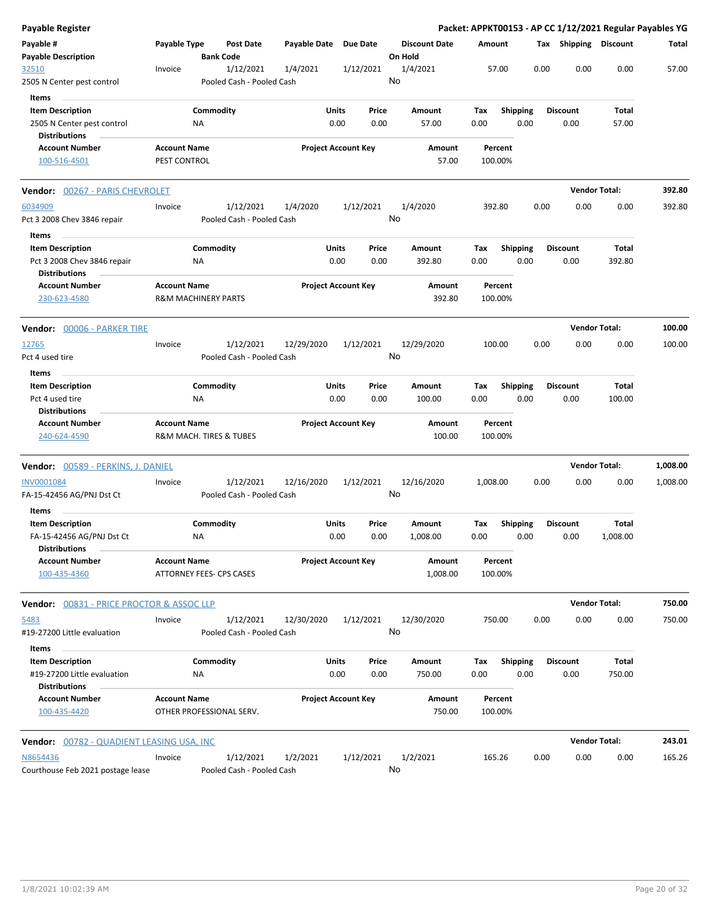| Payable Register                                                   |                                                       |                 |                                        |                       |               |                            |         |                      |                    |                         |      |                         | Packet: APPKT00153 - AP CC 1/12/2021 Regular Payables YG |          |
|--------------------------------------------------------------------|-------------------------------------------------------|-----------------|----------------------------------------|-----------------------|---------------|----------------------------|---------|----------------------|--------------------|-------------------------|------|-------------------------|----------------------------------------------------------|----------|
| Payable #<br><b>Payable Description</b>                            | Payable Type                                          |                 | <b>Post Date</b><br><b>Bank Code</b>   | Payable Date Due Date |               |                            | On Hold | <b>Discount Date</b> | Amount             |                         |      | Tax Shipping Discount   |                                                          | Total    |
| 32510<br>2505 N Center pest control                                | Invoice                                               |                 | 1/12/2021<br>Pooled Cash - Pooled Cash | 1/4/2021              |               | 1/12/2021                  | No      | 1/4/2021             | 57.00              |                         | 0.00 | 0.00                    | 0.00                                                     | 57.00    |
| Items                                                              |                                                       |                 |                                        |                       |               |                            |         |                      |                    |                         |      |                         |                                                          |          |
| <b>Item Description</b>                                            |                                                       | Commodity       |                                        |                       | Units         | Price                      |         | Amount               | Tax                | <b>Shipping</b>         |      | <b>Discount</b>         | Total                                                    |          |
| 2505 N Center pest control<br><b>Distributions</b>                 |                                                       | NA              |                                        |                       | 0.00          | 0.00                       |         | 57.00                | 0.00               | 0.00                    |      | 0.00                    | 57.00                                                    |          |
| <b>Account Number</b><br>100-516-4501                              | <b>Account Name</b><br>PEST CONTROL                   |                 |                                        |                       |               | <b>Project Account Key</b> |         | Amount<br>57.00      | Percent<br>100.00% |                         |      |                         |                                                          |          |
| Vendor: 00267 - PARIS CHEVROLET                                    |                                                       |                 |                                        |                       |               |                            |         |                      |                    |                         |      |                         | <b>Vendor Total:</b>                                     | 392.80   |
| 6034909                                                            | Invoice                                               |                 | 1/12/2021                              | 1/4/2020              |               | 1/12/2021                  |         | 1/4/2020             | 392.80             |                         | 0.00 | 0.00                    | 0.00                                                     | 392.80   |
| Pct 3 2008 Chev 3846 repair                                        |                                                       |                 | Pooled Cash - Pooled Cash              |                       |               |                            | No      |                      |                    |                         |      |                         |                                                          |          |
| Items<br><b>Item Description</b>                                   |                                                       | Commodity       |                                        |                       | Units         | Price                      |         | Amount               | Tax                | <b>Shipping</b>         |      | <b>Discount</b>         | Total                                                    |          |
| Pct 3 2008 Chev 3846 repair<br><b>Distributions</b>                |                                                       | NA              |                                        |                       | 0.00          | 0.00                       |         | 392.80               | 0.00               | 0.00                    |      | 0.00                    | 392.80                                                   |          |
| <b>Account Number</b><br>230-623-4580                              | <b>Account Name</b><br><b>R&amp;M MACHINERY PARTS</b> |                 |                                        |                       |               | <b>Project Account Key</b> |         | Amount<br>392.80     | Percent<br>100.00% |                         |      |                         |                                                          |          |
| Vendor: 00006 - PARKER TIRE                                        |                                                       |                 |                                        |                       |               |                            |         |                      |                    |                         |      | <b>Vendor Total:</b>    |                                                          | 100.00   |
| <u>12765</u>                                                       | Invoice                                               |                 | 1/12/2021                              | 12/29/2020            |               | 1/12/2021                  |         | 12/29/2020           | 100.00             |                         | 0.00 | 0.00                    | 0.00                                                     | 100.00   |
| Pct 4 used tire                                                    |                                                       |                 | Pooled Cash - Pooled Cash              |                       |               |                            | No      |                      |                    |                         |      |                         |                                                          |          |
| Items                                                              |                                                       |                 |                                        |                       |               |                            |         |                      |                    |                         |      |                         |                                                          |          |
| <b>Item Description</b><br>Pct 4 used tire<br><b>Distributions</b> |                                                       | Commodity<br>NA |                                        |                       | Units<br>0.00 | Price<br>0.00              |         | Amount<br>100.00     | Tax<br>0.00        | <b>Shipping</b><br>0.00 |      | <b>Discount</b><br>0.00 | Total<br>100.00                                          |          |
| <b>Account Number</b><br>240-624-4590                              | <b>Account Name</b>                                   |                 | R&M MACH. TIRES & TUBES                |                       |               | <b>Project Account Key</b> |         | Amount<br>100.00     | Percent<br>100.00% |                         |      |                         |                                                          |          |
| Vendor: 00589 - PERKINS, J. DANIEL                                 |                                                       |                 |                                        |                       |               |                            |         |                      |                    |                         |      | <b>Vendor Total:</b>    |                                                          | 1,008.00 |
| INV0001084<br>FA-15-42456 AG/PNJ Dst Ct<br>Items                   | Invoice                                               |                 | 1/12/2021<br>Pooled Cash - Pooled Cash | 12/16/2020            |               | 1/12/2021                  | No      | 12/16/2020           | 1,008.00           |                         | 0.00 | 0.00                    | 0.00                                                     | 1,008.00 |
| <b>Item Description</b>                                            |                                                       | Commodity       |                                        |                       | Units         | Price                      |         | Amount               | Tax                | <b>Shipping</b>         |      | <b>Discount</b>         | Total                                                    |          |
| FA-15-42456 AG/PNJ Dst Ct<br><b>Distributions</b>                  |                                                       | ΝA              |                                        |                       | 0.00          | 0.00                       |         | 1,008.00             | 0.00               | 0.00                    |      | 0.00                    | 1,008.00                                                 |          |
| <b>Account Number</b><br>100-435-4360                              | <b>Account Name</b>                                   |                 | ATTORNEY FEES- CPS CASES               |                       |               | <b>Project Account Key</b> |         | Amount<br>1,008.00   | Percent<br>100.00% |                         |      |                         |                                                          |          |
| <b>Vendor: 00831 - PRICE PROCTOR &amp; ASSOC LLP</b>               |                                                       |                 |                                        |                       |               |                            |         |                      |                    |                         |      | <b>Vendor Total:</b>    |                                                          | 750.00   |
| 5483<br>#19-27200 Little evaluation                                | Invoice                                               |                 | 1/12/2021<br>Pooled Cash - Pooled Cash | 12/30/2020            |               | 1/12/2021                  | No      | 12/30/2020           | 750.00             |                         | 0.00 | 0.00                    | 0.00                                                     | 750.00   |
| Items                                                              |                                                       |                 |                                        |                       |               |                            |         |                      |                    |                         |      |                         |                                                          |          |
| <b>Item Description</b><br>#19-27200 Little evaluation             |                                                       | Commodity<br>ΝA |                                        |                       | Units<br>0.00 | Price<br>0.00              |         | Amount<br>750.00     | Tax<br>0.00        | <b>Shipping</b><br>0.00 |      | Discount<br>0.00        | Total<br>750.00                                          |          |
| <b>Distributions</b><br><b>Account Number</b><br>100-435-4420      | <b>Account Name</b>                                   |                 | OTHER PROFESSIONAL SERV.               |                       |               | <b>Project Account Key</b> |         | Amount<br>750.00     | Percent<br>100.00% |                         |      |                         |                                                          |          |
| <b>Vendor:</b> 00782 - QUADIENT LEASING USA, INC                   |                                                       |                 |                                        |                       |               |                            |         |                      |                    |                         |      |                         | <b>Vendor Total:</b>                                     | 243.01   |
| N8654436<br>Courthouse Feb 2021 postage lease                      | Invoice                                               |                 | 1/12/2021<br>Pooled Cash - Pooled Cash | 1/2/2021              |               | 1/12/2021                  | No      | 1/2/2021             | 165.26             |                         | 0.00 | 0.00                    | 0.00                                                     | 165.26   |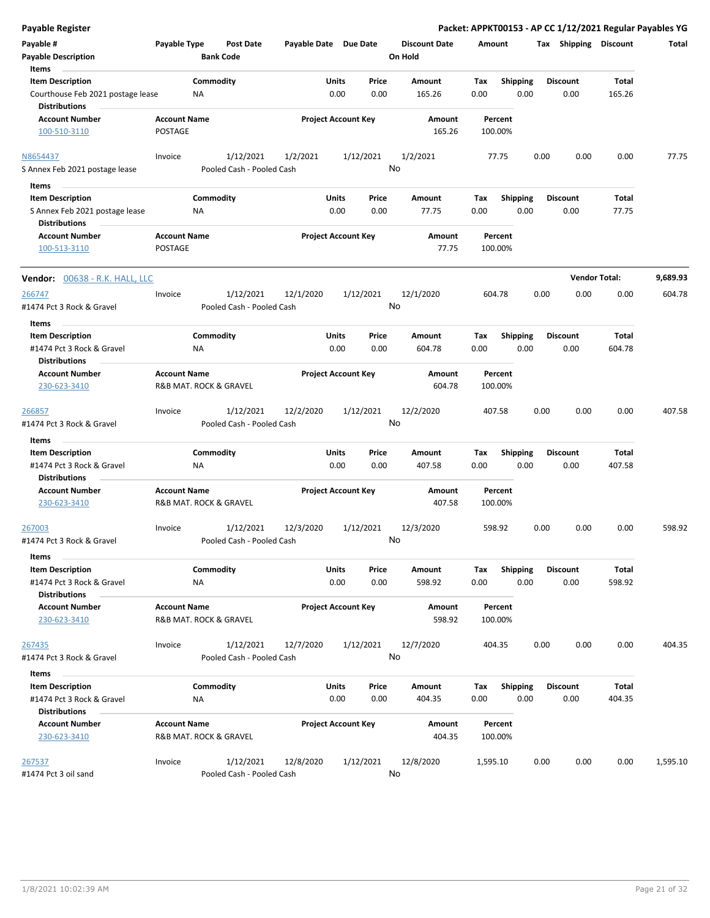| <b>Payable Register</b>                                                                       |                                               |                  |                                        |                       |                            |                 |                                 |             |                         |      |                         | Packet: APPKT00153 - AP CC 1/12/2021 Regular Payables YG |          |
|-----------------------------------------------------------------------------------------------|-----------------------------------------------|------------------|----------------------------------------|-----------------------|----------------------------|-----------------|---------------------------------|-------------|-------------------------|------|-------------------------|----------------------------------------------------------|----------|
| Payable #<br><b>Payable Description</b>                                                       | Payable Type                                  | <b>Bank Code</b> | Post Date                              | Payable Date Due Date |                            |                 | <b>Discount Date</b><br>On Hold | Amount      |                         |      | Tax Shipping Discount   |                                                          | Total    |
| Items<br><b>Item Description</b><br>Courthouse Feb 2021 postage lease<br><b>Distributions</b> |                                               | Commodity<br>ΝA  |                                        |                       | <b>Units</b><br>0.00       | Price<br>0.00   | Amount<br>165.26                | Tax<br>0.00 | <b>Shipping</b><br>0.00 |      | <b>Discount</b><br>0.00 | <b>Total</b><br>165.26                                   |          |
| <b>Account Number</b><br>100-510-3110                                                         | <b>Account Name</b><br>POSTAGE                |                  |                                        |                       | <b>Project Account Key</b> |                 | Amount<br>165.26                |             | Percent<br>100.00%      |      |                         |                                                          |          |
| N8654437<br>S Annex Feb 2021 postage lease                                                    | Invoice                                       |                  | 1/12/2021<br>Pooled Cash - Pooled Cash | 1/2/2021              |                            | 1/12/2021       | 1/2/2021<br>No                  |             | 77.75                   | 0.00 | 0.00                    | 0.00                                                     | 77.75    |
| Items                                                                                         |                                               |                  |                                        |                       |                            |                 |                                 |             |                         |      |                         |                                                          |          |
| <b>Item Description</b><br>S Annex Feb 2021 postage lease<br><b>Distributions</b>             |                                               | Commodity<br>ΝA  |                                        |                       | Units<br>0.00              | Price<br>0.00   | Amount<br>77.75                 | Тах<br>0.00 | <b>Shipping</b><br>0.00 |      | <b>Discount</b><br>0.00 | Total<br>77.75                                           |          |
| <b>Account Number</b><br>100-513-3110                                                         | <b>Account Name</b><br>POSTAGE                |                  |                                        |                       | <b>Project Account Key</b> |                 | Amount<br>77.75                 |             | Percent<br>100.00%      |      |                         |                                                          |          |
| <b>Vendor:</b> 00638 - R.K. HALL, LLC                                                         |                                               |                  |                                        |                       |                            |                 |                                 |             |                         |      |                         | <b>Vendor Total:</b>                                     | 9,689.93 |
| 266747<br>#1474 Pct 3 Rock & Gravel                                                           | Invoice                                       |                  | 1/12/2021<br>Pooled Cash - Pooled Cash | 12/1/2020             |                            | 1/12/2021<br>No | 12/1/2020                       |             | 604.78                  | 0.00 | 0.00                    | 0.00                                                     | 604.78   |
| Items<br><b>Item Description</b><br>#1474 Pct 3 Rock & Gravel                                 |                                               | Commodity<br>NA. |                                        |                       | Units<br>0.00              | Price<br>0.00   | Amount<br>604.78                | Tax<br>0.00 | <b>Shipping</b><br>0.00 |      | <b>Discount</b><br>0.00 | Total<br>604.78                                          |          |
| <b>Distributions</b><br><b>Account Number</b><br>230-623-3410                                 | <b>Account Name</b><br>R&B MAT. ROCK & GRAVEL |                  |                                        |                       | <b>Project Account Key</b> |                 | Amount<br>604.78                |             | Percent<br>100.00%      |      |                         |                                                          |          |
| 266857<br>#1474 Pct 3 Rock & Gravel                                                           | Invoice                                       |                  | 1/12/2021<br>Pooled Cash - Pooled Cash | 12/2/2020             |                            | 1/12/2021       | 12/2/2020<br>No                 |             | 407.58                  | 0.00 | 0.00                    | 0.00                                                     | 407.58   |
| Items                                                                                         |                                               |                  |                                        |                       |                            |                 |                                 |             |                         |      |                         |                                                          |          |
| <b>Item Description</b><br>#1474 Pct 3 Rock & Gravel<br><b>Distributions</b>                  |                                               | Commodity<br>ΝA  |                                        |                       | Units<br>0.00              | Price<br>0.00   | Amount<br>407.58                | Tax<br>0.00 | <b>Shipping</b><br>0.00 |      | <b>Discount</b><br>0.00 | Total<br>407.58                                          |          |
| <b>Account Number</b><br>230-623-3410                                                         | <b>Account Name</b><br>R&B MAT. ROCK & GRAVEL |                  |                                        |                       | <b>Project Account Key</b> |                 | Amount<br>407.58                |             | Percent<br>100.00%      |      |                         |                                                          |          |
| 267003<br>#1474 Pct 3 Rock & Gravel                                                           | Invoice                                       |                  | 1/12/2021<br>Pooled Cash - Pooled Cash | 12/3/2020             |                            | 1/12/2021<br>No | 12/3/2020                       |             | 598.92                  | 0.00 | 0.00                    | 0.00                                                     | 598.92   |
| Items<br><b>Item Description</b><br>#1474 Pct 3 Rock & Gravel                                 |                                               | Commodity<br>NA  |                                        |                       | Units<br>0.00              | Price<br>0.00   | Amount<br>598.92                | Tax<br>0.00 | Shipping<br>0.00        |      | <b>Discount</b><br>0.00 | Total<br>598.92                                          |          |
| <b>Distributions</b><br><b>Account Number</b><br>230-623-3410                                 | <b>Account Name</b><br>R&B MAT. ROCK & GRAVEL |                  |                                        |                       | <b>Project Account Key</b> |                 | Amount<br>598.92                |             | Percent<br>100.00%      |      |                         |                                                          |          |
| 267435<br>#1474 Pct 3 Rock & Gravel                                                           | Invoice                                       |                  | 1/12/2021<br>Pooled Cash - Pooled Cash | 12/7/2020             |                            | 1/12/2021<br>No | 12/7/2020                       |             | 404.35                  | 0.00 | 0.00                    | 0.00                                                     | 404.35   |
| Items                                                                                         |                                               |                  |                                        |                       |                            |                 |                                 |             |                         |      |                         |                                                          |          |
| <b>Item Description</b><br>#1474 Pct 3 Rock & Gravel<br><b>Distributions</b>                  |                                               | Commodity<br>NA  |                                        |                       | Units<br>0.00              | Price<br>0.00   | Amount<br>404.35                | Tax<br>0.00 | <b>Shipping</b><br>0.00 |      | <b>Discount</b><br>0.00 | Total<br>404.35                                          |          |
| <b>Account Number</b><br>230-623-3410                                                         | <b>Account Name</b><br>R&B MAT. ROCK & GRAVEL |                  |                                        |                       | <b>Project Account Key</b> |                 | Amount<br>404.35                |             | Percent<br>100.00%      |      |                         |                                                          |          |
| 267537<br>#1474 Pct 3 oil sand                                                                | Invoice                                       |                  | 1/12/2021<br>Pooled Cash - Pooled Cash | 12/8/2020             |                            | 1/12/2021       | 12/8/2020<br>No                 | 1,595.10    |                         | 0.00 | 0.00                    | 0.00                                                     | 1,595.10 |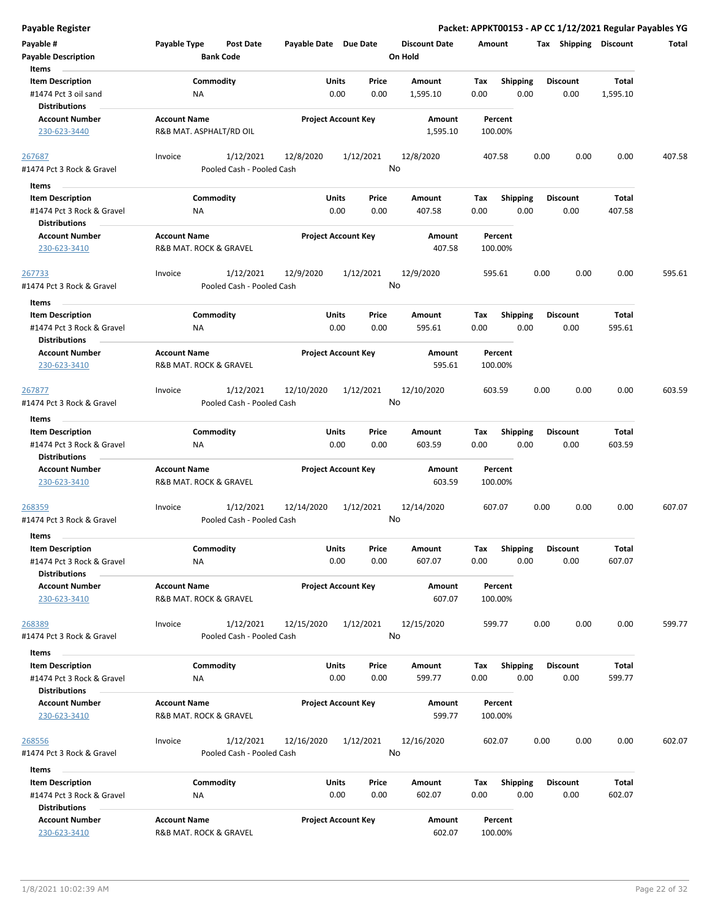| <b>Payable Register</b>                                                               |                     |                                        |                       |                                |                                 |                    |                         | Packet: APPKT00153 - AP CC 1/12/2021 Regular Payables YG |                          |        |
|---------------------------------------------------------------------------------------|---------------------|----------------------------------------|-----------------------|--------------------------------|---------------------------------|--------------------|-------------------------|----------------------------------------------------------|--------------------------|--------|
| Payable #<br><b>Payable Description</b>                                               | Payable Type        | <b>Post Date</b><br><b>Bank Code</b>   | Payable Date Due Date |                                | <b>Discount Date</b><br>On Hold | Amount             |                         | Tax Shipping Discount                                    |                          | Total  |
| Items<br><b>Item Description</b><br>#1474 Pct 3 oil sand                              |                     | Commodity<br>ΝA                        |                       | Units<br>Price<br>0.00<br>0.00 | Amount<br>1,595.10              | Tax<br>0.00        | <b>Shipping</b><br>0.00 | <b>Discount</b><br>0.00                                  | <b>Total</b><br>1,595.10 |        |
| <b>Distributions</b><br><b>Account Number</b><br>230-623-3440                         | <b>Account Name</b> | R&B MAT. ASPHALT/RD OIL                |                       | <b>Project Account Key</b>     | Amount<br>1,595.10              | Percent<br>100.00% |                         |                                                          |                          |        |
| 267687<br>#1474 Pct 3 Rock & Gravel                                                   | Invoice             | 1/12/2021<br>Pooled Cash - Pooled Cash | 12/8/2020             | 1/12/2021                      | 12/8/2020<br>No                 | 407.58             |                         | 0.00<br>0.00                                             | 0.00                     | 407.58 |
| Items                                                                                 |                     |                                        |                       |                                |                                 |                    |                         |                                                          |                          |        |
| <b>Item Description</b><br>#1474 Pct 3 Rock & Gravel<br><b>Distributions</b>          |                     | Commodity<br>ΝA                        |                       | Units<br>Price<br>0.00<br>0.00 | Amount<br>407.58                | Tax<br>0.00        | <b>Shipping</b><br>0.00 | <b>Discount</b><br>0.00                                  | <b>Total</b><br>407.58   |        |
| <b>Account Number</b><br>230-623-3410                                                 | <b>Account Name</b> | R&B MAT. ROCK & GRAVEL                 |                       | <b>Project Account Key</b>     | Amount<br>407.58                | Percent<br>100.00% |                         |                                                          |                          |        |
| 267733<br>#1474 Pct 3 Rock & Gravel                                                   | Invoice             | 1/12/2021<br>Pooled Cash - Pooled Cash | 12/9/2020             | 1/12/2021                      | 12/9/2020<br>No                 | 595.61             |                         | 0.00<br>0.00                                             | 0.00                     | 595.61 |
| Items<br><b>Item Description</b><br>#1474 Pct 3 Rock & Gravel<br><b>Distributions</b> |                     | Commodity<br>NA                        |                       | Units<br>Price<br>0.00<br>0.00 | Amount<br>595.61                | Tax<br>0.00        | <b>Shipping</b><br>0.00 | <b>Discount</b><br>0.00                                  | Total<br>595.61          |        |
| <b>Account Number</b><br>230-623-3410                                                 | <b>Account Name</b> | R&B MAT. ROCK & GRAVEL                 |                       | <b>Project Account Key</b>     | <b>Amount</b><br>595.61         | Percent<br>100.00% |                         |                                                          |                          |        |
| 267877<br>#1474 Pct 3 Rock & Gravel                                                   | Invoice             | 1/12/2021<br>Pooled Cash - Pooled Cash | 12/10/2020            | 1/12/2021                      | 12/10/2020<br>No                | 603.59             |                         | 0.00<br>0.00                                             | 0.00                     | 603.59 |
| Items                                                                                 |                     |                                        |                       |                                |                                 |                    |                         |                                                          |                          |        |
| <b>Item Description</b><br>#1474 Pct 3 Rock & Gravel<br><b>Distributions</b>          |                     | Commodity<br>ΝA                        |                       | Units<br>Price<br>0.00<br>0.00 | Amount<br>603.59                | Tax<br>0.00        | <b>Shipping</b><br>0.00 | <b>Discount</b><br>0.00                                  | Total<br>603.59          |        |
| <b>Account Number</b><br>230-623-3410                                                 | <b>Account Name</b> | R&B MAT. ROCK & GRAVEL                 |                       | <b>Project Account Key</b>     | Amount<br>603.59                | Percent<br>100.00% |                         |                                                          |                          |        |
| 268359<br>#1474 Pct 3 Rock & Gravel                                                   | Invoice             | 1/12/2021<br>Pooled Cash - Pooled Cash | 12/14/2020            | 1/12/2021                      | 12/14/2020<br>No                | 607.07             |                         | 0.00<br>0.00                                             | 0.00                     | 607.07 |
| Items<br><b>Item Description</b>                                                      |                     | Commodity                              |                       | Units<br>Price                 | Amount                          | Tax                | Shipping                | <b>Discount</b>                                          | Total                    |        |
| #1474 Pct 3 Rock & Gravel<br><b>Distributions</b>                                     |                     | NA                                     |                       | 0.00<br>0.00                   | 607.07                          | 0.00               | 0.00                    | 0.00                                                     | 607.07                   |        |
| <b>Account Number</b><br>230-623-3410                                                 | <b>Account Name</b> | R&B MAT. ROCK & GRAVEL                 |                       | <b>Project Account Key</b>     | Amount<br>607.07                | Percent<br>100.00% |                         |                                                          |                          |        |
| 268389<br>#1474 Pct 3 Rock & Gravel                                                   | Invoice             | 1/12/2021<br>Pooled Cash - Pooled Cash | 12/15/2020            | 1/12/2021                      | 12/15/2020<br>No                | 599.77             |                         | 0.00<br>0.00                                             | 0.00                     | 599.77 |
| Items                                                                                 |                     |                                        |                       |                                |                                 |                    |                         |                                                          |                          |        |
| <b>Item Description</b><br>#1474 Pct 3 Rock & Gravel<br><b>Distributions</b>          |                     | Commodity<br>NA                        |                       | Units<br>Price<br>0.00<br>0.00 | Amount<br>599.77                | Tax<br>0.00        | Shipping<br>0.00        | <b>Discount</b><br>0.00                                  | Total<br>599.77          |        |
| <b>Account Number</b><br>230-623-3410                                                 | <b>Account Name</b> | R&B MAT. ROCK & GRAVEL                 |                       | <b>Project Account Key</b>     | Amount<br>599.77                | Percent<br>100.00% |                         |                                                          |                          |        |
| 268556<br>#1474 Pct 3 Rock & Gravel                                                   | Invoice             | 1/12/2021<br>Pooled Cash - Pooled Cash | 12/16/2020            | 1/12/2021                      | 12/16/2020<br>No                | 602.07             |                         | 0.00<br>0.00                                             | 0.00                     | 602.07 |
| Items                                                                                 |                     |                                        |                       |                                |                                 |                    |                         |                                                          |                          |        |
| <b>Item Description</b><br>#1474 Pct 3 Rock & Gravel<br><b>Distributions</b>          |                     | Commodity<br>ΝA                        |                       | Units<br>Price<br>0.00<br>0.00 | Amount<br>602.07                | Tax<br>0.00        | <b>Shipping</b><br>0.00 | <b>Discount</b><br>0.00                                  | Total<br>602.07          |        |
| <b>Account Number</b><br>230-623-3410                                                 | <b>Account Name</b> | R&B MAT. ROCK & GRAVEL                 |                       | <b>Project Account Key</b>     | Amount<br>602.07                | Percent<br>100.00% |                         |                                                          |                          |        |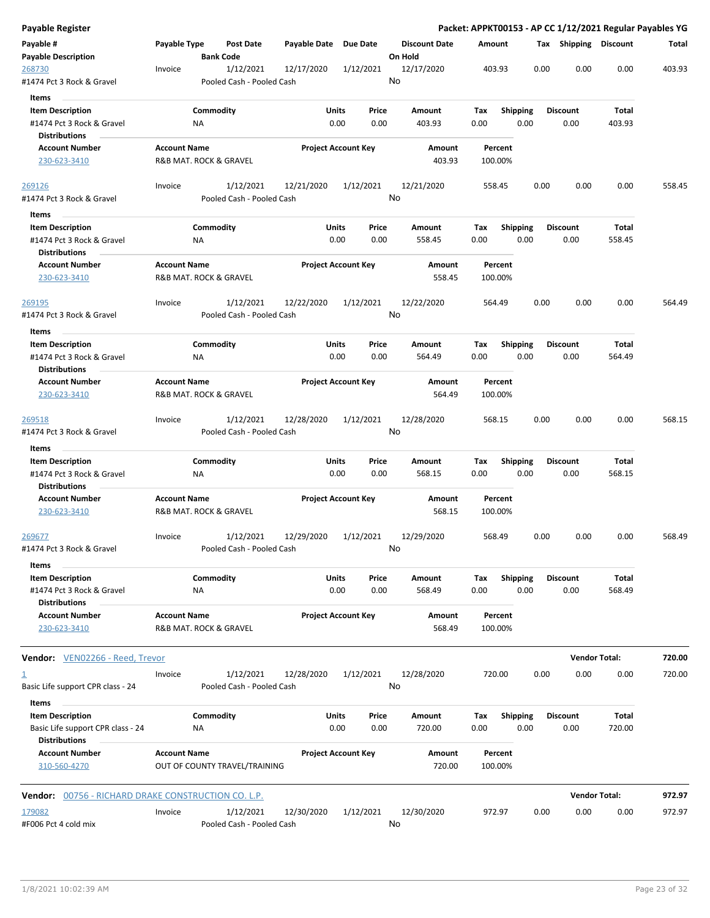| <b>Payable Register</b>                                                      |                     |                                        |                       |                                |                                 | Packet: APPKT00153 - AP CC 1/12/2021 Regular Payables YG |      |                         |                      |        |
|------------------------------------------------------------------------------|---------------------|----------------------------------------|-----------------------|--------------------------------|---------------------------------|----------------------------------------------------------|------|-------------------------|----------------------|--------|
| Payable #<br><b>Payable Description</b>                                      | Payable Type        | <b>Post Date</b><br><b>Bank Code</b>   | Payable Date Due Date |                                | <b>Discount Date</b><br>On Hold | Amount                                                   |      | Tax Shipping Discount   |                      | Total  |
| 268730<br>#1474 Pct 3 Rock & Gravel                                          | Invoice             | 1/12/2021<br>Pooled Cash - Pooled Cash | 12/17/2020            | 1/12/2021                      | 12/17/2020<br>No                | 403.93                                                   | 0.00 | 0.00                    | 0.00                 | 403.93 |
| Items                                                                        |                     |                                        |                       |                                |                                 |                                                          |      |                         |                      |        |
| <b>Item Description</b><br>#1474 Pct 3 Rock & Gravel                         |                     | Commodity<br>ΝA                        |                       | Units<br>Price<br>0.00<br>0.00 | Amount<br>403.93                | Tax<br><b>Shipping</b><br>0.00                           | 0.00 | <b>Discount</b><br>0.00 | Total<br>403.93      |        |
| Distributions<br><b>Account Number</b>                                       | <b>Account Name</b> |                                        |                       | <b>Project Account Key</b>     | Amount                          | Percent                                                  |      |                         |                      |        |
| 230-623-3410                                                                 |                     | R&B MAT. ROCK & GRAVEL                 |                       |                                | 403.93                          | 100.00%                                                  |      |                         |                      |        |
| 269126                                                                       | Invoice             | 1/12/2021                              | 12/21/2020            | 1/12/2021                      | 12/21/2020                      | 558.45                                                   | 0.00 | 0.00                    | 0.00                 | 558.45 |
| #1474 Pct 3 Rock & Gravel                                                    |                     | Pooled Cash - Pooled Cash              |                       |                                | No                              |                                                          |      |                         |                      |        |
| Items                                                                        |                     |                                        |                       |                                |                                 |                                                          |      |                         |                      |        |
| <b>Item Description</b><br>#1474 Pct 3 Rock & Gravel<br><b>Distributions</b> |                     | Commodity<br>NA                        |                       | Units<br>Price<br>0.00<br>0.00 | Amount<br>558.45                | <b>Shipping</b><br>Tax<br>0.00                           | 0.00 | <b>Discount</b><br>0.00 | Total<br>558.45      |        |
| <b>Account Number</b>                                                        | <b>Account Name</b> |                                        |                       | <b>Project Account Key</b>     | Amount                          | Percent                                                  |      |                         |                      |        |
| 230-623-3410                                                                 |                     | <b>R&amp;B MAT. ROCK &amp; GRAVEL</b>  |                       |                                | 558.45                          | 100.00%                                                  |      |                         |                      |        |
| 269195                                                                       | Invoice             | 1/12/2021                              | 12/22/2020            | 1/12/2021                      | 12/22/2020                      | 564.49                                                   | 0.00 | 0.00                    | 0.00                 | 564.49 |
| #1474 Pct 3 Rock & Gravel                                                    |                     | Pooled Cash - Pooled Cash              |                       |                                | No                              |                                                          |      |                         |                      |        |
| Items                                                                        |                     |                                        |                       |                                |                                 |                                                          |      |                         |                      |        |
| <b>Item Description</b>                                                      |                     | Commodity                              |                       | Units<br>Price                 | Amount                          | Tax<br><b>Shipping</b>                                   |      | <b>Discount</b>         | Total                |        |
| #1474 Pct 3 Rock & Gravel                                                    |                     | NA                                     |                       | 0.00<br>0.00                   | 564.49                          | 0.00                                                     | 0.00 | 0.00                    | 564.49               |        |
| <b>Distributions</b><br><b>Account Number</b>                                | <b>Account Name</b> |                                        |                       | <b>Project Account Key</b>     | Amount                          | Percent                                                  |      |                         |                      |        |
| 230-623-3410                                                                 |                     | R&B MAT. ROCK & GRAVEL                 |                       |                                | 564.49                          | 100.00%                                                  |      |                         |                      |        |
| 269518                                                                       | Invoice             | 1/12/2021                              | 12/28/2020            | 1/12/2021                      | 12/28/2020                      | 568.15                                                   | 0.00 | 0.00                    | 0.00                 | 568.15 |
| #1474 Pct 3 Rock & Gravel                                                    |                     | Pooled Cash - Pooled Cash              |                       |                                | No                              |                                                          |      |                         |                      |        |
| Items                                                                        |                     |                                        |                       |                                |                                 |                                                          |      |                         |                      |        |
| <b>Item Description</b>                                                      |                     | Commodity                              |                       | Units<br>Price                 | Amount                          | <b>Shipping</b><br>Tax                                   |      | <b>Discount</b>         | Total                |        |
| #1474 Pct 3 Rock & Gravel<br><b>Distributions</b>                            |                     | ΝA                                     |                       | 0.00<br>0.00                   | 568.15                          | 0.00                                                     | 0.00 | 0.00                    | 568.15               |        |
| <b>Account Number</b>                                                        | <b>Account Name</b> |                                        |                       | <b>Project Account Key</b>     | Amount                          | Percent                                                  |      |                         |                      |        |
| 230-623-3410                                                                 |                     | R&B MAT. ROCK & GRAVEL                 |                       |                                | 568.15                          | 100.00%                                                  |      |                         |                      |        |
| 269677                                                                       | Invoice             | 1/12/2021                              | 12/29/2020            | 1/12/2021                      | 12/29/2020                      | 568.49                                                   | 0.00 | 0.00                    | 0.00                 | 568.49 |
| #1474 Pct 3 Rock & Gravel                                                    |                     | Pooled Cash - Pooled Cash              |                       |                                | No                              |                                                          |      |                         |                      |        |
| Items                                                                        |                     |                                        |                       |                                |                                 |                                                          |      |                         |                      |        |
| <b>Item Description</b>                                                      |                     | Commodity                              |                       | Units<br>Price                 | Amount                          | Shipping<br>Tax                                          |      | <b>Discount</b>         | Total                |        |
| #1474 Pct 3 Rock & Gravel                                                    |                     | NA                                     |                       | 0.00<br>0.00                   | 568.49                          | 0.00                                                     | 0.00 | 0.00                    | 568.49               |        |
| <b>Distributions</b><br><b>Account Number</b>                                | <b>Account Name</b> |                                        |                       | <b>Project Account Key</b>     | Amount                          | Percent                                                  |      |                         |                      |        |
| 230-623-3410                                                                 |                     | R&B MAT. ROCK & GRAVEL                 |                       |                                | 568.49                          | 100.00%                                                  |      |                         |                      |        |
| Vendor: VEN02266 - Reed. Trevor                                              |                     |                                        |                       |                                |                                 |                                                          |      |                         | <b>Vendor Total:</b> | 720.00 |
| $\overline{\mathbf{1}}$                                                      | Invoice             | 1/12/2021                              | 12/28/2020            | 1/12/2021                      | 12/28/2020                      | 720.00                                                   | 0.00 | 0.00                    | 0.00                 | 720.00 |
| Basic Life support CPR class - 24<br>Items                                   |                     | Pooled Cash - Pooled Cash              |                       |                                | No                              |                                                          |      |                         |                      |        |
| <b>Item Description</b><br>Basic Life support CPR class - 24                 |                     | Commodity<br>ΝA                        |                       | Units<br>Price<br>0.00<br>0.00 | Amount<br>720.00                | Tax<br><b>Shipping</b><br>0.00                           | 0.00 | <b>Discount</b><br>0.00 | Total<br>720.00      |        |
| <b>Distributions</b><br><b>Account Number</b>                                | <b>Account Name</b> |                                        |                       | <b>Project Account Key</b>     | Amount                          | Percent                                                  |      |                         |                      |        |
| 310-560-4270                                                                 |                     | OUT OF COUNTY TRAVEL/TRAINING          |                       |                                | 720.00                          | 100.00%                                                  |      |                         |                      |        |
| <b>Vendor:</b> 00756 - RICHARD DRAKE CONSTRUCTION CO. L.P.                   |                     |                                        |                       |                                |                                 |                                                          |      |                         | <b>Vendor Total:</b> | 972.97 |
|                                                                              |                     |                                        |                       |                                |                                 |                                                          |      |                         |                      | 972.97 |
| 179082<br>#F006 Pct 4 cold mix                                               | Invoice             | 1/12/2021<br>Pooled Cash - Pooled Cash | 12/30/2020            | 1/12/2021                      | 12/30/2020<br>No                | 972.97                                                   | 0.00 | 0.00                    | 0.00                 |        |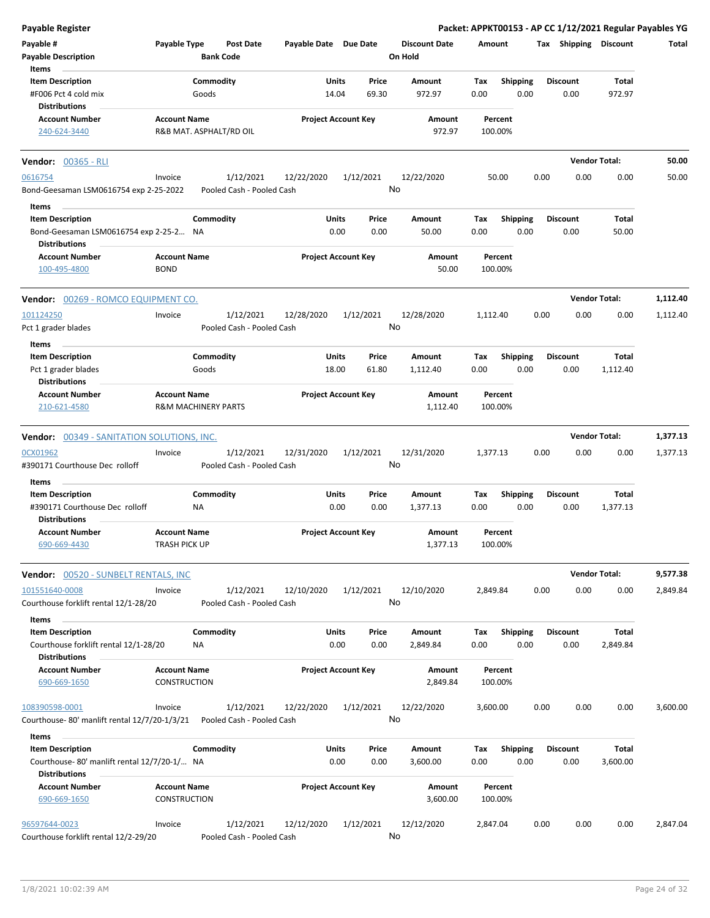| Payable Register                                                       |                                            |                                        |                       |                            |                                 |                    |                         |      |                         |                       | Packet: APPKT00153 - AP CC 1/12/2021 Regular Payables YG |
|------------------------------------------------------------------------|--------------------------------------------|----------------------------------------|-----------------------|----------------------------|---------------------------------|--------------------|-------------------------|------|-------------------------|-----------------------|----------------------------------------------------------|
| Payable #<br><b>Payable Description</b>                                | Payable Type                               | <b>Post Date</b><br><b>Bank Code</b>   | Payable Date Due Date |                            | <b>Discount Date</b><br>On Hold | Amount             |                         |      |                         | Tax Shipping Discount | Total                                                    |
| Items                                                                  |                                            |                                        |                       |                            |                                 |                    |                         |      |                         |                       |                                                          |
| <b>Item Description</b>                                                |                                            | Commodity                              | Units                 | Price                      | Amount                          | Tax                | <b>Shipping</b>         |      | <b>Discount</b>         | Total                 |                                                          |
| #F006 Pct 4 cold mix                                                   |                                            | Goods                                  | 14.04                 | 69.30                      | 972.97                          | 0.00               | 0.00                    |      | 0.00                    | 972.97                |                                                          |
| <b>Distributions</b>                                                   |                                            |                                        |                       |                            |                                 |                    |                         |      |                         |                       |                                                          |
| <b>Account Number</b><br>240-624-3440                                  | <b>Account Name</b>                        | R&B MAT. ASPHALT/RD OIL                |                       | <b>Project Account Key</b> | Amount<br>972.97                | Percent<br>100.00% |                         |      |                         |                       |                                                          |
| <b>Vendor: 00365 - RLI</b>                                             |                                            |                                        |                       |                            |                                 |                    |                         |      |                         | <b>Vendor Total:</b>  | 50.00                                                    |
| 0616754                                                                | Invoice                                    | 1/12/2021                              | 12/22/2020            | 1/12/2021                  | 12/22/2020                      | 50.00              |                         | 0.00 | 0.00                    | 0.00                  | 50.00                                                    |
| Bond-Geesaman LSM0616754 exp 2-25-2022                                 |                                            | Pooled Cash - Pooled Cash              |                       |                            | No                              |                    |                         |      |                         |                       |                                                          |
| Items                                                                  |                                            |                                        |                       |                            |                                 |                    |                         |      |                         |                       |                                                          |
| <b>Item Description</b>                                                |                                            | Commodity                              | Units                 | Price                      | Amount                          | Tax                | <b>Shipping</b>         |      | <b>Discount</b>         | Total                 |                                                          |
| Bond-Geesaman LSM0616754 exp 2-25-2 NA<br><b>Distributions</b>         |                                            |                                        |                       | 0.00<br>0.00               | 50.00                           | 0.00               | 0.00                    |      | 0.00                    | 50.00                 |                                                          |
| <b>Account Number</b>                                                  | <b>Account Name</b>                        |                                        |                       | <b>Project Account Key</b> | Amount                          | Percent            |                         |      |                         |                       |                                                          |
| 100-495-4800                                                           | <b>BOND</b>                                |                                        |                       |                            | 50.00                           | 100.00%            |                         |      |                         |                       |                                                          |
| <b>Vendor: 00269 - ROMCO EQUIPMENT CO.</b>                             |                                            |                                        |                       |                            |                                 |                    |                         |      |                         | <b>Vendor Total:</b>  | 1,112.40                                                 |
| 101124250                                                              | Invoice                                    | 1/12/2021                              | 12/28/2020            | 1/12/2021                  | 12/28/2020                      | 1,112.40           |                         | 0.00 | 0.00                    | 0.00                  | 1,112.40                                                 |
| Pct 1 grader blades                                                    |                                            | Pooled Cash - Pooled Cash              |                       |                            | No                              |                    |                         |      |                         |                       |                                                          |
| Items                                                                  |                                            |                                        |                       |                            |                                 |                    |                         |      |                         |                       |                                                          |
| <b>Item Description</b><br>Pct 1 grader blades                         |                                            | Commodity<br>Goods                     | Units<br>18.00        | Price<br>61.80             | Amount<br>1,112.40              | Tax<br>0.00        | <b>Shipping</b><br>0.00 |      | <b>Discount</b><br>0.00 | Total<br>1,112.40     |                                                          |
| <b>Distributions</b>                                                   |                                            |                                        |                       |                            |                                 |                    |                         |      |                         |                       |                                                          |
| <b>Account Number</b><br>210-621-4580                                  | <b>Account Name</b>                        | <b>R&amp;M MACHINERY PARTS</b>         |                       | <b>Project Account Key</b> | Amount<br>1,112.40              | Percent<br>100.00% |                         |      |                         |                       |                                                          |
|                                                                        |                                            |                                        |                       |                            |                                 |                    |                         |      |                         |                       |                                                          |
| <b>Vendor: 00349 - SANITATION SOLUTIONS, INC.</b>                      |                                            |                                        |                       |                            |                                 |                    |                         |      |                         | <b>Vendor Total:</b>  | 1,377.13                                                 |
| 0CX01962<br>#390171 Courthouse Dec rolloff                             | Invoice                                    | 1/12/2021<br>Pooled Cash - Pooled Cash | 12/31/2020            | 1/12/2021                  | 12/31/2020<br>No                | 1,377.13           |                         | 0.00 | 0.00                    | 0.00                  | 1,377.13                                                 |
| Items                                                                  |                                            |                                        |                       |                            |                                 |                    |                         |      |                         |                       |                                                          |
| <b>Item Description</b><br>#390171 Courthouse Dec rolloff              |                                            | Commodity<br><b>NA</b>                 | Units                 | Price<br>0.00<br>0.00      | <b>Amount</b><br>1,377.13       | Tax<br>0.00        | <b>Shipping</b><br>0.00 |      | <b>Discount</b><br>0.00 | Total<br>1,377.13     |                                                          |
| <b>Distributions</b>                                                   |                                            |                                        |                       |                            |                                 |                    |                         |      |                         |                       |                                                          |
| <b>Account Number</b>                                                  | <b>Account Name</b>                        |                                        |                       | <b>Project Account Key</b> | Amount                          | Percent            |                         |      |                         |                       |                                                          |
| 690-669-4430                                                           | TRASH PICK UP                              |                                        |                       |                            | 1,377.13                        | 100.00%            |                         |      |                         |                       |                                                          |
| Vendor: 00520 - SUNBELT RENTALS, INC                                   |                                            |                                        |                       |                            |                                 |                    |                         |      |                         | <b>Vendor Total:</b>  | 9,577.38                                                 |
| 101551640-0008<br>Courthouse forklift rental 12/1-28/20                | Invoice                                    | 1/12/2021<br>Pooled Cash - Pooled Cash | 12/10/2020            | 1/12/2021                  | 12/10/2020<br>No                | 2,849.84           |                         | 0.00 | 0.00                    | 0.00                  | 2,849.84                                                 |
| Items                                                                  |                                            |                                        |                       |                            |                                 |                    |                         |      |                         |                       |                                                          |
| <b>Item Description</b><br>Courthouse forklift rental 12/1-28/20       |                                            | Commodity<br>NA                        | Units                 | Price<br>0.00<br>0.00      | Amount<br>2,849.84              | Tax<br>0.00        | <b>Shipping</b><br>0.00 |      | <b>Discount</b><br>0.00 | Total<br>2,849.84     |                                                          |
| <b>Distributions</b>                                                   |                                            |                                        |                       |                            |                                 |                    |                         |      |                         |                       |                                                          |
| <b>Account Number</b><br>690-669-1650                                  | <b>Account Name</b><br><b>CONSTRUCTION</b> |                                        |                       | <b>Project Account Key</b> | Amount<br>2,849.84              | Percent<br>100.00% |                         |      |                         |                       |                                                          |
|                                                                        |                                            |                                        |                       |                            |                                 |                    |                         |      |                         |                       |                                                          |
| 108390598-0001<br>Courthouse-80' manlift rental 12/7/20-1/3/21         | Invoice                                    | 1/12/2021<br>Pooled Cash - Pooled Cash | 12/22/2020            | 1/12/2021                  | 12/22/2020<br>No                | 3,600.00           |                         | 0.00 | 0.00                    | 0.00                  | 3,600.00                                                 |
| Items                                                                  |                                            |                                        |                       |                            |                                 |                    |                         |      |                         |                       |                                                          |
| <b>Item Description</b><br>Courthouse-80' manlift rental 12/7/20-1/ NA |                                            | Commodity                              | Units                 | Price<br>0.00<br>0.00      | Amount<br>3,600.00              | Tax<br>0.00        | <b>Shipping</b><br>0.00 |      | <b>Discount</b><br>0.00 | Total<br>3,600.00     |                                                          |
| <b>Distributions</b>                                                   |                                            |                                        |                       |                            |                                 |                    |                         |      |                         |                       |                                                          |
| <b>Account Number</b><br>690-669-1650                                  | <b>Account Name</b><br><b>CONSTRUCTION</b> |                                        |                       | <b>Project Account Key</b> | Amount<br>3,600.00              | Percent<br>100.00% |                         |      |                         |                       |                                                          |
| 96597644-0023<br>Courthouse forklift rental 12/2-29/20                 | Invoice                                    | 1/12/2021<br>Pooled Cash - Pooled Cash | 12/12/2020            | 1/12/2021                  | 12/12/2020<br>No                | 2,847.04           |                         | 0.00 | 0.00                    | 0.00                  | 2,847.04                                                 |
|                                                                        |                                            |                                        |                       |                            |                                 |                    |                         |      |                         |                       |                                                          |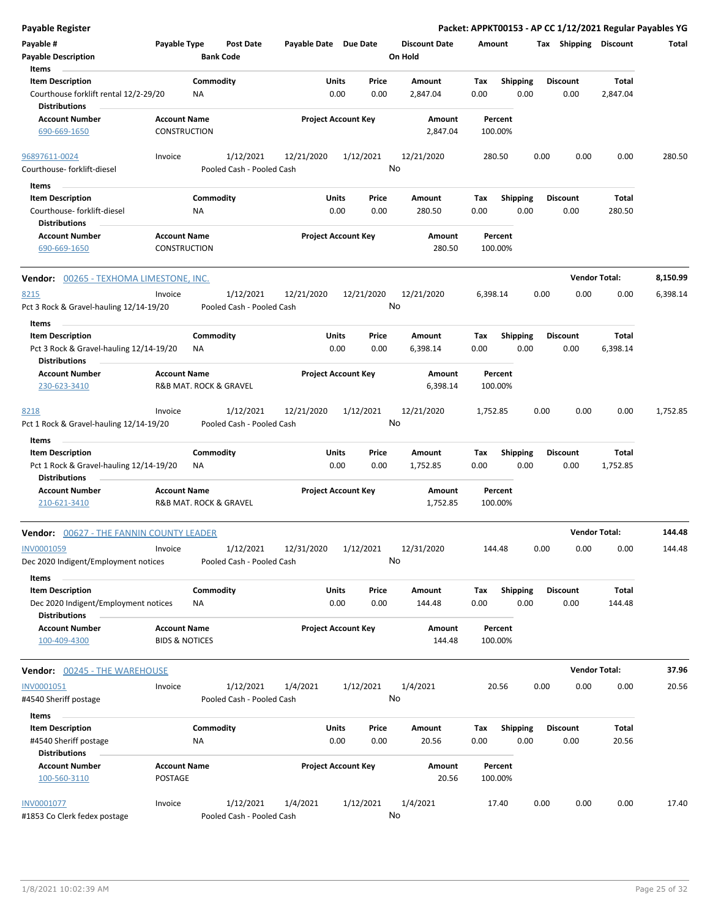| Payable Register                                                                         |                                                  |                                        |                       |                            |               |                                 |             |                         |                         |      | Packet: APPKT00153 - AP CC 1/12/2021 Regular Payables YG |          |
|------------------------------------------------------------------------------------------|--------------------------------------------------|----------------------------------------|-----------------------|----------------------------|---------------|---------------------------------|-------------|-------------------------|-------------------------|------|----------------------------------------------------------|----------|
| Payable #<br><b>Payable Description</b>                                                  | Payable Type                                     | <b>Post Date</b><br><b>Bank Code</b>   | Payable Date Due Date |                            |               | <b>Discount Date</b><br>On Hold | Amount      |                         |                         |      | Tax Shipping Discount                                    | Total    |
| Items                                                                                    |                                                  |                                        |                       |                            |               |                                 |             |                         |                         |      |                                                          |          |
| <b>Item Description</b><br>Courthouse forklift rental 12/2-29/20<br><b>Distributions</b> |                                                  | Commodity<br>NA                        |                       | Units<br>0.00              | Price<br>0.00 | Amount<br>2,847.04              | Tax<br>0.00 | <b>Shipping</b><br>0.00 | <b>Discount</b><br>0.00 |      | Total<br>2,847.04                                        |          |
| <b>Account Number</b><br>690-669-1650                                                    | <b>Account Name</b><br>CONSTRUCTION              |                                        |                       | <b>Project Account Key</b> |               | Amount<br>2,847.04              | 100.00%     | Percent                 |                         |      |                                                          |          |
|                                                                                          |                                                  |                                        |                       |                            |               |                                 |             |                         |                         |      |                                                          |          |
| 96897611-0024<br>Courthouse-forklift-diesel                                              | Invoice                                          | 1/12/2021<br>Pooled Cash - Pooled Cash | 12/21/2020            | 1/12/2021                  |               | 12/21/2020<br>No                | 280.50      |                         | 0.00                    | 0.00 | 0.00                                                     | 280.50   |
| Items                                                                                    |                                                  |                                        |                       |                            |               |                                 |             |                         |                         |      |                                                          |          |
| <b>Item Description</b>                                                                  |                                                  | Commodity                              |                       | Units                      | Price         | Amount                          | Tax         | <b>Shipping</b>         | <b>Discount</b>         |      | Total                                                    |          |
| Courthouse-forklift-diesel<br><b>Distributions</b>                                       |                                                  | ΝA                                     |                       | 0.00                       | 0.00          | 280.50                          | 0.00        | 0.00                    | 0.00                    |      | 280.50                                                   |          |
| <b>Account Number</b><br>690-669-1650                                                    | <b>Account Name</b><br>CONSTRUCTION              |                                        |                       | <b>Project Account Key</b> |               | Amount<br>280.50                | 100.00%     | Percent                 |                         |      |                                                          |          |
| <b>Vendor: 00265 - TEXHOMA LIMESTONE, INC.</b>                                           |                                                  |                                        |                       |                            |               |                                 |             |                         |                         |      | <b>Vendor Total:</b>                                     | 8,150.99 |
| 8215                                                                                     | Invoice                                          | 1/12/2021                              | 12/21/2020            | 12/21/2020                 |               | 12/21/2020                      | 6,398.14    |                         | 0.00                    | 0.00 | 0.00                                                     | 6,398.14 |
| Pct 3 Rock & Gravel-hauling 12/14-19/20                                                  |                                                  | Pooled Cash - Pooled Cash              |                       |                            |               | No                              |             |                         |                         |      |                                                          |          |
| Items                                                                                    |                                                  |                                        |                       |                            |               |                                 |             |                         |                         |      |                                                          |          |
| <b>Item Description</b>                                                                  |                                                  | Commodity                              |                       | Units                      | Price         | Amount                          | Tax         | <b>Shipping</b>         | <b>Discount</b>         |      | Total                                                    |          |
| Pct 3 Rock & Gravel-hauling 12/14-19/20                                                  |                                                  | ΝA                                     |                       | 0.00                       | 0.00          | 6,398.14                        | 0.00        | 0.00                    | 0.00                    |      | 6,398.14                                                 |          |
| Distributions                                                                            |                                                  |                                        |                       |                            |               |                                 |             |                         |                         |      |                                                          |          |
| <b>Account Number</b><br>230-623-3410                                                    | <b>Account Name</b>                              | R&B MAT. ROCK & GRAVEL                 |                       | <b>Project Account Key</b> |               | Amount<br>6,398.14              | 100.00%     | Percent                 |                         |      |                                                          |          |
| 8218<br>Pct 1 Rock & Gravel-hauling 12/14-19/20                                          | Invoice                                          | 1/12/2021<br>Pooled Cash - Pooled Cash | 12/21/2020            | 1/12/2021                  |               | 12/21/2020<br>No                | 1,752.85    |                         | 0.00                    | 0.00 | 0.00                                                     | 1,752.85 |
|                                                                                          |                                                  |                                        |                       |                            |               |                                 |             |                         |                         |      |                                                          |          |
| Items<br><b>Item Description</b>                                                         |                                                  | Commodity                              |                       | Units                      | Price         | Amount                          | Tax         | <b>Shipping</b>         | <b>Discount</b>         |      | Total                                                    |          |
| Pct 1 Rock & Gravel-hauling 12/14-19/20<br><b>Distributions</b>                          |                                                  | ΝA                                     |                       | 0.00                       | 0.00          | 1,752.85                        | 0.00        | 0.00                    | 0.00                    |      | 1,752.85                                                 |          |
| <b>Account Number</b><br>210-621-3410                                                    | <b>Account Name</b>                              | R&B MAT. ROCK & GRAVEL                 |                       | <b>Project Account Key</b> |               | Amount<br>1,752.85              | 100.00%     | Percent                 |                         |      |                                                          |          |
| <b>Vendor: 00627 - THE FANNIN COUNTY LEADER</b>                                          |                                                  |                                        |                       |                            |               |                                 |             |                         |                         |      | <b>Vendor Total:</b>                                     | 144.48   |
| INV0001059                                                                               | Invoice                                          | 1/12/2021                              | 12/31/2020            | 1/12/2021                  |               | 12/31/2020                      | 144.48      |                         | 0.00                    | 0.00 | 0.00                                                     | 144.48   |
| Dec 2020 Indigent/Employment notices                                                     |                                                  | Pooled Cash - Pooled Cash              |                       |                            |               | No                              |             |                         |                         |      |                                                          |          |
| Items                                                                                    |                                                  |                                        |                       |                            |               |                                 |             |                         |                         |      |                                                          |          |
| <b>Item Description</b><br>Dec 2020 Indigent/Employment notices<br><b>Distributions</b>  |                                                  | Commodity<br>NA                        |                       | Units<br>0.00              | Price<br>0.00 | Amount<br>144.48                | Tax<br>0.00 | <b>Shipping</b><br>0.00 | <b>Discount</b><br>0.00 |      | Total<br>144.48                                          |          |
| <b>Account Number</b><br>100-409-4300                                                    | <b>Account Name</b><br><b>BIDS &amp; NOTICES</b> |                                        |                       | <b>Project Account Key</b> |               | Amount<br>144.48                |             | Percent<br>100.00%      |                         |      |                                                          |          |
| Vendor: 00245 - THE WAREHOUSE                                                            |                                                  |                                        |                       |                            |               |                                 |             |                         |                         |      | <b>Vendor Total:</b>                                     | 37.96    |
| INV0001051                                                                               | Invoice                                          | 1/12/2021                              | 1/4/2021              | 1/12/2021                  |               | 1/4/2021                        |             | 20.56                   | 0.00                    | 0.00 | 0.00                                                     | 20.56    |
| #4540 Sheriff postage                                                                    |                                                  | Pooled Cash - Pooled Cash              |                       |                            |               | No                              |             |                         |                         |      |                                                          |          |
| Items                                                                                    |                                                  |                                        |                       |                            |               |                                 |             |                         |                         |      |                                                          |          |
| <b>Item Description</b><br>#4540 Sheriff postage<br><b>Distributions</b>                 |                                                  | Commodity<br>NA                        |                       | Units<br>0.00              | Price<br>0.00 | Amount<br>20.56                 | Tax<br>0.00 | <b>Shipping</b><br>0.00 | <b>Discount</b><br>0.00 |      | Total<br>20.56                                           |          |
| <b>Account Number</b><br>100-560-3110                                                    | <b>Account Name</b><br>POSTAGE                   |                                        |                       | <b>Project Account Key</b> |               | Amount<br>20.56                 |             | Percent<br>100.00%      |                         |      |                                                          |          |
| INV0001077<br>#1853 Co Clerk fedex postage                                               | Invoice                                          | 1/12/2021<br>Pooled Cash - Pooled Cash | 1/4/2021              | 1/12/2021                  |               | 1/4/2021<br>No                  |             | 17.40                   | 0.00                    | 0.00 | 0.00                                                     | 17.40    |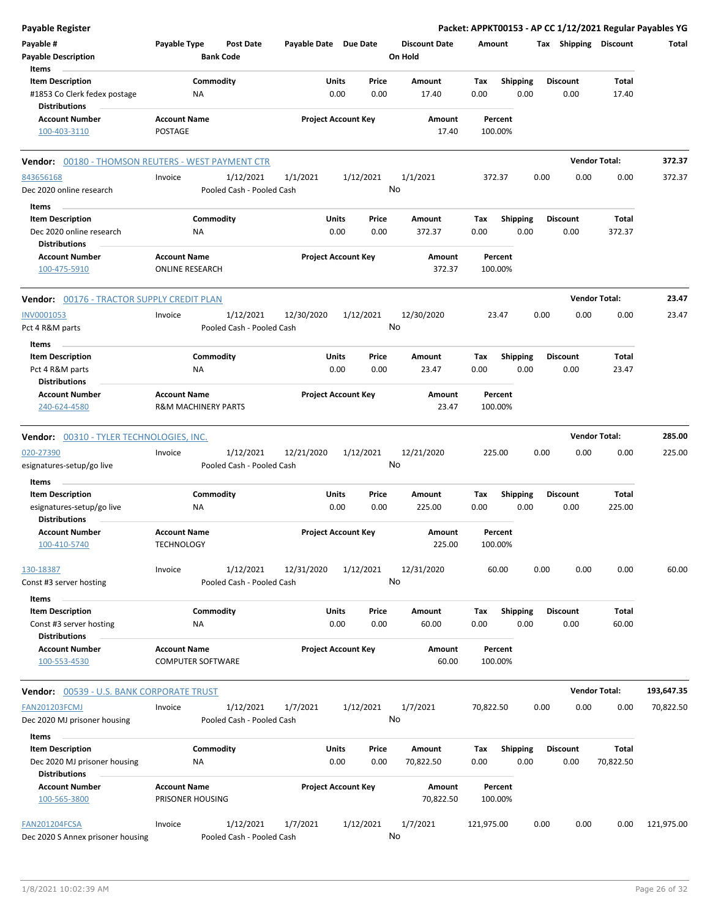| <b>Payable Register</b>                                   |                                               |                            |           |                      | Packet: APPKT00153 - AP CC 1/12/2021 Regular Payables YG |                       |                      |            |
|-----------------------------------------------------------|-----------------------------------------------|----------------------------|-----------|----------------------|----------------------------------------------------------|-----------------------|----------------------|------------|
| Payable #                                                 | Payable Type<br><b>Post Date</b>              | Payable Date Due Date      |           | <b>Discount Date</b> | Amount                                                   | Tax Shipping Discount |                      | Total      |
| <b>Payable Description</b>                                | <b>Bank Code</b>                              |                            |           | On Hold              |                                                          |                       |                      |            |
| Items                                                     |                                               |                            |           |                      |                                                          |                       |                      |            |
| <b>Item Description</b>                                   | Commodity                                     | Units                      | Price     | Amount               | Shipping<br>Tax                                          | <b>Discount</b>       | Total                |            |
| #1853 Co Clerk fedex postage<br><b>Distributions</b>      | ΝA                                            | 0.00                       | 0.00      | 17.40                | 0.00<br>0.00                                             | 0.00                  | 17.40                |            |
| <b>Account Number</b>                                     | <b>Account Name</b>                           | <b>Project Account Key</b> |           | Amount               | Percent                                                  |                       |                      |            |
| 100-403-3110                                              | POSTAGE                                       |                            |           | 17.40                | 100.00%                                                  |                       |                      |            |
| <b>Vendor:</b> 00180 - THOMSON REUTERS - WEST PAYMENT CTR |                                               |                            |           |                      |                                                          |                       | <b>Vendor Total:</b> | 372.37     |
| 843656168                                                 | 1/12/2021<br>Invoice                          | 1/1/2021                   | 1/12/2021 | 1/1/2021             | 372.37                                                   | 0.00<br>0.00          | 0.00                 | 372.37     |
| Dec 2020 online research                                  | Pooled Cash - Pooled Cash                     |                            | No        |                      |                                                          |                       |                      |            |
| Items                                                     |                                               |                            |           |                      |                                                          |                       |                      |            |
| <b>Item Description</b>                                   | Commodity                                     | Units                      | Price     | Amount               | Tax<br>Shipping                                          | <b>Discount</b>       | Total                |            |
| Dec 2020 online research                                  | ΝA                                            | 0.00                       | 0.00      | 372.37               | 0.00<br>0.00                                             | 0.00                  | 372.37               |            |
| <b>Distributions</b>                                      |                                               |                            |           |                      |                                                          |                       |                      |            |
| <b>Account Number</b><br>100-475-5910                     | <b>Account Name</b><br><b>ONLINE RESEARCH</b> | <b>Project Account Key</b> |           | Amount<br>372.37     | Percent<br>100.00%                                       |                       |                      |            |
| Vendor: 00176 - TRACTOR SUPPLY CREDIT PLAN                |                                               |                            |           |                      |                                                          |                       | <b>Vendor Total:</b> | 23.47      |
| <b>INV0001053</b>                                         | 1/12/2021<br>Invoice                          | 12/30/2020                 | 1/12/2021 | 12/30/2020           | 23.47                                                    | 0.00<br>0.00          | 0.00                 | 23.47      |
| Pct 4 R&M parts                                           | Pooled Cash - Pooled Cash                     |                            | No        |                      |                                                          |                       |                      |            |
| Items<br><b>Item Description</b>                          | Commodity                                     | Units                      | Price     | Amount               | Tax<br><b>Shipping</b>                                   | <b>Discount</b>       | Total                |            |
| Pct 4 R&M parts                                           | ΝA                                            | 0.00                       | 0.00      | 23.47                | 0.00<br>0.00                                             | 0.00                  | 23.47                |            |
| <b>Distributions</b>                                      |                                               |                            |           |                      |                                                          |                       |                      |            |
| <b>Account Number</b>                                     | <b>Account Name</b>                           | <b>Project Account Key</b> |           | Amount               | Percent                                                  |                       |                      |            |
| 240-624-4580                                              | <b>R&amp;M MACHINERY PARTS</b>                |                            |           | 23.47                | 100.00%                                                  |                       |                      |            |
| Vendor: 00310 - TYLER TECHNOLOGIES, INC.                  |                                               |                            |           |                      |                                                          |                       | <b>Vendor Total:</b> | 285.00     |
| 020-27390                                                 | 1/12/2021<br>Invoice                          | 12/21/2020                 | 1/12/2021 | 12/21/2020           | 225.00                                                   | 0.00<br>0.00          | 0.00                 | 225.00     |
| esignatures-setup/go live                                 | Pooled Cash - Pooled Cash                     |                            | No        |                      |                                                          |                       |                      |            |
| Items                                                     |                                               |                            |           |                      |                                                          |                       |                      |            |
| <b>Item Description</b>                                   | Commodity                                     | Units                      | Price     | Amount               | Tax<br><b>Shipping</b>                                   | <b>Discount</b>       | Total                |            |
| esignatures-setup/go live<br><b>Distributions</b>         | ΝA                                            | 0.00                       | 0.00      | 225.00               | 0.00<br>0.00                                             | 0.00                  | 225.00               |            |
| <b>Account Number</b>                                     | <b>Account Name</b>                           | <b>Project Account Key</b> |           | Amount               | Percent                                                  |                       |                      |            |
| 100-410-5740                                              | <b>TECHNOLOGY</b>                             |                            |           | 225.00               | 100.00%                                                  |                       |                      |            |
| 130-18387                                                 | 1/12/2021<br>Invoice                          | 12/31/2020                 | 1/12/2021 | 12/31/2020           | 60.00                                                    | 0.00<br>0.00          | 0.00                 | 60.00      |
| Const #3 server hosting                                   | Pooled Cash - Pooled Cash                     |                            | No        |                      |                                                          |                       |                      |            |
| <b>Items</b>                                              |                                               |                            |           |                      |                                                          |                       |                      |            |
| <b>Item Description</b>                                   | Commodity                                     | Units                      | Price     | Amount               | <b>Shipping</b><br>Tax                                   | Discount              | Total                |            |
| Const #3 server hosting                                   | ΝA                                            | 0.00                       | 0.00      | 60.00                | 0.00<br>0.00                                             | 0.00                  | 60.00                |            |
| <b>Distributions</b><br><b>Account Number</b>             | <b>Account Name</b>                           | <b>Project Account Key</b> |           | Amount               | Percent                                                  |                       |                      |            |
| 100-553-4530                                              | <b>COMPUTER SOFTWARE</b>                      |                            |           | 60.00                | 100.00%                                                  |                       |                      |            |
| <b>Vendor: 00539 - U.S. BANK CORPORATE TRUST</b>          |                                               |                            |           |                      |                                                          |                       | <b>Vendor Total:</b> | 193,647.35 |
| <b>FAN201203FCMJ</b>                                      | 1/12/2021<br>Invoice                          | 1/7/2021                   | 1/12/2021 | 1/7/2021             | 70,822.50                                                | 0.00<br>0.00          | 0.00                 | 70,822.50  |
| Dec 2020 MJ prisoner housing                              | Pooled Cash - Pooled Cash                     |                            | No        |                      |                                                          |                       |                      |            |
| Items                                                     |                                               |                            |           |                      |                                                          |                       |                      |            |
| <b>Item Description</b>                                   | Commodity                                     | Units                      | Price     | Amount               | <b>Shipping</b><br>Tax                                   | <b>Discount</b>       | Total                |            |
| Dec 2020 MJ prisoner housing<br><b>Distributions</b>      | ΝA                                            | 0.00                       | 0.00      | 70,822.50            | 0.00<br>0.00                                             | 0.00                  | 70,822.50            |            |
| <b>Account Number</b>                                     | <b>Account Name</b>                           | <b>Project Account Key</b> |           | Amount               | Percent                                                  |                       |                      |            |
| 100-565-3800                                              | PRISONER HOUSING                              |                            |           | 70,822.50            | 100.00%                                                  |                       |                      |            |
| FAN201204FCSA                                             | 1/12/2021<br>Invoice                          | 1/7/2021                   | 1/12/2021 | 1/7/2021             | 121,975.00                                               | 0.00<br>0.00          | 0.00                 | 121,975.00 |
| Dec 2020 S Annex prisoner housing                         | Pooled Cash - Pooled Cash                     |                            | No        |                      |                                                          |                       |                      |            |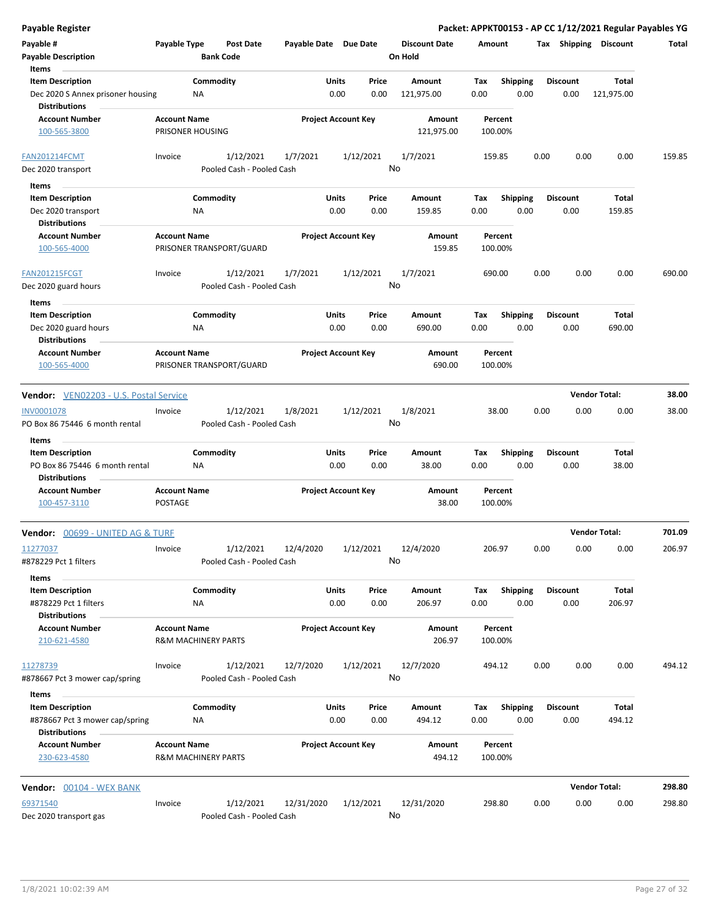| <b>Payable Register</b>                                                           |                                                       |                 |                           |                       |               |                            |               |                      |             |                         |      |                         | Packet: APPKT00153 - AP CC 1/12/2021 Regular Payables YG |        |
|-----------------------------------------------------------------------------------|-------------------------------------------------------|-----------------|---------------------------|-----------------------|---------------|----------------------------|---------------|----------------------|-------------|-------------------------|------|-------------------------|----------------------------------------------------------|--------|
| Payable #                                                                         | Payable Type                                          |                 | <b>Post Date</b>          | Payable Date Due Date |               |                            |               | <b>Discount Date</b> | Amount      |                         |      | Tax Shipping Discount   |                                                          | Total  |
| <b>Payable Description</b>                                                        |                                                       |                 | <b>Bank Code</b>          |                       |               |                            |               | On Hold              |             |                         |      |                         |                                                          |        |
| Items                                                                             |                                                       |                 |                           |                       |               |                            |               |                      |             |                         |      |                         |                                                          |        |
| <b>Item Description</b>                                                           |                                                       | Commodity       |                           |                       | Units         |                            | Price         | Amount               | Tax         | Shipping                |      | <b>Discount</b>         | Total                                                    |        |
| Dec 2020 S Annex prisoner housing<br><b>Distributions</b>                         |                                                       | NA              |                           |                       | 0.00          |                            | 0.00          | 121,975.00           | 0.00        | 0.00                    |      | 0.00                    | 121,975.00                                               |        |
| <b>Account Number</b>                                                             | <b>Account Name</b>                                   |                 |                           |                       |               | <b>Project Account Key</b> |               | Amount               |             | Percent                 |      |                         |                                                          |        |
| 100-565-3800                                                                      | PRISONER HOUSING                                      |                 |                           |                       |               |                            |               | 121,975.00           |             | 100.00%                 |      |                         |                                                          |        |
| <b>FAN201214FCMT</b>                                                              | Invoice                                               |                 | 1/12/2021                 | 1/7/2021              |               | 1/12/2021                  |               | 1/7/2021             |             | 159.85                  | 0.00 | 0.00                    | 0.00                                                     | 159.85 |
| Dec 2020 transport                                                                |                                                       |                 | Pooled Cash - Pooled Cash |                       |               |                            |               | No                   |             |                         |      |                         |                                                          |        |
| Items                                                                             |                                                       |                 |                           |                       |               |                            |               |                      |             |                         |      |                         |                                                          |        |
| <b>Item Description</b>                                                           |                                                       | Commodity       |                           |                       | Units         |                            | Price         | Amount               | Tax         | <b>Shipping</b>         |      | <b>Discount</b>         | Total                                                    |        |
| Dec 2020 transport                                                                |                                                       | ΝA              |                           |                       | 0.00          |                            | 0.00          | 159.85               | 0.00        | 0.00                    |      | 0.00                    | 159.85                                                   |        |
| <b>Distributions</b>                                                              |                                                       |                 |                           |                       |               |                            |               |                      |             |                         |      |                         |                                                          |        |
| <b>Account Number</b><br>100-565-4000                                             | <b>Account Name</b>                                   |                 | PRISONER TRANSPORT/GUARD  |                       |               | <b>Project Account Key</b> |               | Amount<br>159.85     |             | Percent<br>100.00%      |      |                         |                                                          |        |
| <b>FAN201215FCGT</b>                                                              | Invoice                                               |                 | 1/12/2021                 | 1/7/2021              |               | 1/12/2021                  |               | 1/7/2021             |             | 690.00                  | 0.00 | 0.00                    | 0.00                                                     | 690.00 |
| Dec 2020 guard hours                                                              |                                                       |                 | Pooled Cash - Pooled Cash |                       |               |                            |               | No                   |             |                         |      |                         |                                                          |        |
| Items                                                                             |                                                       |                 |                           |                       |               |                            |               |                      |             |                         |      |                         |                                                          |        |
| <b>Item Description</b>                                                           |                                                       | Commodity       |                           |                       | Units         |                            | Price         | Amount               | Tax         | <b>Shipping</b>         |      | <b>Discount</b>         | Total                                                    |        |
| Dec 2020 guard hours                                                              |                                                       | ΝA              |                           |                       | 0.00          |                            | 0.00          | 690.00               | 0.00        | 0.00                    |      | 0.00                    | 690.00                                                   |        |
| <b>Distributions</b>                                                              |                                                       |                 |                           |                       |               |                            |               |                      |             |                         |      |                         |                                                          |        |
| <b>Account Number</b>                                                             | <b>Account Name</b>                                   |                 |                           |                       |               | <b>Project Account Key</b> |               | Amount               |             | Percent                 |      |                         |                                                          |        |
| 100-565-4000                                                                      |                                                       |                 | PRISONER TRANSPORT/GUARD  |                       |               |                            |               | 690.00               |             | 100.00%                 |      |                         |                                                          |        |
| Vendor: VEN02203 - U.S. Postal Service                                            |                                                       |                 |                           |                       |               |                            |               |                      |             |                         |      |                         | <b>Vendor Total:</b>                                     | 38.00  |
| INV0001078                                                                        | Invoice                                               |                 | 1/12/2021                 | 1/8/2021              |               | 1/12/2021                  |               | 1/8/2021             |             | 38.00                   | 0.00 | 0.00                    | 0.00                                                     | 38.00  |
| PO Box 86 75446 6 month rental                                                    |                                                       |                 | Pooled Cash - Pooled Cash |                       |               |                            |               | No                   |             |                         |      |                         |                                                          |        |
| Items                                                                             |                                                       |                 |                           |                       |               |                            |               |                      |             |                         |      |                         |                                                          |        |
| <b>Item Description</b>                                                           |                                                       | Commodity       |                           |                       | Units         |                            | Price         | Amount               | Tax         | <b>Shipping</b>         |      | <b>Discount</b>         | Total                                                    |        |
| PO Box 86 75446 6 month rental                                                    |                                                       | NA              |                           |                       | 0.00          |                            | 0.00          | 38.00                | 0.00        | 0.00                    |      | 0.00                    | 38.00                                                    |        |
| <b>Distributions</b>                                                              |                                                       |                 |                           |                       |               |                            |               |                      |             |                         |      |                         |                                                          |        |
| <b>Account Number</b>                                                             | <b>Account Name</b>                                   |                 |                           |                       |               | <b>Project Account Key</b> |               | Amount               |             | Percent                 |      |                         |                                                          |        |
| 100-457-3110                                                                      | <b>POSTAGE</b>                                        |                 |                           |                       |               |                            |               | 38.00                |             | 100.00%                 |      |                         |                                                          |        |
| Vendor: 00699 - UNITED AG & TURF                                                  |                                                       |                 |                           |                       |               |                            |               |                      |             |                         |      |                         | <b>Vendor Total:</b>                                     | 701.09 |
| 11277037                                                                          | Invoice                                               |                 | 1/12/2021                 | 12/4/2020             |               | 1/12/2021                  |               | 12/4/2020            |             | 206.97                  | 0.00 | 0.00                    | 0.00                                                     | 206.97 |
| #878229 Pct 1 filters                                                             |                                                       |                 | Pooled Cash - Pooled Cash |                       |               |                            |               | No                   |             |                         |      |                         |                                                          |        |
|                                                                                   |                                                       |                 |                           |                       |               |                            |               |                      |             |                         |      |                         |                                                          |        |
| Items                                                                             |                                                       |                 |                           |                       |               |                            |               |                      |             |                         |      |                         |                                                          |        |
| <b>Item Description</b><br>#878229 Pct 1 filters                                  |                                                       | Commodity<br>ΝA |                           |                       | Units<br>0.00 |                            | Price<br>0.00 | Amount<br>206.97     | Tax<br>0.00 | <b>Shipping</b><br>0.00 |      | <b>Discount</b><br>0.00 | Total<br>206.97                                          |        |
| <b>Distributions</b>                                                              |                                                       |                 |                           |                       |               |                            |               |                      |             |                         |      |                         |                                                          |        |
| <b>Account Number</b><br>210-621-4580                                             | <b>Account Name</b><br><b>R&amp;M MACHINERY PARTS</b> |                 |                           |                       |               | <b>Project Account Key</b> |               | Amount<br>206.97     |             | Percent<br>100.00%      |      |                         |                                                          |        |
| 11278739                                                                          | Invoice                                               |                 | 1/12/2021                 | 12/7/2020             |               | 1/12/2021                  |               | 12/7/2020            |             | 494.12                  | 0.00 | 0.00                    | 0.00                                                     | 494.12 |
| #878667 Pct 3 mower cap/spring                                                    |                                                       |                 | Pooled Cash - Pooled Cash |                       |               |                            |               | No                   |             |                         |      |                         |                                                          |        |
| Items                                                                             |                                                       |                 |                           |                       |               |                            |               |                      |             |                         |      |                         |                                                          |        |
| <b>Item Description</b><br>#878667 Pct 3 mower cap/spring<br><b>Distributions</b> |                                                       | Commodity<br>NA |                           |                       | Units<br>0.00 |                            | Price<br>0.00 | Amount<br>494.12     | Tax<br>0.00 | <b>Shipping</b><br>0.00 |      | <b>Discount</b><br>0.00 | Total<br>494.12                                          |        |
| <b>Account Number</b>                                                             | <b>Account Name</b>                                   |                 |                           |                       |               | <b>Project Account Key</b> |               | Amount               |             | Percent                 |      |                         |                                                          |        |
| 230-623-4580                                                                      | <b>R&amp;M MACHINERY PARTS</b>                        |                 |                           |                       |               |                            |               | 494.12               |             | 100.00%                 |      |                         |                                                          |        |
| Vendor: 00104 - WEX BANK                                                          |                                                       |                 |                           |                       |               |                            |               |                      |             |                         |      |                         | <b>Vendor Total:</b>                                     | 298.80 |
| 69371540                                                                          | Invoice                                               |                 | 1/12/2021                 | 12/31/2020            |               | 1/12/2021                  |               | 12/31/2020           |             | 298.80                  | 0.00 | 0.00                    | 0.00                                                     | 298.80 |
| Dec 2020 transport gas                                                            |                                                       |                 | Pooled Cash - Pooled Cash |                       |               |                            |               | No                   |             |                         |      |                         |                                                          |        |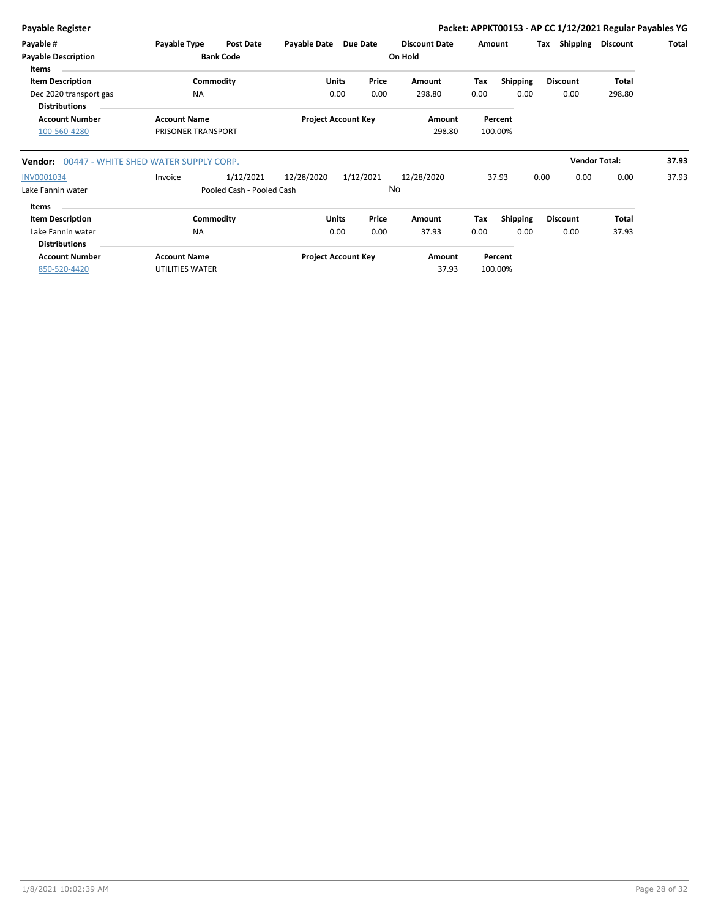| <b>Payable Register</b>                                                   |                                           |                                        |              |                            |               |                                 |             |                         | Packet: APPKT00153 - AP CC 1/12/2021 Regular Payables YG |                      |       |
|---------------------------------------------------------------------------|-------------------------------------------|----------------------------------------|--------------|----------------------------|---------------|---------------------------------|-------------|-------------------------|----------------------------------------------------------|----------------------|-------|
| Payable #<br><b>Payable Description</b><br>Items                          | Payable Type                              | Post Date<br><b>Bank Code</b>          | Payable Date | Due Date                   |               | <b>Discount Date</b><br>On Hold | Amount      |                         | Shipping<br>Tax                                          | <b>Discount</b>      | Total |
| <b>Item Description</b><br>Dec 2020 transport gas<br><b>Distributions</b> | Commodity<br><b>NA</b>                    |                                        |              | <b>Units</b><br>0.00       | Price<br>0.00 | Amount<br>298.80                | Tax<br>0.00 | Shipping<br>0.00        | <b>Discount</b><br>0.00                                  | Total<br>298.80      |       |
| <b>Account Number</b><br>100-560-4280                                     | <b>Account Name</b><br>PRISONER TRANSPORT |                                        |              | <b>Project Account Key</b> |               | Amount<br>298.80                |             | Percent<br>100.00%      |                                                          |                      |       |
| Vendor:                                                                   | 00447 - WHITE SHED WATER SUPPLY CORP.     |                                        |              |                            |               |                                 |             |                         |                                                          | <b>Vendor Total:</b> | 37.93 |
| INV0001034<br>Lake Fannin water                                           | Invoice                                   | 1/12/2021<br>Pooled Cash - Pooled Cash | 12/28/2020   | 1/12/2021                  |               | 12/28/2020<br>No                |             | 37.93                   | 0.00<br>0.00                                             | 0.00                 | 37.93 |
| <b>Items</b>                                                              |                                           |                                        |              |                            |               |                                 |             |                         |                                                          |                      |       |
| <b>Item Description</b><br>Lake Fannin water<br><b>Distributions</b>      | Commodity<br><b>NA</b>                    |                                        |              | <b>Units</b><br>0.00       | Price<br>0.00 | Amount<br>37.93                 | Tax<br>0.00 | <b>Shipping</b><br>0.00 | <b>Discount</b><br>0.00                                  | Total<br>37.93       |       |
| <b>Account Number</b><br>850-520-4420                                     | <b>Account Name</b><br>UTILITIES WATER    |                                        |              | <b>Project Account Key</b> |               | Amount<br>37.93                 |             | Percent<br>100.00%      |                                                          |                      |       |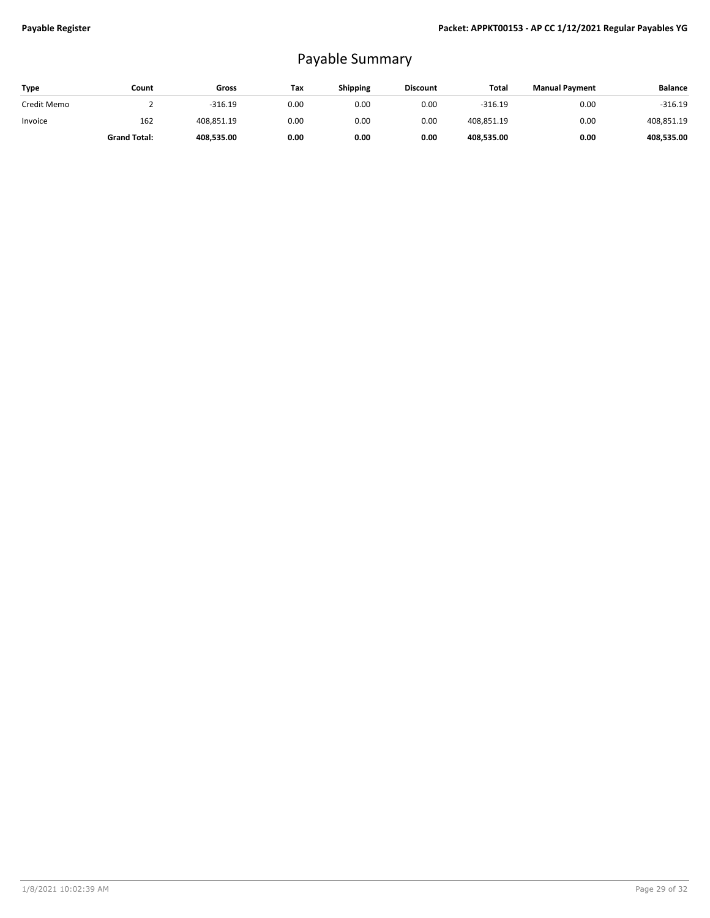## Payable Summary

| Type        | Count               | Gross      | Tax  | Shipping | <b>Discount</b> | Total      | <b>Manual Payment</b> | <b>Balance</b> |
|-------------|---------------------|------------|------|----------|-----------------|------------|-----------------------|----------------|
| Credit Memo |                     | $-316.19$  | 0.00 | 0.00     | 0.00            | $-316.19$  | 0.00                  | $-316.19$      |
| Invoice     | 162                 | 408.851.19 | 0.00 | 0.00     | 0.00            | 408,851.19 | 0.00                  | 408,851.19     |
|             | <b>Grand Total:</b> | 408,535.00 | 0.00 | 0.00     | 0.00            | 408,535.00 | 0.00                  | 408,535.00     |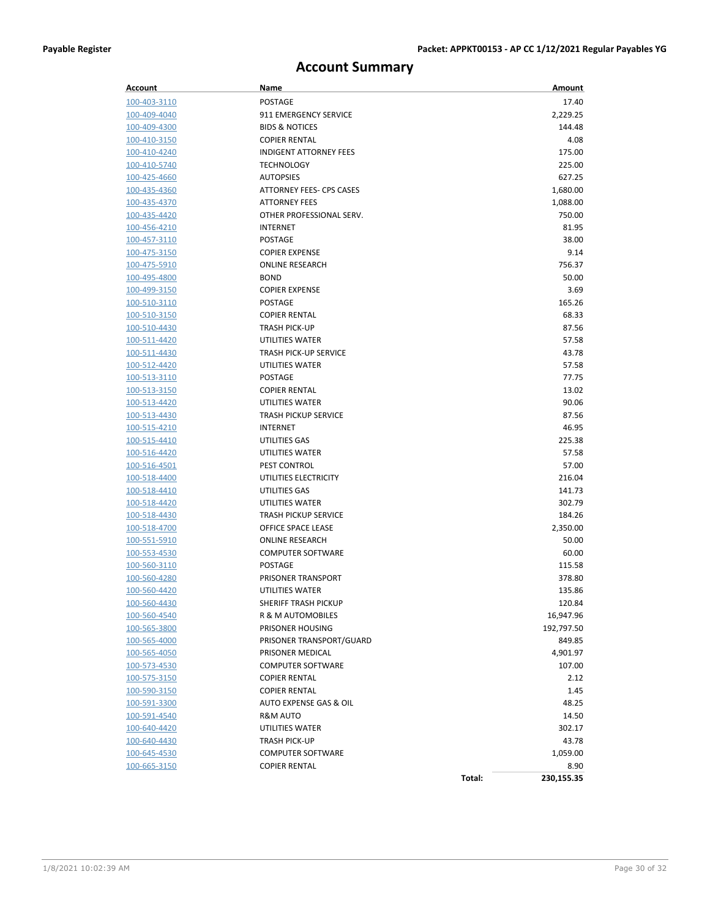### **Account Summary**

| <b>Account</b>      | Name                            | Amount               |
|---------------------|---------------------------------|----------------------|
| 100-403-3110        | <b>POSTAGE</b>                  | 17.40                |
| 100-409-4040        | 911 EMERGENCY SERVICE           | 2,229.25             |
| 100-409-4300        | <b>BIDS &amp; NOTICES</b>       | 144.48               |
| 100-410-3150        | <b>COPIER RENTAL</b>            | 4.08                 |
| 100-410-4240        | <b>INDIGENT ATTORNEY FEES</b>   | 175.00               |
| 100-410-5740        | <b>TECHNOLOGY</b>               | 225.00               |
| 100-425-4660        | <b>AUTOPSIES</b>                | 627.25               |
| 100-435-4360        | <b>ATTORNEY FEES- CPS CASES</b> | 1,680.00             |
| 100-435-4370        | <b>ATTORNEY FEES</b>            | 1,088.00             |
| 100-435-4420        | OTHER PROFESSIONAL SERV.        | 750.00               |
| 100-456-4210        | <b>INTERNET</b>                 | 81.95                |
| 100-457-3110        | <b>POSTAGE</b>                  | 38.00                |
| 100-475-3150        | <b>COPIER EXPENSE</b>           | 9.14                 |
| 100-475-5910        | <b>ONLINE RESEARCH</b>          | 756.37               |
| 100-495-4800        | <b>BOND</b>                     | 50.00                |
| 100-499-3150        | <b>COPIER EXPENSE</b>           | 3.69                 |
| 100-510-3110        | <b>POSTAGE</b>                  | 165.26               |
| 100-510-3150        | <b>COPIER RENTAL</b>            | 68.33                |
| 100-510-4430        | <b>TRASH PICK-UP</b>            | 87.56                |
| 100-511-4420        | UTILITIES WATER                 | 57.58                |
| 100-511-4430        | <b>TRASH PICK-UP SERVICE</b>    | 43.78                |
| 100-512-4420        | UTILITIES WATER                 | 57.58                |
| 100-513-3110        | <b>POSTAGE</b>                  | 77.75                |
| 100-513-3150        | <b>COPIER RENTAL</b>            | 13.02                |
| 100-513-4420        | UTILITIES WATER                 | 90.06                |
| 100-513-4430        | <b>TRASH PICKUP SERVICE</b>     | 87.56                |
| 100-515-4210        | INTERNET                        | 46.95                |
| 100-515-4410        | UTILITIES GAS                   | 225.38               |
| <u>100-516-4420</u> | UTILITIES WATER                 | 57.58                |
| 100-516-4501        | PEST CONTROL                    | 57.00                |
| 100-518-4400        | UTILITIES ELECTRICITY           | 216.04               |
| 100-518-4410        | UTILITIES GAS                   | 141.73               |
| 100-518-4420        | UTILITIES WATER                 | 302.79               |
| 100-518-4430        | <b>TRASH PICKUP SERVICE</b>     | 184.26               |
| 100-518-4700        | OFFICE SPACE LEASE              | 2,350.00             |
| 100-551-5910        | <b>ONLINE RESEARCH</b>          | 50.00                |
| 100-553-4530        | <b>COMPUTER SOFTWARE</b>        | 60.00                |
| 100-560-3110        | <b>POSTAGE</b>                  | 115.58               |
| 100-560-4280        | <b>PRISONER TRANSPORT</b>       | 378.80               |
| 100-560-4420        | UTILITIES WATER                 | 135.86               |
| 100-560-4430        | SHERIFF TRASH PICKUP            | 120.84               |
| 100-560-4540        | R & M AUTOMOBILES               | 16,947.96            |
| 100-565-3800        | PRISONER HOUSING                | 192,797.50           |
| 100-565-4000        | PRISONER TRANSPORT/GUARD        | 849.85               |
| 100-565-4050        | PRISONER MEDICAL                | 4,901.97             |
| 100-573-4530        | <b>COMPUTER SOFTWARE</b>        | 107.00               |
| 100-575-3150        | <b>COPIER RENTAL</b>            | 2.12                 |
| 100-590-3150        | <b>COPIER RENTAL</b>            | 1.45                 |
| <u>100-591-3300</u> | AUTO EXPENSE GAS & OIL          | 48.25                |
| 100-591-4540        | R&M AUTO                        | 14.50                |
| 100-640-4420        | UTILITIES WATER                 | 302.17               |
| 100-640-4430        | <b>TRASH PICK-UP</b>            | 43.78                |
| 100-645-4530        | <b>COMPUTER SOFTWARE</b>        | 1,059.00             |
| 100-665-3150        | <b>COPIER RENTAL</b>            | 8.90                 |
|                     |                                 | Total:<br>230,155.35 |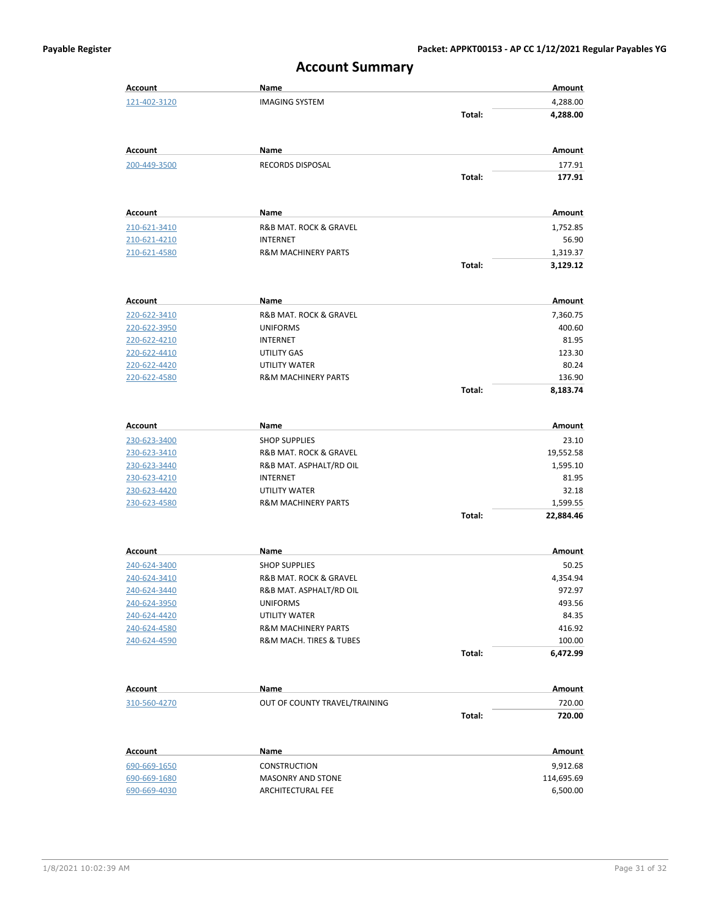| <b>Account</b>               | Name                                                      |        | Amount                |
|------------------------------|-----------------------------------------------------------|--------|-----------------------|
| 121-402-3120                 | <b>IMAGING SYSTEM</b>                                     |        | 4,288.00              |
|                              |                                                           | Total: | 4,288.00              |
|                              |                                                           |        |                       |
| Account                      | Name                                                      |        | Amount                |
| 200-449-3500                 | RECORDS DISPOSAL                                          |        | 177.91                |
|                              |                                                           | Total: | 177.91                |
| <b>Account</b>               | Name                                                      |        | Amount                |
| 210-621-3410                 | R&B MAT. ROCK & GRAVEL                                    |        | 1,752.85              |
| <u>210-621-4210</u>          | INTERNET                                                  |        | 56.90                 |
| 210-621-4580                 | <b>R&amp;M MACHINERY PARTS</b>                            |        | 1,319.37              |
|                              |                                                           | Total: | 3,129.12              |
| Account                      | Name                                                      |        | Amount                |
| 220-622-3410                 | R&B MAT. ROCK & GRAVEL                                    |        | 7,360.75              |
| 220-622-3950                 | <b>UNIFORMS</b>                                           |        | 400.60                |
| 220-622-4210                 | INTERNET                                                  |        | 81.95                 |
| 220-622-4410                 | UTILITY GAS                                               |        | 123.30                |
| 220-622-4420                 | UTILITY WATER                                             |        | 80.24                 |
| 220-622-4580                 | <b>R&amp;M MACHINERY PARTS</b>                            |        | 136.90                |
|                              |                                                           | Total: | 8,183.74              |
|                              |                                                           |        |                       |
| Account                      | Name                                                      |        | Amount                |
| 230-623-3400                 | <b>SHOP SUPPLIES</b>                                      |        | 23.10                 |
| 230-623-3410                 | R&B MAT. ROCK & GRAVEL                                    |        | 19,552.58             |
| 230-623-3440                 | R&B MAT. ASPHALT/RD OIL                                   |        | 1,595.10              |
| 230-623-4210                 | INTERNET<br>UTILITY WATER                                 |        | 81.95                 |
| 230-623-4420<br>230-623-4580 | <b>R&amp;M MACHINERY PARTS</b>                            |        | 32.18                 |
|                              |                                                           | Total: | 1,599.55<br>22,884.46 |
|                              |                                                           |        |                       |
| Account                      | Name                                                      |        | Amount                |
| 240-624-3400                 | <b>SHOP SUPPLIES</b>                                      |        | 50.25                 |
| 240-624-3410                 | R&B MAT. ROCK & GRAVEL                                    |        | 4,354.94              |
| 240-624-3440                 | R&B MAT. ASPHALT/RD OIL                                   |        | 972.97                |
| 240-624-3950                 | <b>UNIFORMS</b>                                           |        | 493.56                |
| 240-624-4420                 | UTILITY WATER                                             |        | 84.35                 |
| 240-624-4580<br>240-624-4590 | <b>R&amp;M MACHINERY PARTS</b><br>R&M MACH. TIRES & TUBES |        | 416.92                |
|                              |                                                           | Total: | 100.00<br>6,472.99    |
|                              |                                                           |        |                       |
| Account                      | Name                                                      |        | Amount                |
| 310-560-4270                 | OUT OF COUNTY TRAVEL/TRAINING                             |        | 720.00                |
|                              |                                                           | Total: | 720.00                |
| <b>Account</b>               | Name                                                      |        | <b>Amount</b>         |
| 690-669-1650                 | <b>CONSTRUCTION</b>                                       |        | 9,912.68              |
| 690-669-1680                 | <b>MASONRY AND STONE</b>                                  |        | 114,695.69            |
| 690-669-4030                 | ARCHITECTURAL FEE                                         |        | 6,500.00              |

#### **Account Summary**